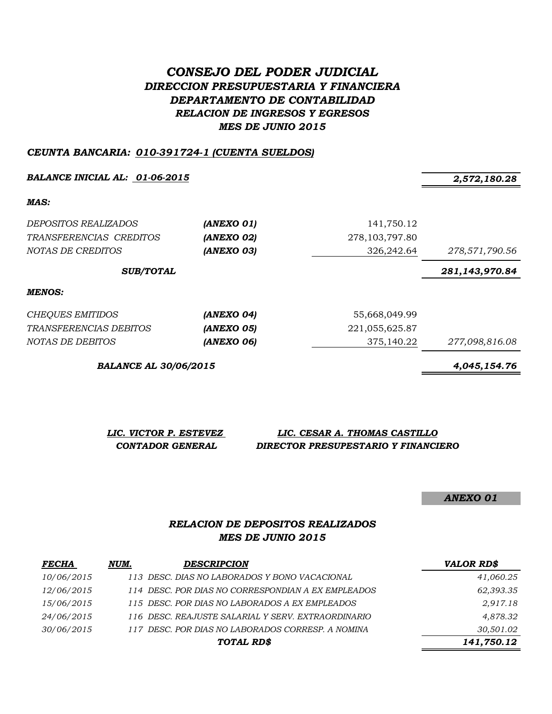# *CONSEJO DEL PODER JUDICIAL DIRECCION PRESUPUESTARIA Y FINANCIERA DEPARTAMENTO DE CONTABILIDAD RELACION DE INGRESOS Y EGRESOS MES DE JUNIO 2015*

#### *CEUNTA BANCARIA: 010-391724-1 (CUENTA SUELDOS)*

*BALANCE INICIAL AL: 01-06-2015 2,572,180.28*

*MAS:*

| <i>DEPOSITOS REALIZADOS</i>      | (ANEXO 01)   | 141,750.12        |                |
|----------------------------------|--------------|-------------------|----------------|
| TRANSFERENCIAS CREDITOS          | (ANEXO 02)   | 278, 103, 797.80  |                |
| NOTAS DE CREDITOS                | (ANEXO 03)   | 326,242.64        | 278,571,790.56 |
| <b>SUB/TOTAL</b>                 |              |                   | 281,143,970.84 |
| MENOS:                           |              |                   |                |
| CHEQUES EMITIDOS                 | (ANEXO 04)   | 55,668,049.99     |                |
| $HD$ (ignoration $\alpha$ promoo | $\mathbf{A}$ | $0.01$ arr car ar |                |

| <i>TRANSFERENCIAS DEBITOS</i> | (ANEXO 05) | 221,055,625.87 |
|-------------------------------|------------|----------------|
| <i>NOTAS DE DEBITOS</i>       | (ANEXO 06) | 375,140.22     |
|                               |            |                |

*BALANCE AL 30/06/2015 4,045,154.76*

| LIC. VICTOR P. ESTEVEZ  | LIC. CESAR A. THOMAS CASTILLO       |
|-------------------------|-------------------------------------|
| <b>CONTADOR GENERAL</b> | DIRECTOR PRESUPESTARIO Y FINANCIERO |

*ANEXO 01*

### *RELACION DE DEPOSITOS REALIZADOS MES DE JUNIO 2015*

| <b>FECHA</b> | NUM. | <b>DESCRIPCION</b>                                 | <b>VALOR RD\$</b> |
|--------------|------|----------------------------------------------------|-------------------|
| 10/06/2015   |      | 113 DESC. DIAS NO LABORADOS Y BONO VACACIONAL      | 41,060.25         |
| 12/06/2015   |      | 114 DESC. POR DIAS NO CORRESPONDIAN A EX EMPLEADOS | 62,393.35         |
| 15/06/2015   |      | 115 DESC. POR DIAS NO LABORADOS A EX EMPLEADOS     | 2,917.18          |
| 24/06/2015   |      | 116 DESC. REAJUSTE SALARIAL Y SERV. EXTRAORDINARIO | 4,878.32          |
| 30/06/2015   |      | 117 DESC. POR DIAS NO LABORADOS CORRESP. A NOMINA  | 30,501.02         |
|              |      | TOTAL RD\$                                         | 141,750.12        |

*NOTAS DE DEBITOS (ANEXO 06)* 375,140.22 *277,098,816.08*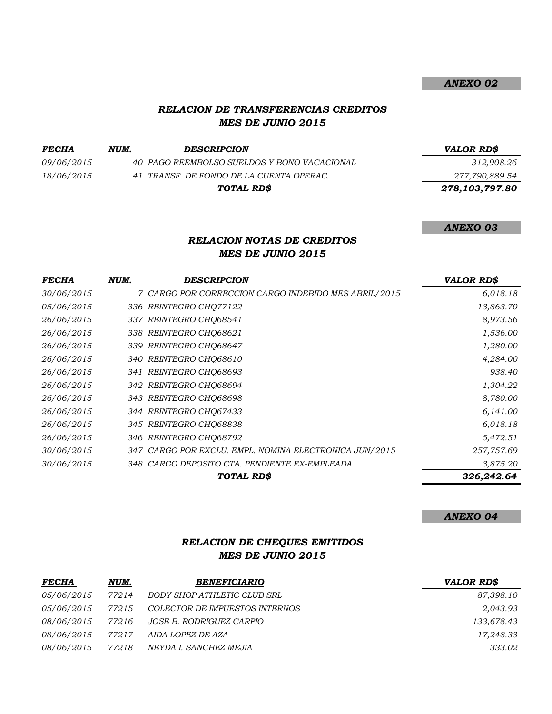#### *RELACION DE TRANSFERENCIAS CREDITOS MES DE JUNIO 2015*

*FECHA NUM. DESCRIPCION VALOR RD\$*

*09/06/2015 40 PAGO REEMBOLSO SUELDOS Y BONO VACACIONAL 312,908.26 18/06/2015 41 TRANSF. DE FONDO DE LA CUENTA OPERAC. 277,790,889.54*

*TOTAL RD\$*

*ANEXO 02*

 *278,103,797.80*

*ANEXO 03*

## *RELACION NOTAS DE CREDITOS MES DE JUNIO 2015*

| <b>FECHA</b> | NUM. | <b>DESCRIPCION</b>                                     | <b>VALOR RD\$</b> |
|--------------|------|--------------------------------------------------------|-------------------|
| 30/06/2015   |      | 7 CARGO POR CORRECCION CARGO INDEBIDO MES ABRIL/2015   | 6,018.18          |
| 05/06/2015   |      | 336 REINTEGRO CHO77122                                 | 13,863.70         |
| 26/06/2015   |      | 337 REINTEGRO CHQ68541                                 | 8,973.56          |
| 26/06/2015   |      | 338 REINTEGRO CHQ68621                                 | 1,536.00          |
| 26/06/2015   |      | 339 REINTEGRO CHQ68647                                 | 1,280.00          |
| 26/06/2015   |      | 340 REINTEGRO CHQ68610                                 | 4,284.00          |
| 26/06/2015   |      | 341 REINTEGRO CHQ68693                                 | 938.40            |
| 26/06/2015   |      | 342 REINTEGRO CHO68694                                 | 1,304.22          |
| 26/06/2015   |      | 343 REINTEGRO CHO68698                                 | 8,780.00          |
| 26/06/2015   |      | 344 REINTEGRO CHQ67433                                 | 6,141.00          |
| 26/06/2015   |      | 345 REINTEGRO CHQ68838                                 | 6,018.18          |
| 26/06/2015   |      | 346 REINTEGRO CHQ68792                                 | 5,472.51          |
| 30/06/2015   |      | 347 CARGO POR EXCLU. EMPL. NOMINA ELECTRONICA JUN/2015 | 257,757.69        |
| 30/06/2015   |      | 348 CARGO DEPOSITO CTA. PENDIENTE EX-EMPLEADA          | 3,875.20          |
|              |      | TOTAL RD\$                                             | 326,242.64        |
|              |      |                                                        |                   |

*ANEXO 04*

## *RELACION DE CHEQUES EMITIDOS MES DE JUNIO 2015*

| <i>FECHA</i>      | NUM.  | <b>BENEFICIARIO</b>            | <b>VALOR RD\$</b> |
|-------------------|-------|--------------------------------|-------------------|
| <i>05/06/2015</i> | 77214 | BODY SHOP ATHLETIC CLUB SRL    | 87,398.10         |
| <i>05/06/2015</i> | 77215 | COLECTOR DE IMPUESTOS INTERNOS | 2,043.93          |
| <i>08/06/2015</i> | 77216 | JOSE B. RODRIGUEZ CARPIO       | 133,678.43        |
| <i>08/06/2015</i> | 77217 | AIDA LOPEZ DE AZA              | 17,248.33         |
| <i>08/06/2015</i> | 77218 | NEYDA I. SANCHEZ MEJIA         | 333.02            |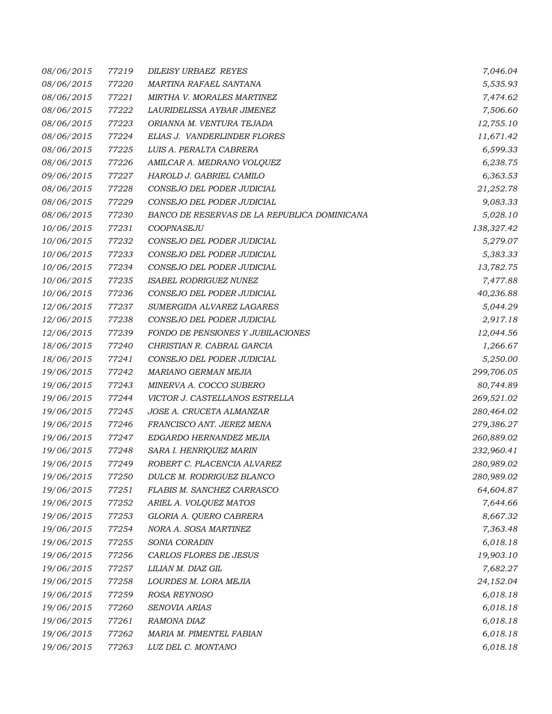| 08/06/2015 | 77219 | <b>DILEISY URBAEZ REYES</b>                  | 7,046.04   |
|------------|-------|----------------------------------------------|------------|
| 08/06/2015 | 77220 | MARTINA RAFAEL SANTANA                       | 5,535.93   |
| 08/06/2015 | 77221 | MIRTHA V. MORALES MARTINEZ                   | 7,474.62   |
| 08/06/2015 | 77222 | LAURIDELISSA AYBAR JIMENEZ                   | 7,506.60   |
| 08/06/2015 | 77223 | ORIANNA M. VENTURA TEJADA                    | 12,755.10  |
| 08/06/2015 | 77224 | ELIAS J. VANDERLINDER FLORES                 | 11,671.42  |
| 08/06/2015 | 77225 | LUIS A. PERALTA CABRERA                      | 6,599.33   |
| 08/06/2015 | 77226 | AMILCAR A. MEDRANO VOLQUEZ                   | 6,238.75   |
| 09/06/2015 | 77227 | HAROLD J. GABRIEL CAMILO                     | 6,363.53   |
| 08/06/2015 | 77228 | CONSEJO DEL PODER JUDICIAL                   | 21,252.78  |
| 08/06/2015 | 77229 | CONSEJO DEL PODER JUDICIAL                   | 9,083.33   |
| 08/06/2015 | 77230 | BANCO DE RESERVAS DE LA REPUBLICA DOMINICANA | 5,028.10   |
| 10/06/2015 | 77231 | COOPNASEJU                                   | 138,327.42 |
| 10/06/2015 | 77232 | CONSEJO DEL PODER JUDICIAL                   | 5,279.07   |
| 10/06/2015 | 77233 | CONSEJO DEL PODER JUDICIAL                   | 5,383.33   |
| 10/06/2015 | 77234 | CONSEJO DEL PODER JUDICIAL                   | 13,782.75  |
| 10/06/2015 | 77235 | ISABEL RODRIGUEZ NUNEZ                       | 7,477.88   |
| 10/06/2015 | 77236 | CONSEJO DEL PODER JUDICIAL                   | 40,236.88  |
| 12/06/2015 | 77237 | SUMERGIDA ALVAREZ LAGARES                    | 5,044.29   |
| 12/06/2015 | 77238 | CONSEJO DEL PODER JUDICIAL                   | 2,917.18   |
| 12/06/2015 | 77239 | FONDO DE PENSIONES Y JUBILACIONES            | 12,044.56  |
| 18/06/2015 | 77240 | CHRISTIAN R. CABRAL GARCIA                   | 1,266.67   |
| 18/06/2015 | 77241 | CONSEJO DEL PODER JUDICIAL                   | 5,250.00   |
| 19/06/2015 | 77242 | MARIANO GERMAN MEJIA                         | 299,706.05 |
| 19/06/2015 | 77243 | MINERVA A. COCCO SUBERO                      | 80,744.89  |
| 19/06/2015 | 77244 | VICTOR J. CASTELLANOS ESTRELLA               | 269,521.02 |
| 19/06/2015 | 77245 | JOSE A. CRUCETA ALMANZAR                     | 280,464.02 |
| 19/06/2015 | 77246 | FRANCISCO ANT. JEREZ MENA                    | 279,386.27 |
| 19/06/2015 | 77247 | EDGARDO HERNANDEZ MEJIA                      | 260,889.02 |
| 19/06/2015 | 77248 | SARA I. HENRIQUEZ MARIN                      | 232,960.41 |
| 19/06/2015 | 77249 | ROBERT C. PLACENCIA ALVAREZ                  | 280,989.02 |
| 19/06/2015 | 77250 | DULCE M. RODRIGUEZ BLANCO                    | 280,989.02 |
| 19/06/2015 | 77251 | FLABIS M. SANCHEZ CARRASCO                   | 64,604.87  |
| 19/06/2015 | 77252 | ARIEL A. VOLQUEZ MATOS                       | 7,644.66   |
| 19/06/2015 | 77253 | GLORIA A. QUERO CABRERA                      | 8,667.32   |
| 19/06/2015 | 77254 | NORA A. SOSA MARTINEZ                        | 7,363.48   |
| 19/06/2015 | 77255 | SONIA CORADIN                                | 6,018.18   |
| 19/06/2015 | 77256 | CARLOS FLORES DE JESUS                       | 19,903.10  |
| 19/06/2015 | 77257 | LILIAN M. DIAZ GIL                           | 7,682.27   |
| 19/06/2015 | 77258 | LOURDES M. LORA MEJIA                        | 24,152.04  |
| 19/06/2015 | 77259 | ROSA REYNOSO                                 | 6,018.18   |
| 19/06/2015 | 77260 | SENOVIA ARIAS                                | 6,018.18   |
| 19/06/2015 | 77261 | RAMONA DIAZ                                  | 6,018.18   |
| 19/06/2015 | 77262 | MARIA M. PIMENTEL FABIAN                     | 6,018.18   |
| 19/06/2015 | 77263 | LUZ DEL C. MONTANO                           | 6,018.18   |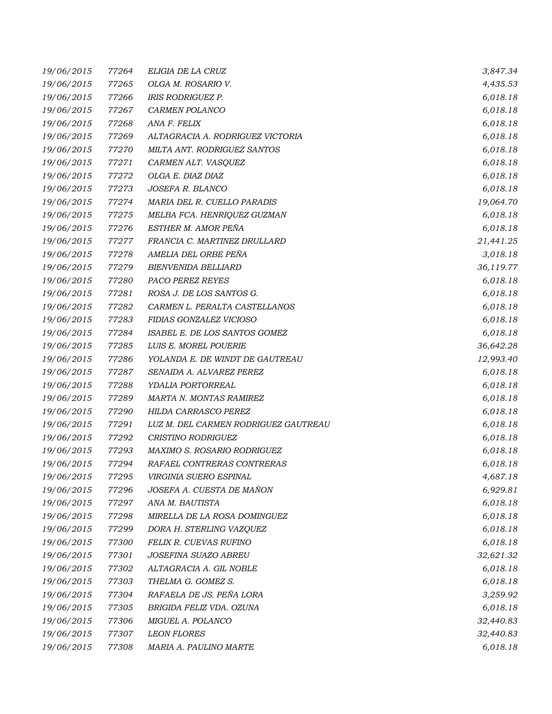| 19/06/2015 | 77264 | ELIGIA DE LA CRUZ                    | 3,847.34  |
|------------|-------|--------------------------------------|-----------|
| 19/06/2015 | 77265 | OLGA M. ROSARIO V.                   | 4,435.53  |
| 19/06/2015 | 77266 | <b>IRIS RODRIGUEZ P.</b>             | 6,018.18  |
| 19/06/2015 | 77267 | CARMEN POLANCO                       | 6,018.18  |
| 19/06/2015 | 77268 | ANA F. FELIX                         | 6,018.18  |
| 19/06/2015 | 77269 | ALTAGRACIA A. RODRIGUEZ VICTORIA     | 6,018.18  |
| 19/06/2015 | 77270 | MILTA ANT. RODRIGUEZ SANTOS          | 6,018.18  |
| 19/06/2015 | 77271 | CARMEN ALT. VASQUEZ                  | 6,018.18  |
| 19/06/2015 | 77272 | OLGA E. DIAZ DIAZ                    | 6,018.18  |
| 19/06/2015 | 77273 | JOSEFA R. BLANCO                     | 6,018.18  |
| 19/06/2015 | 77274 | MARIA DEL R. CUELLO PARADIS          | 19,064.70 |
| 19/06/2015 | 77275 | MELBA FCA. HENRIQUEZ GUZMAN          | 6,018.18  |
| 19/06/2015 | 77276 | ESTHER M. AMOR PEÑA                  | 6,018.18  |
| 19/06/2015 | 77277 | FRANCIA C. MARTINEZ DRULLARD         | 21,441.25 |
| 19/06/2015 | 77278 | AMELIA DEL ORBE PEÑA                 | 3,018.18  |
| 19/06/2015 | 77279 | <b>BIENVENIDA BELLIARD</b>           | 36,119.77 |
| 19/06/2015 | 77280 | PACO PEREZ REYES                     | 6,018.18  |
| 19/06/2015 | 77281 | ROSA J. DE LOS SANTOS G.             | 6,018.18  |
| 19/06/2015 | 77282 | CARMEN L. PERALTA CASTELLANOS        | 6,018.18  |
| 19/06/2015 | 77283 | FIDIAS GONZALEZ VICIOSO              | 6,018.18  |
| 19/06/2015 | 77284 | ISABEL E. DE LOS SANTOS GOMEZ        | 6,018.18  |
| 19/06/2015 | 77285 | LUIS E. MOREL POUERIE                | 36,642.28 |
| 19/06/2015 | 77286 | YOLANDA E. DE WINDT DE GAUTREAU      | 12,993.40 |
| 19/06/2015 | 77287 | SENAIDA A. ALVAREZ PEREZ             | 6,018.18  |
| 19/06/2015 | 77288 | YDALIA PORTORREAL                    | 6,018.18  |
| 19/06/2015 | 77289 | MARTA N. MONTAS RAMIREZ              | 6,018.18  |
| 19/06/2015 | 77290 | HILDA CARRASCO PEREZ                 | 6,018.18  |
| 19/06/2015 | 77291 | LUZ M. DEL CARMEN RODRIGUEZ GAUTREAU | 6,018.18  |
| 19/06/2015 | 77292 | <b>CRISTINO RODRIGUEZ</b>            | 6,018.18  |
| 19/06/2015 | 77293 | <b>MAXIMO S. ROSARIO RODRIGUEZ</b>   | 6,018.18  |
| 19/06/2015 | 77294 | RAFAEL CONTRERAS CONTRERAS           | 6,018.18  |
| 19/06/2015 | 77295 | VIRGINIA SUERO ESPINAL               | 4,687.18  |
| 19/06/2015 | 77296 | JOSEFA A. CUESTA DE MAÑON            | 6,929.81  |
| 19/06/2015 | 77297 | ANA M. BAUTISTA                      | 6,018.18  |
| 19/06/2015 | 77298 | MIRELLA DE LA ROSA DOMINGUEZ         | 6,018.18  |
| 19/06/2015 | 77299 | DORA H. STERLING VAZQUEZ             | 6,018.18  |
| 19/06/2015 | 77300 | FELIX R. CUEVAS RUFINO               | 6,018.18  |
| 19/06/2015 | 77301 | JOSEFINA SUAZO ABREU                 | 32,621.32 |
| 19/06/2015 | 77302 | ALTAGRACIA A. GIL NOBLE              | 6,018.18  |
| 19/06/2015 | 77303 | THELMA G. GOMEZ S.                   | 6,018.18  |
| 19/06/2015 | 77304 | RAFAELA DE JS. PEÑA LORA             | 3,259.92  |
| 19/06/2015 | 77305 | BRIGIDA FELIZ VDA. OZUNA             | 6,018.18  |
| 19/06/2015 | 77306 | MIGUEL A. POLANCO                    | 32,440.83 |
| 19/06/2015 | 77307 | <b>LEON FLORES</b>                   | 32,440.83 |
| 19/06/2015 | 77308 | MARIA A. PAULINO MARTE               | 6,018.18  |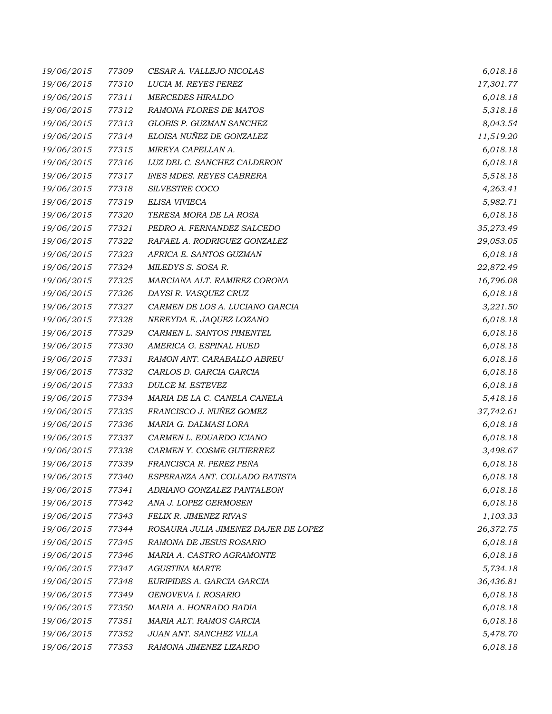| 19/06/2015 | 77309 | CESAR A. VALLEJO NICOLAS             | 6,018.18  |
|------------|-------|--------------------------------------|-----------|
| 19/06/2015 | 77310 | LUCIA M. REYES PEREZ                 | 17,301.77 |
| 19/06/2015 | 77311 | <b>MERCEDES HIRALDO</b>              | 6,018.18  |
| 19/06/2015 | 77312 | RAMONA FLORES DE MATOS               | 5,318.18  |
| 19/06/2015 | 77313 | GLOBIS P. GUZMAN SANCHEZ             | 8,043.54  |
| 19/06/2015 | 77314 | ELOISA NUÑEZ DE GONZALEZ             | 11,519.20 |
| 19/06/2015 | 77315 | MIREYA CAPELLAN A.                   | 6,018.18  |
| 19/06/2015 | 77316 | LUZ DEL C. SANCHEZ CALDERON          | 6,018.18  |
| 19/06/2015 | 77317 | <b>INES MDES. REYES CABRERA</b>      | 5,518.18  |
| 19/06/2015 | 77318 | SILVESTRE COCO                       | 4,263.41  |
| 19/06/2015 | 77319 | ELISA VIVIECA                        | 5,982.71  |
| 19/06/2015 | 77320 | TERESA MORA DE LA ROSA               | 6,018.18  |
| 19/06/2015 | 77321 | PEDRO A. FERNANDEZ SALCEDO           | 35,273.49 |
| 19/06/2015 | 77322 | RAFAEL A. RODRIGUEZ GONZALEZ         | 29,053.05 |
| 19/06/2015 | 77323 | AFRICA E. SANTOS GUZMAN              | 6,018.18  |
| 19/06/2015 | 77324 | MILEDYS S. SOSA R.                   | 22,872.49 |
| 19/06/2015 | 77325 | MARCIANA ALT. RAMIREZ CORONA         | 16,796.08 |
| 19/06/2015 | 77326 | DAYSI R. VASQUEZ CRUZ                | 6,018.18  |
| 19/06/2015 | 77327 | CARMEN DE LOS A. LUCIANO GARCIA      | 3,221.50  |
| 19/06/2015 | 77328 | NEREYDA E. JAQUEZ LOZANO             | 6,018.18  |
| 19/06/2015 | 77329 | CARMEN L. SANTOS PIMENTEL            | 6,018.18  |
| 19/06/2015 | 77330 | AMERICA G. ESPINAL HUED              | 6,018.18  |
| 19/06/2015 | 77331 | RAMON ANT. CARABALLO ABREU           | 6,018.18  |
| 19/06/2015 | 77332 | CARLOS D. GARCIA GARCIA              | 6,018.18  |
| 19/06/2015 | 77333 | DULCE M. ESTEVEZ                     | 6,018.18  |
| 19/06/2015 | 77334 | MARIA DE LA C. CANELA CANELA         | 5,418.18  |
| 19/06/2015 | 77335 | FRANCISCO J. NUÑEZ GOMEZ             | 37,742.61 |
| 19/06/2015 | 77336 | MARIA G. DALMASI LORA                | 6,018.18  |
| 19/06/2015 | 77337 | CARMEN L. EDUARDO ICIANO             | 6,018.18  |
| 19/06/2015 | 77338 | CARMEN Y. COSME GUTIERREZ            | 3,498.67  |
| 19/06/2015 | 77339 | FRANCISCA R. PEREZ PEÑA              | 6,018.18  |
| 19/06/2015 | 77340 | ESPERANZA ANT. COLLADO BATISTA       | 6,018.18  |
| 19/06/2015 | 77341 | ADRIANO GONZALEZ PANTALEON           | 6,018.18  |
| 19/06/2015 | 77342 | ANA J. LOPEZ GERMOSEN                | 6,018.18  |
| 19/06/2015 | 77343 | FELIX R. JIMENEZ RIVAS               | 1,103.33  |
| 19/06/2015 | 77344 | ROSAURA JULIA JIMENEZ DAJER DE LOPEZ | 26,372.75 |
| 19/06/2015 | 77345 | RAMONA DE JESUS ROSARIO              | 6,018.18  |
| 19/06/2015 | 77346 | MARIA A. CASTRO AGRAMONTE            | 6,018.18  |
| 19/06/2015 | 77347 | <b>AGUSTINA MARTE</b>                | 5,734.18  |
| 19/06/2015 | 77348 | EURIPIDES A. GARCIA GARCIA           | 36,436.81 |
| 19/06/2015 | 77349 | GENOVEVA I. ROSARIO                  | 6,018.18  |
| 19/06/2015 | 77350 | MARIA A. HONRADO BADIA               | 6,018.18  |
| 19/06/2015 | 77351 | MARIA ALT. RAMOS GARCIA              | 6,018.18  |
| 19/06/2015 | 77352 | JUAN ANT. SANCHEZ VILLA              | 5,478.70  |
| 19/06/2015 | 77353 | RAMONA JIMENEZ LIZARDO               | 6,018.18  |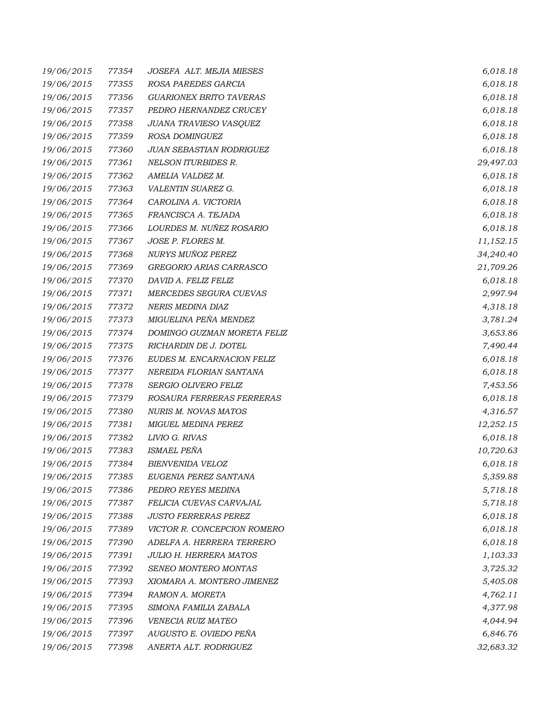| 19/06/2015 | 77354 | JOSEFA ALT. MEJIA MIESES       | 6,018.18  |
|------------|-------|--------------------------------|-----------|
| 19/06/2015 | 77355 | ROSA PAREDES GARCIA            | 6,018.18  |
| 19/06/2015 | 77356 | <b>GUARIONEX BRITO TAVERAS</b> | 6,018.18  |
| 19/06/2015 | 77357 | PEDRO HERNANDEZ CRUCEY         | 6,018.18  |
| 19/06/2015 | 77358 | JUANA TRAVIESO VASQUEZ         | 6,018.18  |
| 19/06/2015 | 77359 | ROSA DOMINGUEZ                 | 6,018.18  |
| 19/06/2015 | 77360 | JUAN SEBASTIAN RODRIGUEZ       | 6,018.18  |
| 19/06/2015 | 77361 | <b>NELSON ITURBIDES R.</b>     | 29,497.03 |
| 19/06/2015 | 77362 | AMELIA VALDEZ M.               | 6,018.18  |
| 19/06/2015 | 77363 | VALENTIN SUAREZ G.             | 6,018.18  |
| 19/06/2015 | 77364 | CAROLINA A. VICTORIA           | 6,018.18  |
| 19/06/2015 | 77365 | FRANCISCA A. TEJADA            | 6,018.18  |
| 19/06/2015 | 77366 | LOURDES M. NUÑEZ ROSARIO       | 6,018.18  |
| 19/06/2015 | 77367 | JOSE P. FLORES M.              | 11,152.15 |
| 19/06/2015 | 77368 | NURYS MUÑOZ PEREZ              | 34,240.40 |
| 19/06/2015 | 77369 | GREGORIO ARIAS CARRASCO        | 21,709.26 |
| 19/06/2015 | 77370 | DAVID A. FELIZ FELIZ           | 6,018.18  |
| 19/06/2015 | 77371 | MERCEDES SEGURA CUEVAS         | 2,997.94  |
| 19/06/2015 | 77372 | NERIS MEDINA DIAZ              | 4,318.18  |
| 19/06/2015 | 77373 | MIGUELINA PEÑA MENDEZ          | 3,781.24  |
| 19/06/2015 | 77374 | DOMINGO GUZMAN MORETA FELIZ    | 3,653.86  |
| 19/06/2015 | 77375 | RICHARDIN DE J. DOTEL          | 7,490.44  |
| 19/06/2015 | 77376 | EUDES M. ENCARNACION FELIZ     | 6,018.18  |
| 19/06/2015 | 77377 | NEREIDA FLORIAN SANTANA        | 6,018.18  |
| 19/06/2015 | 77378 | SERGIO OLIVERO FELIZ           | 7,453.56  |
| 19/06/2015 | 77379 | ROSAURA FERRERAS FERRERAS      | 6,018.18  |
| 19/06/2015 | 77380 | <b>NURIS M. NOVAS MATOS</b>    | 4,316.57  |
| 19/06/2015 | 77381 | MIGUEL MEDINA PEREZ            | 12,252.15 |
| 19/06/2015 | 77382 | LIVIO G. RIVAS                 | 6,018.18  |
| 19/06/2015 | 77383 | ISMAEL PEÑA                    | 10,720.63 |
| 19/06/2015 | 77384 | BIENVENIDA VELOZ               | 6,018.18  |
| 19/06/2015 | 77385 | EUGENIA PEREZ SANTANA          | 5,359.88  |
| 19/06/2015 | 77386 | PEDRO REYES MEDINA             | 5,718.18  |
| 19/06/2015 | 77387 | FELICIA CUEVAS CARVAJAL        | 5,718.18  |
| 19/06/2015 | 77388 | <b>JUSTO FERRERAS PEREZ</b>    | 6,018.18  |
| 19/06/2015 | 77389 | VICTOR R. CONCEPCION ROMERO    | 6,018.18  |
| 19/06/2015 | 77390 | ADELFA A. HERRERA TERRERO      | 6,018.18  |
| 19/06/2015 | 77391 | <b>JULIO H. HERRERA MATOS</b>  | 1,103.33  |
| 19/06/2015 | 77392 | SENEO MONTERO MONTAS           | 3,725.32  |
| 19/06/2015 | 77393 | XIOMARA A. MONTERO JIMENEZ     | 5,405.08  |
| 19/06/2015 | 77394 | RAMON A. MORETA                | 4,762.11  |
| 19/06/2015 | 77395 | SIMONA FAMILIA ZABALA          | 4,377.98  |
| 19/06/2015 | 77396 | VENECIA RUIZ MATEO             | 4,044.94  |
| 19/06/2015 | 77397 | AUGUSTO E. OVIEDO PEÑA         | 6,846.76  |
| 19/06/2015 | 77398 | ANERTA ALT. RODRIGUEZ          | 32,683.32 |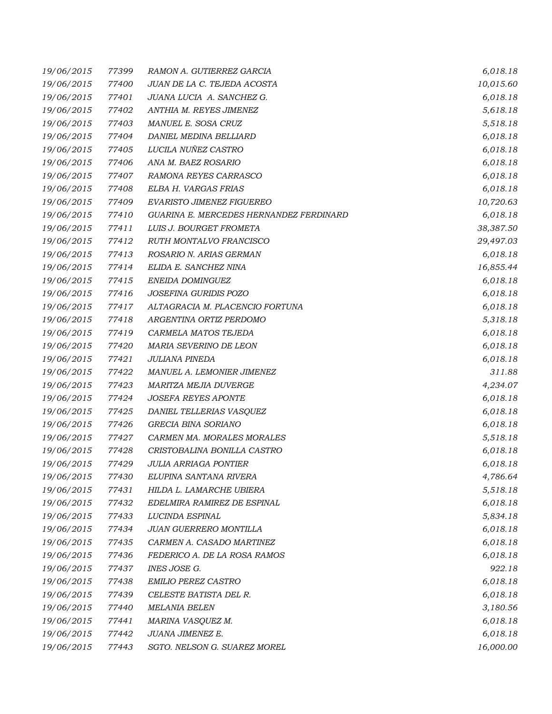| 19/06/2015 | 77399 | RAMON A. GUTIERREZ GARCIA               | 6,018.18  |
|------------|-------|-----------------------------------------|-----------|
| 19/06/2015 | 77400 | JUAN DE LA C. TEJEDA ACOSTA             | 10,015.60 |
| 19/06/2015 | 77401 | JUANA LUCIA A. SANCHEZ G.               | 6,018.18  |
| 19/06/2015 | 77402 | ANTHIA M. REYES JIMENEZ                 | 5,618.18  |
| 19/06/2015 | 77403 | MANUEL E. SOSA CRUZ                     | 5,518.18  |
| 19/06/2015 | 77404 | DANIEL MEDINA BELLIARD                  | 6,018.18  |
| 19/06/2015 | 77405 | LUCILA NUÑEZ CASTRO                     | 6,018.18  |
| 19/06/2015 | 77406 | ANA M. BAEZ ROSARIO                     | 6,018.18  |
| 19/06/2015 | 77407 | RAMONA REYES CARRASCO                   | 6,018.18  |
| 19/06/2015 | 77408 | ELBA H. VARGAS FRIAS                    | 6,018.18  |
| 19/06/2015 | 77409 | <b>EVARISTO JIMENEZ FIGUEREO</b>        | 10,720.63 |
| 19/06/2015 | 77410 | GUARINA E. MERCEDES HERNANDEZ FERDINARD | 6,018.18  |
| 19/06/2015 | 77411 | LUIS J. BOURGET FROMETA                 | 38,387.50 |
| 19/06/2015 | 77412 | RUTH MONTALVO FRANCISCO                 | 29,497.03 |
| 19/06/2015 | 77413 | ROSARIO N. ARIAS GERMAN                 | 6,018.18  |
| 19/06/2015 | 77414 | ELIDA E. SANCHEZ NINA                   | 16,855.44 |
| 19/06/2015 | 77415 | ENEIDA DOMINGUEZ                        | 6,018.18  |
| 19/06/2015 | 77416 | <b>JOSEFINA GURIDIS POZO</b>            | 6,018.18  |
| 19/06/2015 | 77417 | ALTAGRACIA M. PLACENCIO FORTUNA         | 6,018.18  |
| 19/06/2015 | 77418 | ARGENTINA ORTIZ PERDOMO                 | 5,318.18  |
| 19/06/2015 | 77419 | CARMELA MATOS TEJEDA                    | 6,018.18  |
| 19/06/2015 | 77420 | MARIA SEVERINO DE LEON                  | 6,018.18  |
| 19/06/2015 | 77421 | <b>JULIANA PINEDA</b>                   | 6,018.18  |
| 19/06/2015 | 77422 | MANUEL A. LEMONIER JIMENEZ              | 311.88    |
| 19/06/2015 | 77423 | MARITZA MEJIA DUVERGE                   | 4,234.07  |
| 19/06/2015 | 77424 | <b>JOSEFA REYES APONTE</b>              | 6,018.18  |
| 19/06/2015 | 77425 | DANIEL TELLERIAS VASQUEZ                | 6,018.18  |
| 19/06/2015 | 77426 | GRECIA BINA SORIANO                     | 6,018.18  |
| 19/06/2015 | 77427 | CARMEN MA. MORALES MORALES              | 5,518.18  |
| 19/06/2015 | 77428 | CRISTOBALINA BONILLA CASTRO             | 6,018.18  |
| 19/06/2015 | 77429 | <b>JULIA ARRIAGA PONTIER</b>            | 6,018.18  |
| 19/06/2015 | 77430 | ELUPINA SANTANA RIVERA                  | 4,786.64  |
| 19/06/2015 | 77431 | HILDA L. LAMARCHE UBIERA                | 5,518.18  |
| 19/06/2015 | 77432 | EDELMIRA RAMIREZ DE ESPINAL             | 6,018.18  |
| 19/06/2015 | 77433 | LUCINDA ESPINAL                         | 5,834.18  |
| 19/06/2015 | 77434 | JUAN GUERRERO MONTILLA                  | 6,018.18  |
| 19/06/2015 | 77435 | CARMEN A. CASADO MARTINEZ               | 6,018.18  |
| 19/06/2015 | 77436 | FEDERICO A. DE LA ROSA RAMOS            | 6,018.18  |
| 19/06/2015 | 77437 | INES JOSE G.                            | 922.18    |
| 19/06/2015 | 77438 | EMILIO PEREZ CASTRO                     | 6,018.18  |
| 19/06/2015 | 77439 | CELESTE BATISTA DEL R.                  | 6,018.18  |
| 19/06/2015 | 77440 | <b>MELANIA BELEN</b>                    | 3,180.56  |
| 19/06/2015 | 77441 | MARINA VASQUEZ M.                       | 6,018.18  |
| 19/06/2015 | 77442 | JUANA JIMENEZ E.                        | 6,018.18  |
| 19/06/2015 | 77443 | SGTO. NELSON G. SUAREZ MOREL            | 16,000.00 |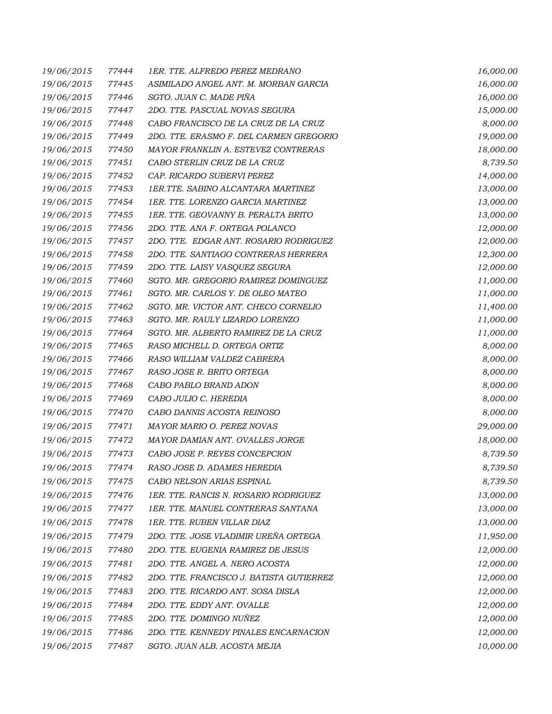| 19/06/2015 | 77444 | 1ER. TTE. ALFREDO PEREZ MEDRANO          | 16,000.00 |
|------------|-------|------------------------------------------|-----------|
| 19/06/2015 | 77445 | ASIMILADO ANGEL ANT. M. MORBAN GARCIA    | 16,000.00 |
| 19/06/2015 | 77446 | SGTO. JUAN C. MADE PIÑA                  | 16,000.00 |
| 19/06/2015 | 77447 | 2DO. TTE. PASCUAL NOVAS SEGURA           | 15,000.00 |
| 19/06/2015 | 77448 | CABO FRANCISCO DE LA CRUZ DE LA CRUZ     | 8,000.00  |
| 19/06/2015 | 77449 | 2DO. TTE. ERASMO F. DEL CARMEN GREGORIO  | 19,000.00 |
| 19/06/2015 | 77450 | MAYOR FRANKLIN A. ESTEVEZ CONTRERAS      | 18,000.00 |
| 19/06/2015 | 77451 | CABO STERLIN CRUZ DE LA CRUZ             | 8,739.50  |
| 19/06/2015 | 77452 | CAP. RICARDO SUBERVI PEREZ               | 14,000.00 |
| 19/06/2015 | 77453 | 1ER.TTE. SABINO ALCANTARA MARTINEZ       | 13,000.00 |
| 19/06/2015 | 77454 | 1ER. TTE. LORENZO GARCIA MARTINEZ        | 13,000.00 |
| 19/06/2015 | 77455 | 1ER. TTE. GEOVANNY B. PERALTA BRITO      | 13,000.00 |
| 19/06/2015 | 77456 | 2DO. TTE. ANA F. ORTEGA POLANCO          | 12,000.00 |
| 19/06/2015 | 77457 | 2DO. TTE. EDGAR ANT. ROSARIO RODRIGUEZ   | 12,000.00 |
| 19/06/2015 | 77458 | 2DO. TTE. SANTIAGO CONTRERAS HERRERA     | 12,300.00 |
| 19/06/2015 | 77459 | 2DO. TTE. LAISY VASQUEZ SEGURA           | 12,000.00 |
| 19/06/2015 | 77460 | SGTO. MR. GREGORIO RAMIREZ DOMINGUEZ     | 11,000.00 |
| 19/06/2015 | 77461 | SGTO. MR. CARLOS Y. DE OLEO MATEO        | 11,000.00 |
| 19/06/2015 | 77462 | SGTO. MR. VICTOR ANT. CHECO CORNELIO     | 11,400.00 |
| 19/06/2015 | 77463 | SGTO. MR. RAULY LIZARDO LORENZO          | 11,000.00 |
| 19/06/2015 | 77464 | SGTO. MR. ALBERTO RAMIREZ DE LA CRUZ     | 11,000.00 |
| 19/06/2015 | 77465 | RASO MICHELL D. ORTEGA ORTIZ             | 8,000.00  |
| 19/06/2015 | 77466 | RASO WILLIAM VALDEZ CABRERA              | 8,000.00  |
| 19/06/2015 | 77467 | RASO JOSE R. BRITO ORTEGA                | 8,000.00  |
| 19/06/2015 | 77468 | CABO PABLO BRAND ADON                    | 8,000.00  |
| 19/06/2015 | 77469 | CABO JULIO C. HEREDIA                    | 8,000.00  |
| 19/06/2015 | 77470 | CABO DANNIS ACOSTA REINOSO               | 8,000.00  |
| 19/06/2015 | 77471 | MAYOR MARIO O. PEREZ NOVAS               | 29,000.00 |
| 19/06/2015 | 77472 | MAYOR DAMIAN ANT. OVALLES JORGE          | 18,000.00 |
| 19/06/2015 | 77473 | CABO JOSE P. REYES CONCEPCION            | 8,739.50  |
| 19/06/2015 | 77474 | RASO JOSE D. ADAMES HEREDIA              | 8,739.50  |
| 19/06/2015 | 77475 | CABO NELSON ARIAS ESPINAL                | 8,739.50  |
| 19/06/2015 | 77476 | 1ER. TTE. RANCIS N. ROSARIO RODRIGUEZ    | 13,000.00 |
| 19/06/2015 | 77477 | 1ER. TTE. MANUEL CONTRERAS SANTANA       | 13,000.00 |
| 19/06/2015 | 77478 | 1ER. TTE. RUBEN VILLAR DIAZ              | 13,000.00 |
| 19/06/2015 | 77479 | 2DO. TTE. JOSE VLADIMIR UREÑA ORTEGA     | 11,950.00 |
| 19/06/2015 | 77480 | 2DO. TTE. EUGENIA RAMIREZ DE JESUS       | 12,000.00 |
| 19/06/2015 | 77481 | 2DO. TTE. ANGEL A. NERO ACOSTA           | 12,000.00 |
| 19/06/2015 | 77482 | 2DO. TTE. FRANCISCO J. BATISTA GUTIERREZ | 12,000.00 |
| 19/06/2015 | 77483 | 2DO. TTE. RICARDO ANT. SOSA DISLA        | 12,000.00 |
| 19/06/2015 | 77484 | 2DO. TTE. EDDY ANT. OVALLE               | 12,000.00 |
| 19/06/2015 | 77485 | 2DO. TTE. DOMINGO NUÑEZ                  | 12,000.00 |
| 19/06/2015 | 77486 | 2DO. TTE. KENNEDY PINALES ENCARNACION    | 12,000.00 |
| 19/06/2015 | 77487 | SGTO. JUAN ALB. ACOSTA MEJIA             | 10,000.00 |
|            |       |                                          |           |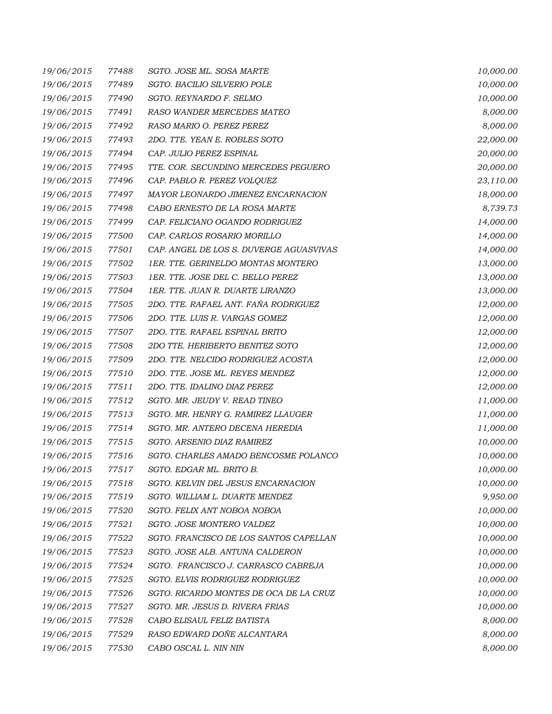| 19/06/2015 | 77488 | SGTO. JOSE ML. SOSA MARTE               | 10,000.00 |
|------------|-------|-----------------------------------------|-----------|
| 19/06/2015 | 77489 | SGTO. BACILIO SILVERIO POLE             | 10,000.00 |
| 19/06/2015 | 77490 | SGTO. REYNARDO F. SELMO                 | 10,000.00 |
| 19/06/2015 | 77491 | RASO WANDER MERCEDES MATEO              | 8,000.00  |
| 19/06/2015 | 77492 | RASO MARIO O. PEREZ PEREZ               | 8,000.00  |
| 19/06/2015 | 77493 | 2DO. TTE. YEAN E. ROBLES SOTO           | 22,000.00 |
| 19/06/2015 | 77494 | CAP. JULIO PEREZ ESPINAL                | 20,000.00 |
| 19/06/2015 | 77495 | TTE. COR. SECUNDINO MERCEDES PEGUERO    | 20,000.00 |
| 19/06/2015 | 77496 | CAP. PABLO R. PEREZ VOLQUEZ             | 23,110.00 |
| 19/06/2015 | 77497 | MAYOR LEONARDO JIMENEZ ENCARNACION      | 18,000.00 |
| 19/06/2015 | 77498 | CABO ERNESTO DE LA ROSA MARTE           | 8,739.73  |
| 19/06/2015 | 77499 | CAP. FELICIANO OGANDO RODRIGUEZ         | 14,000.00 |
| 19/06/2015 | 77500 | CAP. CARLOS ROSARIO MORILLO             | 14,000.00 |
| 19/06/2015 | 77501 | CAP. ANGEL DE LOS S. DUVERGE AGUASVIVAS | 14,000.00 |
| 19/06/2015 | 77502 | 1ER. TTE. GERINELDO MONTAS MONTERO      | 13,000.00 |
| 19/06/2015 | 77503 | 1ER. TTE. JOSE DEL C. BELLO PEREZ       | 13,000.00 |
| 19/06/2015 | 77504 | 1ER. TTE. JUAN R. DUARTE LIRANZO        | 13,000.00 |
| 19/06/2015 | 77505 | 2DO. TTE. RAFAEL ANT. FAÑA RODRIGUEZ    | 12,000.00 |
| 19/06/2015 | 77506 | 2DO. TTE. LUIS R. VARGAS GOMEZ          | 12,000.00 |
| 19/06/2015 | 77507 | 2DO. TTE. RAFAEL ESPINAL BRITO          | 12,000.00 |
| 19/06/2015 | 77508 | 2DO TTE. HERIBERTO BENITEZ SOTO         | 12,000.00 |
| 19/06/2015 | 77509 | 2DO. TTE. NELCIDO RODRIGUEZ ACOSTA      | 12,000.00 |
| 19/06/2015 | 77510 | 2DO. TTE. JOSE ML. REYES MENDEZ         | 12,000.00 |
| 19/06/2015 | 77511 | 2DO. TTE. IDALINO DIAZ PEREZ            | 12,000.00 |
| 19/06/2015 | 77512 | SGTO. MR. JEUDY V. READ TINEO           | 11,000.00 |
| 19/06/2015 | 77513 | SGTO. MR. HENRY G. RAMIREZ LLAUGER      | 11,000.00 |
| 19/06/2015 | 77514 | SGTO. MR. ANTERO DECENA HEREDIA         | 11,000.00 |
| 19/06/2015 | 77515 | <b>SGTO. ARSENIO DIAZ RAMIREZ</b>       | 10,000.00 |
| 19/06/2015 | 77516 | SGTO. CHARLES AMADO BENCOSME POLANCO    | 10,000.00 |
| 19/06/2015 | 77517 | SGTO. EDGAR ML. BRITO B.                | 10,000.00 |
| 19/06/2015 | 77518 | SGTO. KELVIN DEL JESUS ENCARNACION      | 10,000.00 |
| 19/06/2015 | 77519 | SGTO. WILLIAM L. DUARTE MENDEZ          | 9,950.00  |
| 19/06/2015 | 77520 | SGTO. FELIX ANT NOBOA NOBOA             | 10,000.00 |
| 19/06/2015 | 77521 | SGTO. JOSE MONTERO VALDEZ               | 10,000.00 |
| 19/06/2015 | 77522 | SGTO. FRANCISCO DE LOS SANTOS CAPELLAN  | 10,000.00 |
| 19/06/2015 | 77523 | SGTO. JOSE ALB. ANTUNA CALDERON         | 10,000.00 |
| 19/06/2015 | 77524 | SGTO. FRANCISCO J. CARRASCO CABREJA     | 10,000.00 |
| 19/06/2015 | 77525 | SGTO. ELVIS RODRIGUEZ RODRIGUEZ         | 10,000.00 |
| 19/06/2015 | 77526 | SGTO. RICARDO MONTES DE OCA DE LA CRUZ  | 10,000.00 |
| 19/06/2015 | 77527 | SGTO. MR. JESUS D. RIVERA FRIAS         | 10,000.00 |
| 19/06/2015 | 77528 | CABO ELISAUL FELIZ BATISTA              | 8,000.00  |
| 19/06/2015 | 77529 | RASO EDWARD DOÑE ALCANTARA              | 8,000.00  |
| 19/06/2015 | 77530 | CABO OSCAL L. NIN NIN                   | 8,000.00  |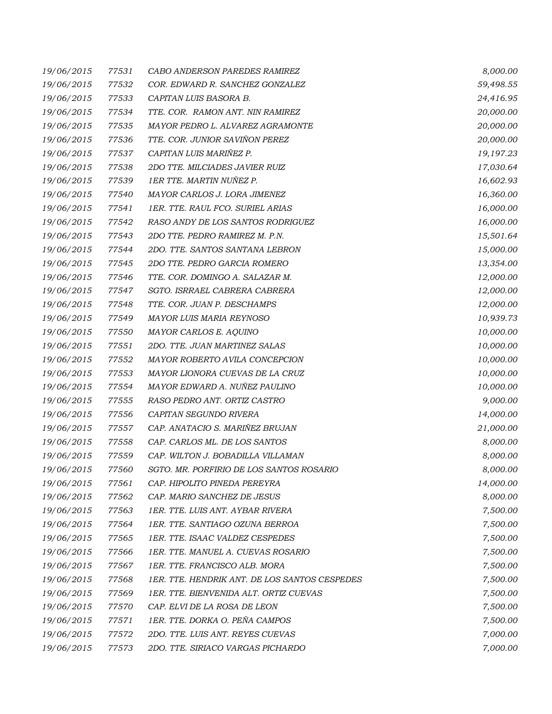| 19/06/2015 | 77531 | CABO ANDERSON PAREDES RAMIREZ                 | 8,000.00  |
|------------|-------|-----------------------------------------------|-----------|
| 19/06/2015 | 77532 | COR. EDWARD R. SANCHEZ GONZALEZ               | 59,498.55 |
| 19/06/2015 | 77533 | CAPITAN LUIS BASORA B.                        | 24,416.95 |
| 19/06/2015 | 77534 | TTE. COR. RAMON ANT. NIN RAMIREZ              | 20,000.00 |
| 19/06/2015 | 77535 | MAYOR PEDRO L. ALVAREZ AGRAMONTE              | 20,000.00 |
| 19/06/2015 | 77536 | TTE. COR. JUNIOR SAVIÑON PEREZ                | 20,000.00 |
| 19/06/2015 | 77537 | CAPITAN LUIS MARIÑEZ P.                       | 19,197.23 |
| 19/06/2015 | 77538 | 2DO TTE. MILCIADES JAVIER RUIZ                | 17,030.64 |
| 19/06/2015 | 77539 | 1ER TTE. MARTIN NUÑEZ P.                      | 16,602.93 |
| 19/06/2015 | 77540 | MAYOR CARLOS J. LORA JIMENEZ                  | 16,360.00 |
| 19/06/2015 | 77541 | 1ER. TTE. RAUL FCO. SURIEL ARIAS              | 16,000.00 |
| 19/06/2015 | 77542 | RASO ANDY DE LOS SANTOS RODRIGUEZ             | 16,000.00 |
| 19/06/2015 | 77543 | 2DO TTE. PEDRO RAMIREZ M. P.N.                | 15,501.64 |
| 19/06/2015 | 77544 | 2DO. TTE. SANTOS SANTANA LEBRON               | 15,000.00 |
| 19/06/2015 | 77545 | 2DO TTE. PEDRO GARCIA ROMERO                  | 13,354.00 |
| 19/06/2015 | 77546 | TTE. COR. DOMINGO A. SALAZAR M.               | 12,000.00 |
| 19/06/2015 | 77547 | SGTO. ISRRAEL CABRERA CABRERA                 | 12,000.00 |
| 19/06/2015 | 77548 | TTE. COR. JUAN P. DESCHAMPS                   | 12,000.00 |
| 19/06/2015 | 77549 | MAYOR LUIS MARIA REYNOSO                      | 10,939.73 |
| 19/06/2015 | 77550 | MAYOR CARLOS E. AQUINO                        | 10,000.00 |
| 19/06/2015 | 77551 | 2DO. TTE. JUAN MARTINEZ SALAS                 | 10,000.00 |
| 19/06/2015 | 77552 | MAYOR ROBERTO AVILA CONCEPCION                | 10,000.00 |
| 19/06/2015 | 77553 | MAYOR LIONORA CUEVAS DE LA CRUZ               | 10,000.00 |
| 19/06/2015 | 77554 | MAYOR EDWARD A. NUÑEZ PAULINO                 | 10,000.00 |
| 19/06/2015 | 77555 | RASO PEDRO ANT. ORTIZ CASTRO                  | 9,000.00  |
| 19/06/2015 | 77556 | CAPITAN SEGUNDO RIVERA                        | 14,000.00 |
| 19/06/2015 | 77557 | CAP. ANATACIO S. MARIÑEZ BRUJAN               | 21,000.00 |
| 19/06/2015 | 77558 | CAP. CARLOS ML. DE LOS SANTOS                 | 8,000.00  |
| 19/06/2015 | 77559 | CAP. WILTON J. BOBADILLA VILLAMAN             | 8,000.00  |
| 19/06/2015 | 77560 | SGTO. MR. PORFIRIO DE LOS SANTOS ROSARIO      | 8,000.00  |
| 19/06/2015 | 77561 | CAP. HIPOLITO PINEDA PEREYRA                  | 14,000.00 |
| 19/06/2015 | 77562 | CAP. MARIO SANCHEZ DE JESUS                   | 8,000.00  |
| 19/06/2015 | 77563 | 1ER. TTE. LUIS ANT. AYBAR RIVERA              | 7,500.00  |
| 19/06/2015 | 77564 | 1ER. TTE. SANTIAGO OZUNA BERROA               | 7,500.00  |
| 19/06/2015 | 77565 | 1ER. TTE. ISAAC VALDEZ CESPEDES               | 7,500.00  |
| 19/06/2015 | 77566 | 1ER. TTE. MANUEL A. CUEVAS ROSARIO            | 7,500.00  |
| 19/06/2015 | 77567 | 1ER. TTE. FRANCISCO ALB. MORA                 | 7,500.00  |
| 19/06/2015 | 77568 | 1ER. TTE. HENDRIK ANT. DE LOS SANTOS CESPEDES | 7,500.00  |
| 19/06/2015 | 77569 | 1ER. TTE. BIENVENIDA ALT. ORTIZ CUEVAS        | 7,500.00  |
| 19/06/2015 | 77570 | <i>CAP. ELVI DE LA ROSA DE LEON</i>           | 7,500.00  |
| 19/06/2015 | 77571 | 1ER. TTE. DORKA O. PEÑA CAMPOS                | 7,500.00  |
| 19/06/2015 | 77572 | 2DO. TTE. LUIS ANT. REYES CUEVAS              | 7,000.00  |
| 19/06/2015 | 77573 | 2DO. TTE. SIRIACO VARGAS PICHARDO             | 7,000.00  |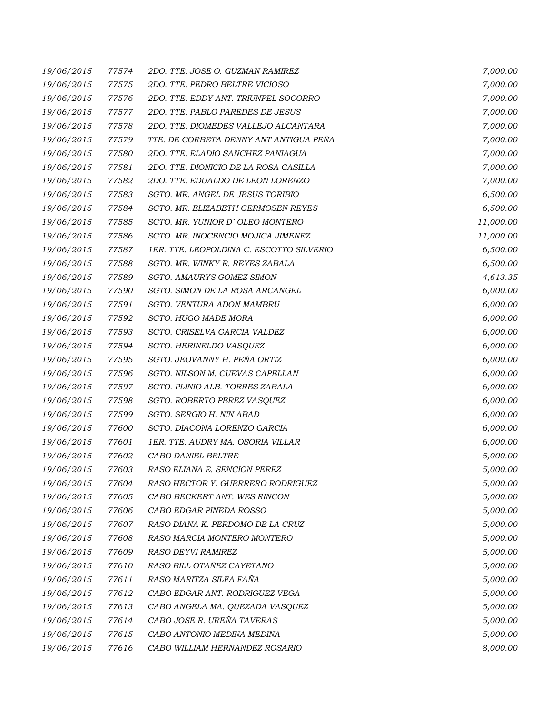| 19/06/2015 | 77574 | 2DO. TTE. JOSE O. GUZMAN RAMIREZ         | 7,000.00  |
|------------|-------|------------------------------------------|-----------|
| 19/06/2015 | 77575 | 2DO. TTE. PEDRO BELTRE VICIOSO           | 7,000.00  |
| 19/06/2015 | 77576 | 2DO. TTE. EDDY ANT. TRIUNFEL SOCORRO     | 7,000.00  |
| 19/06/2015 | 77577 | 2DO. TTE. PABLO PAREDES DE JESUS         | 7,000.00  |
| 19/06/2015 | 77578 | 2DO. TTE. DIOMEDES VALLEJO ALCANTARA     | 7,000.00  |
| 19/06/2015 | 77579 | TTE. DE CORBETA DENNY ANT ANTIGUA PEÑA   | 7,000.00  |
| 19/06/2015 | 77580 | 2DO. TTE. ELADIO SANCHEZ PANIAGUA        | 7,000.00  |
| 19/06/2015 | 77581 | 2DO. TTE. DIONICIO DE LA ROSA CASILLA    | 7,000.00  |
| 19/06/2015 | 77582 | 2DO. TTE. EDUALDO DE LEON LORENZO        | 7,000.00  |
| 19/06/2015 | 77583 | SGTO. MR. ANGEL DE JESUS TORIBIO         | 6,500.00  |
| 19/06/2015 | 77584 | SGTO. MR. ELIZABETH GERMOSEN REYES       | 6,500.00  |
| 19/06/2015 | 77585 | SGTO. MR. YUNIOR D'OLEO MONTERO          | 11,000.00 |
| 19/06/2015 | 77586 | SGTO. MR. INOCENCIO MOJICA JIMENEZ       | 11,000.00 |
| 19/06/2015 | 77587 | 1ER. TTE. LEOPOLDINA C. ESCOTTO SILVERIO | 6,500.00  |
| 19/06/2015 | 77588 | SGTO. MR. WINKY R. REYES ZABALA          | 6,500.00  |
| 19/06/2015 | 77589 | SGTO. AMAURYS GOMEZ SIMON                | 4,613.35  |
| 19/06/2015 | 77590 | SGTO. SIMON DE LA ROSA ARCANGEL          | 6,000.00  |
| 19/06/2015 | 77591 | SGTO. VENTURA ADON MAMBRU                | 6,000.00  |
| 19/06/2015 | 77592 | SGTO. HUGO MADE MORA                     | 6,000.00  |
| 19/06/2015 | 77593 | SGTO. CRISELVA GARCIA VALDEZ             | 6,000.00  |
| 19/06/2015 | 77594 | SGTO. HERINELDO VASQUEZ                  | 6,000.00  |
| 19/06/2015 | 77595 | SGTO. JEOVANNY H. PEÑA ORTIZ             | 6,000.00  |
| 19/06/2015 | 77596 | SGTO. NILSON M. CUEVAS CAPELLAN          | 6,000.00  |
| 19/06/2015 | 77597 | SGTO. PLINIO ALB. TORRES ZABALA          | 6,000.00  |
| 19/06/2015 | 77598 | SGTO. ROBERTO PEREZ VASQUEZ              | 6,000.00  |
| 19/06/2015 | 77599 | SGTO. SERGIO H. NIN ABAD                 | 6,000.00  |
| 19/06/2015 | 77600 | SGTO. DIACONA LORENZO GARCIA             | 6,000.00  |
| 19/06/2015 | 77601 | 1ER. TTE. AUDRY MA. OSORIA VILLAR        | 6,000.00  |
| 19/06/2015 | 77602 | CABO DANIEL BELTRE                       | 5,000.00  |
| 19/06/2015 | 77603 | RASO ELIANA E. SENCION PEREZ             | 5,000.00  |
| 19/06/2015 | 77604 | RASO HECTOR Y. GUERRERO RODRIGUEZ        | 5,000.00  |
| 19/06/2015 | 77605 | CABO BECKERT ANT. WES RINCON             | 5,000.00  |
| 19/06/2015 | 77606 | CABO EDGAR PINEDA ROSSO                  | 5,000.00  |
| 19/06/2015 | 77607 | RASO DIANA K. PERDOMO DE LA CRUZ         | 5,000.00  |
| 19/06/2015 | 77608 | RASO MARCIA MONTERO MONTERO              | 5,000.00  |
| 19/06/2015 | 77609 | <b>RASO DEYVI RAMIREZ</b>                | 5,000.00  |
| 19/06/2015 | 77610 | RASO BILL OTAÑEZ CAYETANO                | 5,000.00  |
| 19/06/2015 | 77611 | RASO MARITZA SILFA FAÑA                  | 5,000.00  |
| 19/06/2015 | 77612 | CABO EDGAR ANT. RODRIGUEZ VEGA           | 5,000.00  |
| 19/06/2015 | 77613 | CABO ANGELA MA. QUEZADA VASQUEZ          | 5,000.00  |
| 19/06/2015 | 77614 | CABO JOSE R. UREÑA TAVERAS               | 5,000.00  |
| 19/06/2015 | 77615 | CABO ANTONIO MEDINA MEDINA               | 5,000.00  |
| 19/06/2015 | 77616 | CABO WILLIAM HERNANDEZ ROSARIO           | 8,000.00  |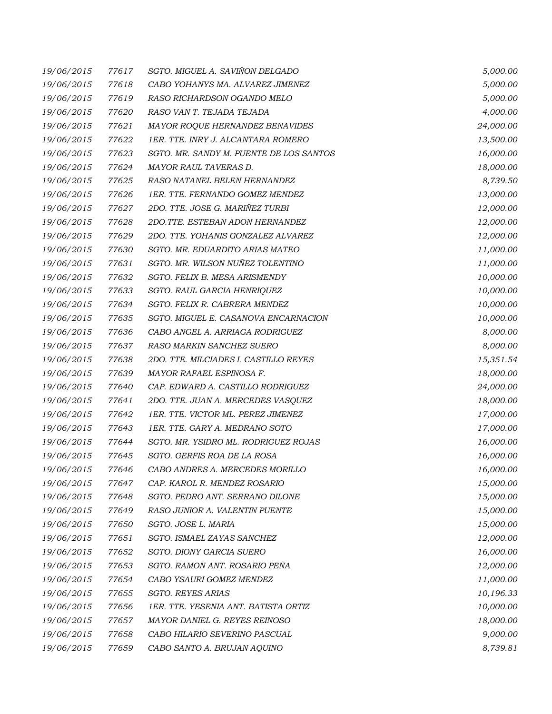| 19/06/2015 | 77617 | SGTO. MIGUEL A. SAVIÑON DELGADO         | 5,000.00  |
|------------|-------|-----------------------------------------|-----------|
| 19/06/2015 | 77618 | CABO YOHANYS MA. ALVAREZ JIMENEZ        | 5,000.00  |
| 19/06/2015 | 77619 | RASO RICHARDSON OGANDO MELO             | 5,000.00  |
| 19/06/2015 | 77620 | RASO VAN T. TEJADA TEJADA               | 4,000.00  |
| 19/06/2015 | 77621 | MAYOR ROQUE HERNANDEZ BENAVIDES         | 24,000.00 |
| 19/06/2015 | 77622 | 1ER. TTE. INRY J. ALCANTARA ROMERO      | 13,500.00 |
| 19/06/2015 | 77623 | SGTO. MR. SANDY M. PUENTE DE LOS SANTOS | 16,000.00 |
| 19/06/2015 | 77624 | MAYOR RAUL TAVERAS D.                   | 18,000.00 |
| 19/06/2015 | 77625 | RASO NATANEL BELEN HERNANDEZ            | 8,739.50  |
| 19/06/2015 | 77626 | 1ER. TTE. FERNANDO GOMEZ MENDEZ         | 13,000.00 |
| 19/06/2015 | 77627 | 2DO. TTE. JOSE G. MARIÑEZ TURBI         | 12,000.00 |
| 19/06/2015 | 77628 | 2DO.TTE. ESTEBAN ADON HERNANDEZ         | 12,000.00 |
| 19/06/2015 | 77629 | 2DO. TTE. YOHANIS GONZALEZ ALVAREZ      | 12,000.00 |
| 19/06/2015 | 77630 | SGTO. MR. EDUARDITO ARIAS MATEO         | 11,000.00 |
| 19/06/2015 | 77631 | SGTO. MR. WILSON NUÑEZ TOLENTINO        | 11,000.00 |
| 19/06/2015 | 77632 | SGTO. FELIX B. MESA ARISMENDY           | 10,000.00 |
| 19/06/2015 | 77633 | SGTO. RAUL GARCIA HENRIQUEZ             | 10,000.00 |
| 19/06/2015 | 77634 | SGTO. FELIX R. CABRERA MENDEZ           | 10,000.00 |
| 19/06/2015 | 77635 | SGTO. MIGUEL E. CASANOVA ENCARNACION    | 10,000.00 |
| 19/06/2015 | 77636 | CABO ANGEL A. ARRIAGA RODRIGUEZ         | 8,000.00  |
| 19/06/2015 | 77637 | RASO MARKIN SANCHEZ SUERO               | 8,000.00  |
| 19/06/2015 | 77638 | 2DO. TTE. MILCIADES I. CASTILLO REYES   | 15,351.54 |
| 19/06/2015 | 77639 | MAYOR RAFAEL ESPINOSA F.                | 18,000.00 |
| 19/06/2015 | 77640 | CAP. EDWARD A. CASTILLO RODRIGUEZ       | 24,000.00 |
| 19/06/2015 | 77641 | 2DO. TTE. JUAN A. MERCEDES VASQUEZ      | 18,000.00 |
| 19/06/2015 | 77642 | 1ER. TTE. VICTOR ML. PEREZ JIMENEZ      | 17,000.00 |
| 19/06/2015 | 77643 | 1ER. TTE. GARY A. MEDRANO SOTO          | 17,000.00 |
| 19/06/2015 | 77644 | SGTO. MR. YSIDRO ML. RODRIGUEZ ROJAS    | 16,000.00 |
| 19/06/2015 | 77645 | SGTO. GERFIS ROA DE LA ROSA             | 16,000.00 |
| 19/06/2015 | 77646 | CABO ANDRES A. MERCEDES MORILLO         | 16,000.00 |
| 19/06/2015 | 77647 | CAP. KAROL R. MENDEZ ROSARIO            | 15,000.00 |
| 19/06/2015 | 77648 | SGTO. PEDRO ANT. SERRANO DILONE         | 15,000.00 |
| 19/06/2015 | 77649 | RASO JUNIOR A. VALENTIN PUENTE          | 15,000.00 |
| 19/06/2015 | 77650 | SGTO. JOSE L. MARIA                     | 15,000.00 |
| 19/06/2015 | 77651 | SGTO. ISMAEL ZAYAS SANCHEZ              | 12,000.00 |
| 19/06/2015 | 77652 | SGTO. DIONY GARCIA SUERO                | 16,000.00 |
| 19/06/2015 | 77653 | SGTO. RAMON ANT. ROSARIO PEÑA           | 12,000.00 |
| 19/06/2015 | 77654 | CABO YSAURI GOMEZ MENDEZ                | 11,000.00 |
| 19/06/2015 | 77655 | <b>SGTO. REYES ARIAS</b>                | 10,196.33 |
| 19/06/2015 | 77656 | 1ER. TTE. YESENIA ANT. BATISTA ORTIZ    | 10,000.00 |
| 19/06/2015 | 77657 | MAYOR DANIEL G. REYES REINOSO           | 18,000.00 |
| 19/06/2015 | 77658 | CABO HILARIO SEVERINO PASCUAL           | 9,000.00  |
| 19/06/2015 | 77659 | CABO SANTO A. BRUJAN AQUINO             | 8,739.81  |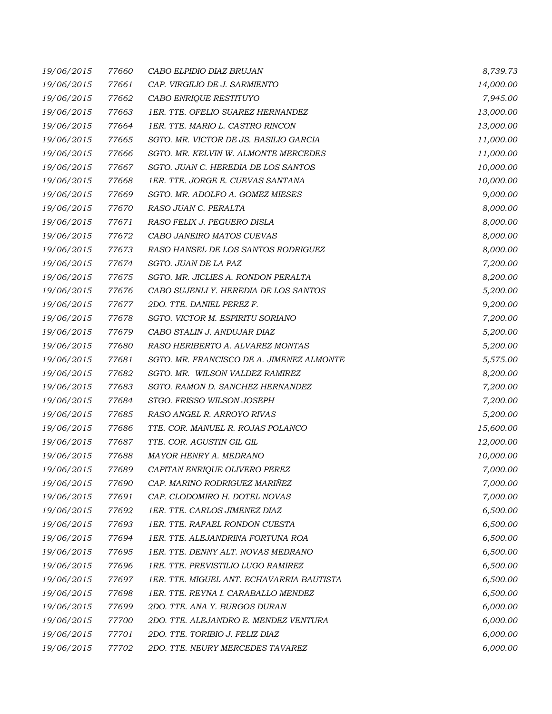| 19/06/2015 | 77660 | CABO ELPIDIO DIAZ BRUJAN                  | 8,739.73  |
|------------|-------|-------------------------------------------|-----------|
| 19/06/2015 | 77661 | CAP. VIRGILIO DE J. SARMIENTO             | 14,000.00 |
| 19/06/2015 | 77662 | CABO ENRIQUE RESTITUYO                    | 7,945.00  |
| 19/06/2015 | 77663 | 1ER. TTE. OFELIO SUAREZ HERNANDEZ         | 13,000.00 |
| 19/06/2015 | 77664 | 1ER. TTE. MARIO L. CASTRO RINCON          | 13,000.00 |
| 19/06/2015 | 77665 | SGTO. MR. VICTOR DE JS. BASILIO GARCIA    | 11,000.00 |
| 19/06/2015 | 77666 | SGTO. MR. KELVIN W. ALMONTE MERCEDES      | 11,000.00 |
| 19/06/2015 | 77667 | SGTO. JUAN C. HEREDIA DE LOS SANTOS       | 10,000.00 |
| 19/06/2015 | 77668 | 1ER. TTE. JORGE E. CUEVAS SANTANA         | 10,000.00 |
| 19/06/2015 | 77669 | SGTO. MR. ADOLFO A. GOMEZ MIESES          | 9,000.00  |
| 19/06/2015 | 77670 | RASO JUAN C. PERALTA                      | 8,000.00  |
| 19/06/2015 | 77671 | RASO FELIX J. PEGUERO DISLA               | 8,000.00  |
| 19/06/2015 | 77672 | CABO JANEIRO MATOS CUEVAS                 | 8,000.00  |
| 19/06/2015 | 77673 | RASO HANSEL DE LOS SANTOS RODRIGUEZ       | 8,000.00  |
| 19/06/2015 | 77674 | SGTO. JUAN DE LA PAZ                      | 7,200.00  |
| 19/06/2015 | 77675 | SGTO. MR. JICLIES A. RONDON PERALTA       | 8,200.00  |
| 19/06/2015 | 77676 | CABO SUJENLI Y. HEREDIA DE LOS SANTOS     | 5,200.00  |
| 19/06/2015 | 77677 | 2DO. TTE. DANIEL PEREZ F.                 | 9,200.00  |
| 19/06/2015 | 77678 | SGTO. VICTOR M. ESPIRITU SORIANO          | 7,200.00  |
| 19/06/2015 | 77679 | CABO STALIN J. ANDUJAR DIAZ               | 5,200.00  |
| 19/06/2015 | 77680 | RASO HERIBERTO A. ALVAREZ MONTAS          | 5,200.00  |
| 19/06/2015 | 77681 | SGTO. MR. FRANCISCO DE A. JIMENEZ ALMONTE | 5,575.00  |
| 19/06/2015 | 77682 | SGTO. MR. WILSON VALDEZ RAMIREZ           | 8,200.00  |
| 19/06/2015 | 77683 | SGTO. RAMON D. SANCHEZ HERNANDEZ          | 7,200.00  |
| 19/06/2015 | 77684 | STGO. FRISSO WILSON JOSEPH                | 7,200.00  |
| 19/06/2015 | 77685 | RASO ANGEL R. ARROYO RIVAS                | 5,200.00  |
| 19/06/2015 | 77686 | TTE. COR. MANUEL R. ROJAS POLANCO         | 15,600.00 |
| 19/06/2015 | 77687 | TTE. COR. AGUSTIN GIL GIL                 | 12,000.00 |
| 19/06/2015 | 77688 | MAYOR HENRY A. MEDRANO                    | 10,000.00 |
| 19/06/2015 | 77689 | CAPITAN ENRIQUE OLIVERO PEREZ             | 7,000.00  |
| 19/06/2015 | 77690 | CAP. MARINO RODRIGUEZ MARIÑEZ             | 7,000.00  |
| 19/06/2015 | 77691 | CAP. CLODOMIRO H. DOTEL NOVAS             | 7,000.00  |
| 19/06/2015 | 77692 | 1ER. TTE. CARLOS JIMENEZ DIAZ             | 6,500.00  |
| 19/06/2015 | 77693 | 1ER. TTE. RAFAEL RONDON CUESTA            | 6,500.00  |
| 19/06/2015 | 77694 | 1ER. TTE. ALEJANDRINA FORTUNA ROA         | 6,500.00  |
| 19/06/2015 | 77695 | 1ER. TTE. DENNY ALT. NOVAS MEDRANO        | 6,500.00  |
| 19/06/2015 | 77696 | 1RE. TTE. PREVISTILIO LUGO RAMIREZ        | 6,500.00  |
| 19/06/2015 | 77697 | 1ER. TTE. MIGUEL ANT. ECHAVARRIA BAUTISTA | 6,500.00  |
| 19/06/2015 | 77698 | 1ER. TTE. REYNA I. CARABALLO MENDEZ       | 6,500.00  |
| 19/06/2015 | 77699 | 2DO. TTE. ANA Y. BURGOS DURAN             | 6,000.00  |
| 19/06/2015 | 77700 | 2DO. TTE. ALEJANDRO E. MENDEZ VENTURA     | 6,000.00  |
| 19/06/2015 | 77701 | 2DO. TTE. TORIBIO J. FELIZ DIAZ           | 6,000.00  |
| 19/06/2015 | 77702 | 2DO. TTE. NEURY MERCEDES TAVAREZ          | 6,000.00  |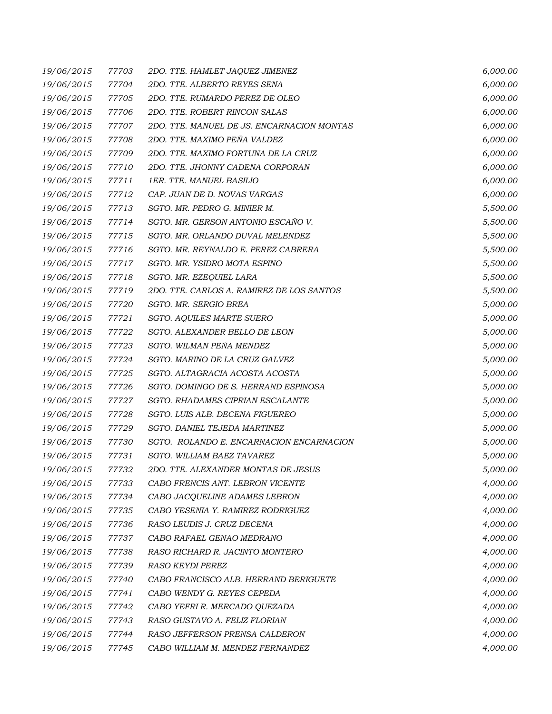| 19/06/2015 | 77703 | 2DO. TTE. HAMLET JAQUEZ JIMENEZ            | 6,000.00 |
|------------|-------|--------------------------------------------|----------|
| 19/06/2015 | 77704 | 2DO. TTE. ALBERTO REYES SENA               | 6,000.00 |
| 19/06/2015 | 77705 | 2DO. TTE. RUMARDO PEREZ DE OLEO            | 6,000.00 |
| 19/06/2015 | 77706 | 2DO. TTE. ROBERT RINCON SALAS              | 6,000.00 |
| 19/06/2015 | 77707 | 2DO. TTE. MANUEL DE JS. ENCARNACION MONTAS | 6,000.00 |
| 19/06/2015 | 77708 | 2DO. TTE. MAXIMO PEÑA VALDEZ               | 6,000.00 |
| 19/06/2015 | 77709 | 2DO. TTE. MAXIMO FORTUNA DE LA CRUZ        | 6,000.00 |
| 19/06/2015 | 77710 | 2DO. TTE. JHONNY CADENA CORPORAN           | 6,000.00 |
| 19/06/2015 | 77711 | 1ER. TTE. MANUEL BASILIO                   | 6,000.00 |
| 19/06/2015 | 77712 | CAP. JUAN DE D. NOVAS VARGAS               | 6,000.00 |
| 19/06/2015 | 77713 | SGTO. MR. PEDRO G. MINIER M.               | 5,500.00 |
| 19/06/2015 | 77714 | SGTO. MR. GERSON ANTONIO ESCAÑO V.         | 5,500.00 |
| 19/06/2015 | 77715 | SGTO. MR. ORLANDO DUVAL MELENDEZ           | 5,500.00 |
| 19/06/2015 | 77716 | SGTO. MR. REYNALDO E. PEREZ CABRERA        | 5,500.00 |
| 19/06/2015 | 77717 | SGTO. MR. YSIDRO MOTA ESPINO               | 5,500.00 |
| 19/06/2015 | 77718 | SGTO. MR. EZEQUIEL LARA                    | 5,500.00 |
| 19/06/2015 | 77719 | 2DO. TTE. CARLOS A. RAMIREZ DE LOS SANTOS  | 5,500.00 |
| 19/06/2015 | 77720 | SGTO. MR. SERGIO BREA                      | 5,000.00 |
| 19/06/2015 | 77721 | <b>SGTO. AQUILES MARTE SUERO</b>           | 5,000.00 |
| 19/06/2015 | 77722 | SGTO. ALEXANDER BELLO DE LEON              | 5,000.00 |
| 19/06/2015 | 77723 | SGTO. WILMAN PEÑA MENDEZ                   | 5,000.00 |
| 19/06/2015 | 77724 | SGTO. MARINO DE LA CRUZ GALVEZ             | 5,000.00 |
| 19/06/2015 | 77725 | SGTO. ALTAGRACIA ACOSTA ACOSTA             | 5,000.00 |
| 19/06/2015 | 77726 | SGTO. DOMINGO DE S. HERRAND ESPINOSA       | 5,000.00 |
| 19/06/2015 | 77727 | SGTO. RHADAMES CIPRIAN ESCALANTE           | 5,000.00 |
| 19/06/2015 | 77728 | SGTO. LUIS ALB. DECENA FIGUEREO            | 5,000.00 |
| 19/06/2015 | 77729 | SGTO. DANIEL TEJEDA MARTINEZ               | 5,000.00 |
| 19/06/2015 | 77730 | SGTO. ROLANDO E. ENCARNACION ENCARNACION   | 5,000.00 |
| 19/06/2015 | 77731 | SGTO. WILLIAM BAEZ TAVAREZ                 | 5,000.00 |
| 19/06/2015 | 77732 | 2DO. TTE. ALEXANDER MONTAS DE JESUS        | 5,000.00 |
| 19/06/2015 | 77733 | CABO FRENCIS ANT. LEBRON VICENTE           | 4,000.00 |
| 19/06/2015 | 77734 | CABO JACQUELINE ADAMES LEBRON              | 4,000.00 |
| 19/06/2015 | 77735 | CABO YESENIA Y. RAMIREZ RODRIGUEZ          | 4,000.00 |
| 19/06/2015 | 77736 | RASO LEUDIS J. CRUZ DECENA                 | 4,000.00 |
| 19/06/2015 | 77737 | CABO RAFAEL GENAO MEDRANO                  | 4,000.00 |
| 19/06/2015 | 77738 | RASO RICHARD R. JACINTO MONTERO            | 4,000.00 |
| 19/06/2015 | 77739 | <b>RASO KEYDI PEREZ</b>                    | 4,000.00 |
| 19/06/2015 | 77740 | CABO FRANCISCO ALB. HERRAND BERIGUETE      | 4,000.00 |
| 19/06/2015 | 77741 | CABO WENDY G. REYES CEPEDA                 | 4,000.00 |
| 19/06/2015 | 77742 | CABO YEFRI R. MERCADO QUEZADA              | 4,000.00 |
| 19/06/2015 | 77743 | RASO GUSTAVO A. FELIZ FLORIAN              | 4,000.00 |
| 19/06/2015 | 77744 | RASO JEFFERSON PRENSA CALDERON             | 4,000.00 |
| 19/06/2015 | 77745 | CABO WILLIAM M. MENDEZ FERNANDEZ           | 4,000.00 |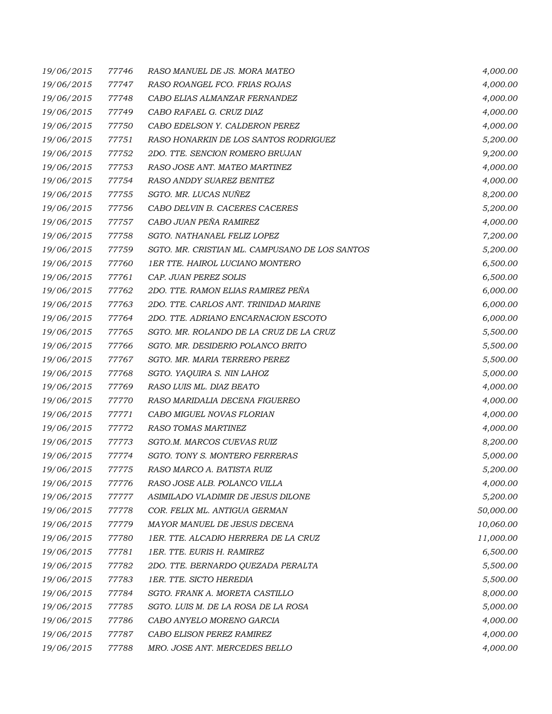| 19/06/2015 | 77746 | RASO MANUEL DE JS. MORA MATEO                  | 4,000.00  |
|------------|-------|------------------------------------------------|-----------|
| 19/06/2015 | 77747 | RASO ROANGEL FCO. FRIAS ROJAS                  | 4,000.00  |
| 19/06/2015 | 77748 | CABO ELIAS ALMANZAR FERNANDEZ                  | 4,000.00  |
| 19/06/2015 | 77749 | CABO RAFAEL G. CRUZ DIAZ                       | 4,000.00  |
| 19/06/2015 | 77750 | CABO EDELSON Y. CALDERON PEREZ                 | 4,000.00  |
| 19/06/2015 | 77751 | RASO HONARKIN DE LOS SANTOS RODRIGUEZ          | 5,200.00  |
| 19/06/2015 | 77752 | 2DO. TTE. SENCION ROMERO BRUJAN                | 9,200.00  |
| 19/06/2015 | 77753 | RASO JOSE ANT. MATEO MARTINEZ                  | 4,000.00  |
| 19/06/2015 | 77754 | RASO ANDDY SUAREZ BENITEZ                      | 4,000.00  |
| 19/06/2015 | 77755 | SGTO. MR. LUCAS NUÑEZ                          | 8,200.00  |
| 19/06/2015 | 77756 | CABO DELVIN B. CACERES CACERES                 | 5,200.00  |
| 19/06/2015 | 77757 | CABO JUAN PEÑA RAMIREZ                         | 4,000.00  |
| 19/06/2015 | 77758 | SGTO. NATHANAEL FELIZ LOPEZ                    | 7,200.00  |
| 19/06/2015 | 77759 | SGTO. MR. CRISTIAN ML. CAMPUSANO DE LOS SANTOS | 5,200.00  |
| 19/06/2015 | 77760 | 1ER TTE. HAIROL LUCIANO MONTERO                | 6,500.00  |
| 19/06/2015 | 77761 | CAP. JUAN PEREZ SOLIS                          | 6,500.00  |
| 19/06/2015 | 77762 | 2DO. TTE. RAMON ELIAS RAMIREZ PEÑA             | 6,000.00  |
| 19/06/2015 | 77763 | 2DO. TTE. CARLOS ANT. TRINIDAD MARINE          | 6,000.00  |
| 19/06/2015 | 77764 | 2DO. TTE. ADRIANO ENCARNACION ESCOTO           | 6,000.00  |
| 19/06/2015 | 77765 | SGTO. MR. ROLANDO DE LA CRUZ DE LA CRUZ        | 5,500.00  |
| 19/06/2015 | 77766 | SGTO. MR. DESIDERIO POLANCO BRITO              | 5,500.00  |
| 19/06/2015 | 77767 | SGTO. MR. MARIA TERRERO PEREZ                  | 5,500.00  |
| 19/06/2015 | 77768 | SGTO. YAQUIRA S. NIN LAHOZ                     | 5,000.00  |
| 19/06/2015 | 77769 | RASO LUIS ML. DIAZ BEATO                       | 4,000.00  |
| 19/06/2015 | 77770 | RASO MARIDALIA DECENA FIGUEREO                 | 4,000.00  |
| 19/06/2015 | 77771 | CABO MIGUEL NOVAS FLORIAN                      | 4,000.00  |
| 19/06/2015 | 77772 | <b>RASO TOMAS MARTINEZ</b>                     | 4,000.00  |
| 19/06/2015 | 77773 | SGTO.M. MARCOS CUEVAS RUIZ                     | 8,200.00  |
| 19/06/2015 | 77774 | SGTO. TONY S. MONTERO FERRERAS                 | 5,000.00  |
| 19/06/2015 | 77775 | RASO MARCO A. BATISTA RUIZ                     | 5,200.00  |
| 19/06/2015 | 77776 | RASO JOSE ALB. POLANCO VILLA                   | 4,000.00  |
| 19/06/2015 | 77777 | ASIMILADO VLADIMIR DE JESUS DILONE             | 5,200.00  |
| 19/06/2015 | 77778 | COR. FELIX ML. ANTIGUA GERMAN                  | 50,000.00 |
| 19/06/2015 | 77779 | MAYOR MANUEL DE JESUS DECENA                   | 10,060.00 |
| 19/06/2015 | 77780 | 1ER. TTE. ALCADIO HERRERA DE LA CRUZ           | 11,000.00 |
| 19/06/2015 | 77781 | 1ER. TTE. EURIS H. RAMIREZ                     | 6,500.00  |
| 19/06/2015 | 77782 | 2DO. TTE. BERNARDO QUEZADA PERALTA             | 5,500.00  |
| 19/06/2015 | 77783 | 1ER. TTE. SICTO HEREDIA                        | 5,500.00  |
| 19/06/2015 | 77784 | SGTO. FRANK A. MORETA CASTILLO                 | 8,000.00  |
| 19/06/2015 | 77785 | SGTO. LUIS M. DE LA ROSA DE LA ROSA            | 5,000.00  |
| 19/06/2015 | 77786 | CABO ANYELO MORENO GARCIA                      | 4,000.00  |
| 19/06/2015 | 77787 | CABO ELISON PEREZ RAMIREZ                      | 4,000.00  |
| 19/06/2015 | 77788 | MRO. JOSE ANT. MERCEDES BELLO                  | 4,000.00  |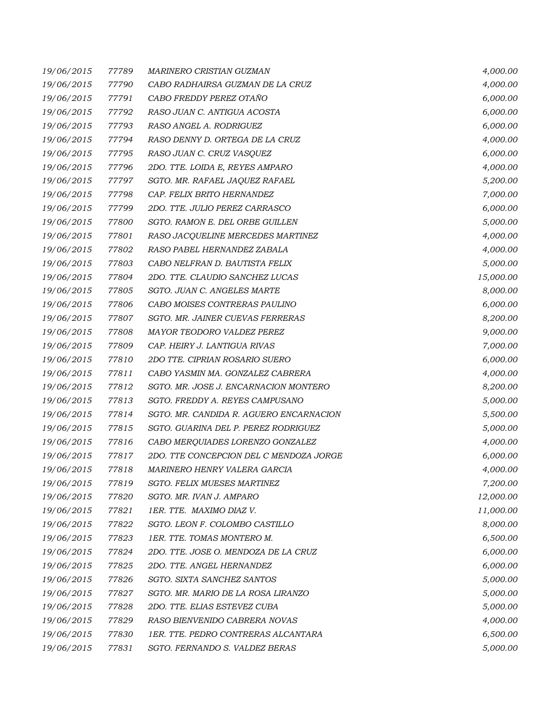| 19/06/2015 | 77789 | MARINERO CRISTIAN GUZMAN                | 4,000.00  |
|------------|-------|-----------------------------------------|-----------|
| 19/06/2015 | 77790 | CABO RADHAIRSA GUZMAN DE LA CRUZ        | 4,000.00  |
| 19/06/2015 | 77791 | CABO FREDDY PEREZ OTAÑO                 | 6,000.00  |
| 19/06/2015 | 77792 | RASO JUAN C. ANTIGUA ACOSTA             | 6,000.00  |
| 19/06/2015 | 77793 | RASO ANGEL A. RODRIGUEZ                 | 6,000.00  |
| 19/06/2015 | 77794 | RASO DENNY D. ORTEGA DE LA CRUZ         | 4,000.00  |
| 19/06/2015 | 77795 | RASO JUAN C. CRUZ VASQUEZ               | 6,000.00  |
| 19/06/2015 | 77796 | 2DO. TTE. LOIDA E, REYES AMPARO         | 4,000.00  |
| 19/06/2015 | 77797 | SGTO. MR. RAFAEL JAQUEZ RAFAEL          | 5,200.00  |
| 19/06/2015 | 77798 | CAP. FELIX BRITO HERNANDEZ              | 7,000.00  |
| 19/06/2015 | 77799 | 2DO. TTE. JULIO PEREZ CARRASCO          | 6,000.00  |
| 19/06/2015 | 77800 | SGTO. RAMON E. DEL ORBE GUILLEN         | 5,000.00  |
| 19/06/2015 | 77801 | RASO JACQUELINE MERCEDES MARTINEZ       | 4,000.00  |
| 19/06/2015 | 77802 | RASO PABEL HERNANDEZ ZABALA             | 4,000.00  |
| 19/06/2015 | 77803 | CABO NELFRAN D. BAUTISTA FELIX          | 5,000.00  |
| 19/06/2015 | 77804 | 2DO. TTE. CLAUDIO SANCHEZ LUCAS         | 15,000.00 |
| 19/06/2015 | 77805 | SGTO. JUAN C. ANGELES MARTE             | 8,000.00  |
| 19/06/2015 | 77806 | CABO MOISES CONTRERAS PAULINO           | 6,000.00  |
| 19/06/2015 | 77807 | SGTO. MR. JAINER CUEVAS FERRERAS        | 8,200.00  |
| 19/06/2015 | 77808 | MAYOR TEODORO VALDEZ PEREZ              | 9,000.00  |
| 19/06/2015 | 77809 | CAP. HEIRY J. LANTIGUA RIVAS            | 7,000.00  |
| 19/06/2015 | 77810 | 2DO TTE. CIPRIAN ROSARIO SUERO          | 6,000.00  |
| 19/06/2015 | 77811 | CABO YASMIN MA. GONZALEZ CABRERA        | 4,000.00  |
| 19/06/2015 | 77812 | SGTO. MR. JOSE J. ENCARNACION MONTERO   | 8,200.00  |
| 19/06/2015 | 77813 | SGTO. FREDDY A. REYES CAMPUSANO         | 5,000.00  |
| 19/06/2015 | 77814 | SGTO. MR. CANDIDA R. AGUERO ENCARNACION | 5,500.00  |
| 19/06/2015 | 77815 | SGTO. GUARINA DEL P. PEREZ RODRIGUEZ    | 5,000.00  |
| 19/06/2015 | 77816 | CABO MERQUIADES LORENZO GONZALEZ        | 4,000.00  |
| 19/06/2015 | 77817 | 2DO. TTE CONCEPCION DEL C MENDOZA JORGE | 6,000.00  |
| 19/06/2015 | 77818 | MARINERO HENRY VALERA GARCIA            | 4,000.00  |
| 19/06/2015 | 77819 | SGTO. FELIX MUESES MARTINEZ             | 7,200.00  |
| 19/06/2015 | 77820 | SGTO. MR. IVAN J. AMPARO                | 12,000.00 |
| 19/06/2015 | 77821 | 1ER. TTE. MAXIMO DIAZ V.                | 11,000.00 |
| 19/06/2015 | 77822 | SGTO. LEON F. COLOMBO CASTILLO          | 8,000.00  |
| 19/06/2015 | 77823 | 1ER. TTE. TOMAS MONTERO M.              | 6,500.00  |
| 19/06/2015 | 77824 | 2DO. TTE. JOSE O. MENDOZA DE LA CRUZ    | 6,000.00  |
| 19/06/2015 | 77825 | 2DO. TTE. ANGEL HERNANDEZ               | 6,000.00  |
| 19/06/2015 | 77826 | SGTO. SIXTA SANCHEZ SANTOS              | 5,000.00  |
| 19/06/2015 | 77827 | SGTO. MR. MARIO DE LA ROSA LIRANZO      | 5,000.00  |
| 19/06/2015 | 77828 | 2DO. TTE. ELIAS ESTEVEZ CUBA            | 5,000.00  |
| 19/06/2015 | 77829 | RASO BIENVENIDO CABRERA NOVAS           | 4,000.00  |
| 19/06/2015 | 77830 | 1ER. TTE. PEDRO CONTRERAS ALCANTARA     | 6,500.00  |
| 19/06/2015 | 77831 | SGTO. FERNANDO S. VALDEZ BERAS          | 5,000.00  |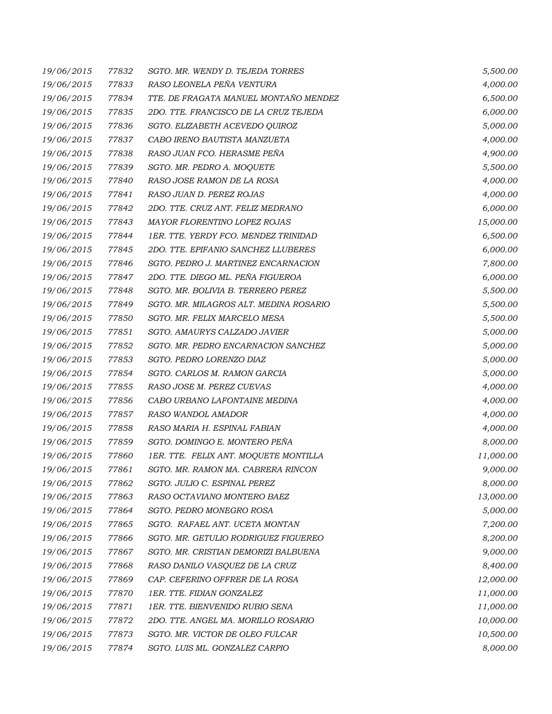| 19/06/2015 | 77832 | SGTO. MR. WENDY D. TEJEDA TORRES       | 5,500.00  |
|------------|-------|----------------------------------------|-----------|
| 19/06/2015 | 77833 | RASO LEONELA PEÑA VENTURA              | 4,000.00  |
| 19/06/2015 | 77834 | TTE. DE FRAGATA MANUEL MONTAÑO MENDEZ  | 6,500.00  |
| 19/06/2015 | 77835 | 2DO. TTE. FRANCISCO DE LA CRUZ TEJEDA  | 6,000.00  |
| 19/06/2015 | 77836 | SGTO. ELIZABETH ACEVEDO QUIROZ         | 5,000.00  |
| 19/06/2015 | 77837 | CABO IRENO BAUTISTA MANZUETA           | 4,000.00  |
| 19/06/2015 | 77838 | RASO JUAN FCO. HERASME PEÑA            | 4,900.00  |
| 19/06/2015 | 77839 | SGTO. MR. PEDRO A. MOQUETE             | 5,500.00  |
| 19/06/2015 | 77840 | RASO JOSE RAMON DE LA ROSA             | 4,000.00  |
| 19/06/2015 | 77841 | RASO JUAN D. PEREZ ROJAS               | 4,000.00  |
| 19/06/2015 | 77842 | 2DO. TTE. CRUZ ANT. FELIZ MEDRANO      | 6,000.00  |
| 19/06/2015 | 77843 | MAYOR FLORENTINO LOPEZ ROJAS           | 15,000.00 |
| 19/06/2015 | 77844 | 1ER. TTE. YERDY FCO. MENDEZ TRINIDAD   | 6,500.00  |
| 19/06/2015 | 77845 | 2DO. TTE. EPIFANIO SANCHEZ LLUBERES    | 6,000.00  |
| 19/06/2015 | 77846 | SGTO. PEDRO J. MARTINEZ ENCARNACION    | 7,800.00  |
| 19/06/2015 | 77847 | 2DO. TTE. DIEGO ML. PEÑA FIGUEROA      | 6,000.00  |
| 19/06/2015 | 77848 | SGTO. MR. BOLIVIA B. TERRERO PEREZ     | 5,500.00  |
| 19/06/2015 | 77849 | SGTO. MR. MILAGROS ALT. MEDINA ROSARIO | 5,500.00  |
| 19/06/2015 | 77850 | SGTO. MR. FELIX MARCELO MESA           | 5,500.00  |
| 19/06/2015 | 77851 | SGTO. AMAURYS CALZADO JAVIER           | 5,000.00  |
| 19/06/2015 | 77852 | SGTO. MR. PEDRO ENCARNACION SANCHEZ    | 5,000.00  |
| 19/06/2015 | 77853 | SGTO. PEDRO LORENZO DIAZ               | 5,000.00  |
| 19/06/2015 | 77854 | SGTO. CARLOS M. RAMON GARCIA           | 5,000.00  |
| 19/06/2015 | 77855 | RASO JOSE M. PEREZ CUEVAS              | 4,000.00  |
| 19/06/2015 | 77856 | CABO URBANO LAFONTAINE MEDINA          | 4,000.00  |
| 19/06/2015 | 77857 | RASO WANDOL AMADOR                     | 4,000.00  |
| 19/06/2015 | 77858 | RASO MARIA H. ESPINAL FABIAN           | 4,000.00  |
| 19/06/2015 | 77859 | SGTO. DOMINGO E. MONTERO PEÑA          | 8,000.00  |
| 19/06/2015 | 77860 | 1ER. TTE. FELIX ANT. MOQUETE MONTILLA  | 11,000.00 |
| 19/06/2015 | 77861 | SGTO. MR. RAMON MA. CABRERA RINCON     | 9,000.00  |
| 19/06/2015 | 77862 | SGTO. JULIO C. ESPINAL PEREZ           | 8,000.00  |
| 19/06/2015 | 77863 | RASO OCTAVIANO MONTERO BAEZ            | 13,000.00 |
| 19/06/2015 | 77864 | SGTO. PEDRO MONEGRO ROSA               | 5,000.00  |
| 19/06/2015 | 77865 | SGTO. RAFAEL ANT. UCETA MONTAN         | 7,200.00  |
| 19/06/2015 | 77866 | SGTO. MR. GETULIO RODRIGUEZ FIGUEREO   | 8,200.00  |
| 19/06/2015 | 77867 | SGTO. MR. CRISTIAN DEMORIZI BALBUENA   | 9,000.00  |
| 19/06/2015 | 77868 | RASO DANILO VASQUEZ DE LA CRUZ         | 8,400.00  |
| 19/06/2015 | 77869 | CAP. CEFERINO OFFRER DE LA ROSA        | 12,000.00 |
| 19/06/2015 | 77870 | 1ER. TTE. FIDIAN GONZALEZ              | 11,000.00 |
| 19/06/2015 | 77871 | 1ER. TTE. BIENVENIDO RUBIO SENA        | 11,000.00 |
| 19/06/2015 | 77872 | 2DO. TTE. ANGEL MA. MORILLO ROSARIO    | 10,000.00 |
| 19/06/2015 | 77873 | SGTO. MR. VICTOR DE OLEO FULCAR        | 10,500.00 |
| 19/06/2015 | 77874 | SGTO. LUIS ML. GONZALEZ CARPIO         | 8,000.00  |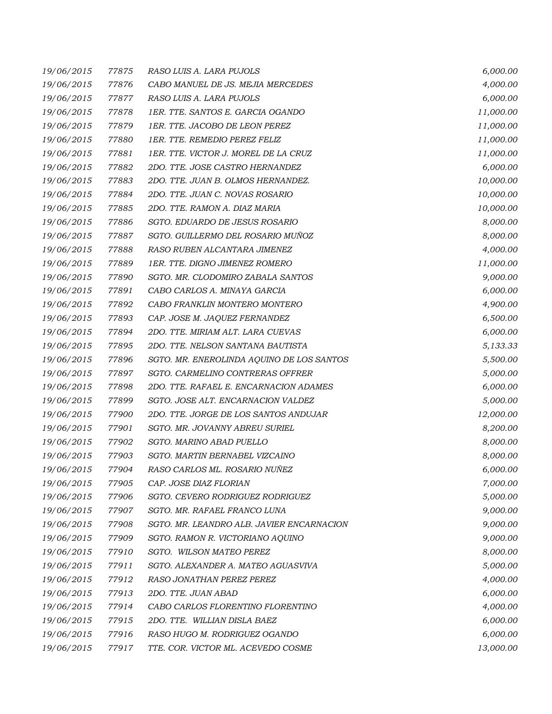| 19/06/2015 | 77875 | RASO LUIS A. LARA PUJOLS                  | 6,000.00  |
|------------|-------|-------------------------------------------|-----------|
| 19/06/2015 | 77876 | CABO MANUEL DE JS. MEJIA MERCEDES         | 4,000.00  |
| 19/06/2015 | 77877 | RASO LUIS A. LARA PUJOLS                  | 6,000.00  |
| 19/06/2015 | 77878 | 1ER. TTE. SANTOS E. GARCIA OGANDO         | 11,000.00 |
| 19/06/2015 | 77879 | 1ER. TTE. JACOBO DE LEON PEREZ            | 11,000.00 |
| 19/06/2015 | 77880 | 1ER. TTE. REMEDIO PEREZ FELIZ             | 11,000.00 |
| 19/06/2015 | 77881 | 1ER. TTE. VICTOR J. MOREL DE LA CRUZ      | 11,000.00 |
| 19/06/2015 | 77882 | 2DO. TTE. JOSE CASTRO HERNANDEZ           | 6,000.00  |
| 19/06/2015 | 77883 | 2DO. TTE. JUAN B. OLMOS HERNANDEZ.        | 10,000.00 |
| 19/06/2015 | 77884 | 2DO. TTE. JUAN C. NOVAS ROSARIO           | 10,000.00 |
| 19/06/2015 | 77885 | 2DO. TTE. RAMON A. DIAZ MARIA             | 10,000.00 |
| 19/06/2015 | 77886 | SGTO. EDUARDO DE JESUS ROSARIO            | 8,000.00  |
| 19/06/2015 | 77887 | SGTO. GUILLERMO DEL ROSARIO MUÑOZ         | 8,000.00  |
| 19/06/2015 | 77888 | RASO RUBEN ALCANTARA JIMENEZ              | 4,000.00  |
| 19/06/2015 | 77889 | 1ER. TTE. DIGNO JIMENEZ ROMERO            | 11,000.00 |
| 19/06/2015 | 77890 | SGTO. MR. CLODOMIRO ZABALA SANTOS         | 9,000.00  |
| 19/06/2015 | 77891 | CABO CARLOS A. MINAYA GARCIA              | 6,000.00  |
| 19/06/2015 | 77892 | CABO FRANKLIN MONTERO MONTERO             | 4,900.00  |
| 19/06/2015 | 77893 | CAP. JOSE M. JAQUEZ FERNANDEZ             | 6,500.00  |
| 19/06/2015 | 77894 | 2DO. TTE. MIRIAM ALT. LARA CUEVAS         | 6,000.00  |
| 19/06/2015 | 77895 | 2DO. TTE. NELSON SANTANA BAUTISTA         | 5,133.33  |
| 19/06/2015 | 77896 | SGTO. MR. ENEROLINDA AQUINO DE LOS SANTOS | 5,500.00  |
| 19/06/2015 | 77897 | SGTO. CARMELINO CONTRERAS OFFRER          | 5,000.00  |
| 19/06/2015 | 77898 | 2DO. TTE. RAFAEL E. ENCARNACION ADAMES    | 6,000.00  |
| 19/06/2015 | 77899 | SGTO. JOSE ALT. ENCARNACION VALDEZ        | 5,000.00  |
| 19/06/2015 | 77900 | 2DO. TTE. JORGE DE LOS SANTOS ANDUJAR     | 12,000.00 |
| 19/06/2015 | 77901 | SGTO. MR. JOVANNY ABREU SURIEL            | 8,200.00  |
| 19/06/2015 | 77902 | SGTO. MARINO ABAD PUELLO                  | 8,000.00  |
| 19/06/2015 | 77903 | SGTO. MARTIN BERNABEL VIZCAINO            | 8,000.00  |
| 19/06/2015 | 77904 | RASO CARLOS ML. ROSARIO NUÑEZ             | 6,000.00  |
| 19/06/2015 | 77905 | CAP. JOSE DIAZ FLORIAN                    | 7,000.00  |
| 19/06/2015 | 77906 | SGTO. CEVERO RODRIGUEZ RODRIGUEZ          | 5,000.00  |
| 19/06/2015 | 77907 | SGTO. MR. RAFAEL FRANCO LUNA              | 9,000.00  |
| 19/06/2015 | 77908 | SGTO. MR. LEANDRO ALB. JAVIER ENCARNACION | 9,000.00  |
| 19/06/2015 | 77909 | SGTO. RAMON R. VICTORIANO AQUINO          | 9,000.00  |
| 19/06/2015 | 77910 | SGTO. WILSON MATEO PEREZ                  | 8,000.00  |
| 19/06/2015 | 77911 | SGTO, ALEXANDER A. MATEO AGUASVIVA        | 5,000.00  |
| 19/06/2015 | 77912 | RASO JONATHAN PEREZ PEREZ                 | 4,000.00  |
| 19/06/2015 | 77913 | 2DO. TTE. JUAN ABAD                       | 6,000.00  |
| 19/06/2015 | 77914 | CABO CARLOS FLORENTINO FLORENTINO         | 4,000.00  |
| 19/06/2015 | 77915 | 2DO. TTE. WILLIAN DISLA BAEZ              | 6,000.00  |
| 19/06/2015 | 77916 | RASO HUGO M. RODRIGUEZ OGANDO             | 6,000.00  |
| 19/06/2015 | 77917 | TTE. COR. VICTOR ML. ACEVEDO COSME        | 13,000.00 |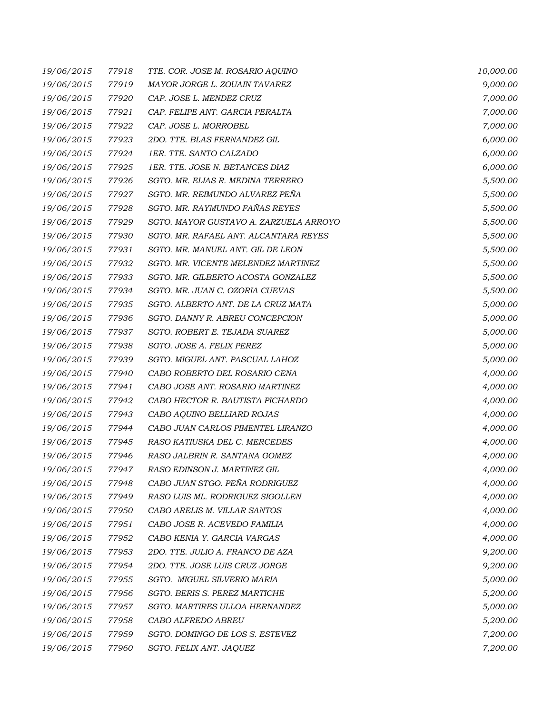| 19/06/2015 | 77918 | TTE. COR. JOSE M. ROSARIO AQUINO       | 10,000.00 |
|------------|-------|----------------------------------------|-----------|
| 19/06/2015 | 77919 | MAYOR JORGE L. ZOUAIN TAVAREZ          | 9,000.00  |
| 19/06/2015 | 77920 | CAP. JOSE L. MENDEZ CRUZ               | 7,000.00  |
| 19/06/2015 | 77921 | CAP. FELIPE ANT. GARCIA PERALTA        | 7,000.00  |
| 19/06/2015 | 77922 | CAP. JOSE L. MORROBEL                  | 7,000.00  |
| 19/06/2015 | 77923 | 2DO. TTE. BLAS FERNANDEZ GIL           | 6,000.00  |
| 19/06/2015 | 77924 | 1ER. TTE. SANTO CALZADO                | 6,000.00  |
| 19/06/2015 | 77925 | 1ER. TTE. JOSE N. BETANCES DIAZ        | 6,000.00  |
| 19/06/2015 | 77926 | SGTO. MR. ELIAS R. MEDINA TERRERO      | 5,500.00  |
| 19/06/2015 | 77927 | SGTO. MR. REIMUNDO ALVAREZ PEÑA        | 5,500.00  |
| 19/06/2015 | 77928 | SGTO. MR. RAYMUNDO FAÑAS REYES         | 5,500.00  |
| 19/06/2015 | 77929 | SGTO. MAYOR GUSTAVO A. ZARZUELA ARROYO | 5,500.00  |
| 19/06/2015 | 77930 | SGTO. MR. RAFAEL ANT. ALCANTARA REYES  | 5,500.00  |
| 19/06/2015 | 77931 | SGTO. MR. MANUEL ANT. GIL DE LEON      | 5,500.00  |
| 19/06/2015 | 77932 | SGTO. MR. VICENTE MELENDEZ MARTINEZ    | 5,500.00  |
| 19/06/2015 | 77933 | SGTO. MR. GILBERTO ACOSTA GONZALEZ     | 5,500.00  |
| 19/06/2015 | 77934 | SGTO. MR. JUAN C. OZORIA CUEVAS        | 5,500.00  |
| 19/06/2015 | 77935 | SGTO. ALBERTO ANT. DE LA CRUZ MATA     | 5,000.00  |
| 19/06/2015 | 77936 | SGTO. DANNY R. ABREU CONCEPCION        | 5,000.00  |
| 19/06/2015 | 77937 | SGTO. ROBERT E. TEJADA SUAREZ          | 5,000.00  |
| 19/06/2015 | 77938 | SGTO. JOSE A. FELIX PEREZ              | 5,000.00  |
| 19/06/2015 | 77939 | SGTO. MIGUEL ANT. PASCUAL LAHOZ        | 5,000.00  |
| 19/06/2015 | 77940 | CABO ROBERTO DEL ROSARIO CENA          | 4,000.00  |
| 19/06/2015 | 77941 | CABO JOSE ANT. ROSARIO MARTINEZ        | 4,000.00  |
| 19/06/2015 | 77942 | CABO HECTOR R. BAUTISTA PICHARDO       | 4,000.00  |
| 19/06/2015 | 77943 | CABO AQUINO BELLIARD ROJAS             | 4,000.00  |
| 19/06/2015 | 77944 | CABO JUAN CARLOS PIMENTEL LIRANZO      | 4,000.00  |
| 19/06/2015 | 77945 | RASO KATIUSKA DEL C. MERCEDES          | 4,000.00  |
| 19/06/2015 | 77946 | RASO JALBRIN R. SANTANA GOMEZ          | 4,000.00  |
| 19/06/2015 | 77947 | RASO EDINSON J. MARTINEZ GIL           | 4,000.00  |
| 19/06/2015 | 77948 | CABO JUAN STGO. PEÑA RODRIGUEZ         | 4,000.00  |
| 19/06/2015 | 77949 | RASO LUIS ML. RODRIGUEZ SIGOLLEN       | 4,000.00  |
| 19/06/2015 | 77950 | CABO ARELIS M. VILLAR SANTOS           | 4,000.00  |
| 19/06/2015 | 77951 | CABO JOSE R. ACEVEDO FAMILIA           | 4,000.00  |
| 19/06/2015 | 77952 | CABO KENIA Y. GARCIA VARGAS            | 4,000.00  |
| 19/06/2015 | 77953 | 2DO. TTE. JULIO A. FRANCO DE AZA       | 9,200.00  |
| 19/06/2015 | 77954 | 2DO. TTE. JOSE LUIS CRUZ JORGE         | 9,200.00  |
| 19/06/2015 | 77955 | SGTO. MIGUEL SILVERIO MARIA            | 5,000.00  |
| 19/06/2015 | 77956 | SGTO, BERIS S. PEREZ MARTICHE          | 5,200.00  |
| 19/06/2015 | 77957 | SGTO. MARTIRES ULLOA HERNANDEZ         | 5,000.00  |
| 19/06/2015 | 77958 | CABO ALFREDO ABREU                     | 5,200.00  |
| 19/06/2015 | 77959 | SGTO. DOMINGO DE LOS S. ESTEVEZ        | 7,200.00  |
| 19/06/2015 | 77960 | SGTO. FELIX ANT. JAQUEZ                | 7,200.00  |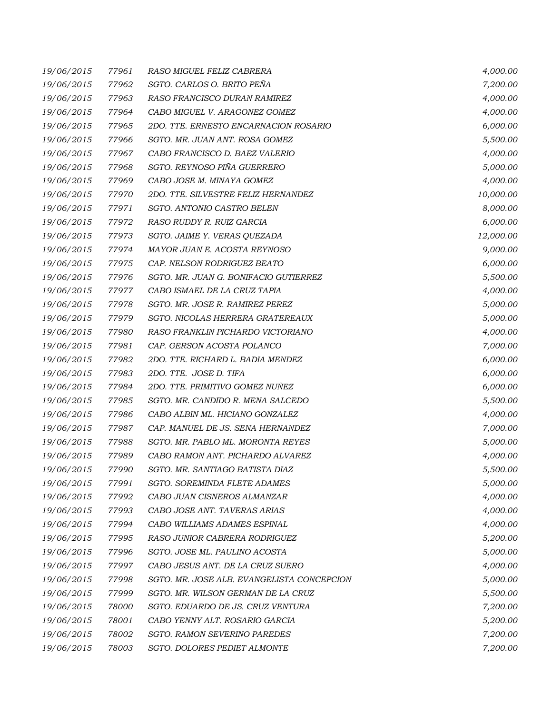| 19/06/2015 | 77961 | RASO MIGUEL FELIZ CABRERA                  | 4,000.00  |
|------------|-------|--------------------------------------------|-----------|
| 19/06/2015 | 77962 | SGTO. CARLOS O. BRITO PEÑA                 | 7,200.00  |
| 19/06/2015 | 77963 | RASO FRANCISCO DURAN RAMIREZ               | 4,000.00  |
| 19/06/2015 | 77964 | CABO MIGUEL V. ARAGONEZ GOMEZ              | 4,000.00  |
| 19/06/2015 | 77965 | 2DO. TTE. ERNESTO ENCARNACION ROSARIO      | 6,000.00  |
| 19/06/2015 | 77966 | SGTO. MR. JUAN ANT. ROSA GOMEZ             | 5,500.00  |
| 19/06/2015 | 77967 | CABO FRANCISCO D. BAEZ VALERIO             | 4,000.00  |
| 19/06/2015 | 77968 | SGTO. REYNOSO PIÑA GUERRERO                | 5,000.00  |
| 19/06/2015 | 77969 | CABO JOSE M. MINAYA GOMEZ                  | 4,000.00  |
| 19/06/2015 | 77970 | 2DO. TTE. SILVESTRE FELIZ HERNANDEZ        | 10,000.00 |
| 19/06/2015 | 77971 | SGTO. ANTONIO CASTRO BELEN                 | 8,000.00  |
| 19/06/2015 | 77972 | RASO RUDDY R. RUIZ GARCIA                  | 6,000.00  |
| 19/06/2015 | 77973 | SGTO. JAIME Y. VERAS QUEZADA               | 12,000.00 |
| 19/06/2015 | 77974 | MAYOR JUAN E. ACOSTA REYNOSO               | 9,000.00  |
| 19/06/2015 | 77975 | CAP. NELSON RODRIGUEZ BEATO                | 6,000.00  |
| 19/06/2015 | 77976 | SGTO. MR. JUAN G. BONIFACIO GUTIERREZ      | 5,500.00  |
| 19/06/2015 | 77977 | CABO ISMAEL DE LA CRUZ TAPIA               | 4,000.00  |
| 19/06/2015 | 77978 | SGTO. MR. JOSE R. RAMIREZ PEREZ            | 5,000.00  |
| 19/06/2015 | 77979 | SGTO. NICOLAS HERRERA GRATEREAUX           | 5,000.00  |
| 19/06/2015 | 77980 | RASO FRANKLIN PICHARDO VICTORIANO          | 4,000.00  |
| 19/06/2015 | 77981 | CAP. GERSON ACOSTA POLANCO                 | 7,000.00  |
| 19/06/2015 | 77982 | 2DO. TTE. RICHARD L. BADIA MENDEZ          | 6,000.00  |
| 19/06/2015 | 77983 | 2DO. TTE. JOSE D. TIFA                     | 6,000.00  |
| 19/06/2015 | 77984 | 2DO. TTE. PRIMITIVO GOMEZ NUÑEZ            | 6,000.00  |
| 19/06/2015 | 77985 | SGTO. MR. CANDIDO R. MENA SALCEDO          | 5,500.00  |
| 19/06/2015 | 77986 | CABO ALBIN ML. HICIANO GONZALEZ            | 4,000.00  |
| 19/06/2015 | 77987 | CAP. MANUEL DE JS. SENA HERNANDEZ          | 7,000.00  |
| 19/06/2015 | 77988 | SGTO. MR. PABLO ML. MORONTA REYES          | 5,000.00  |
| 19/06/2015 | 77989 | CABO RAMON ANT. PICHARDO ALVAREZ           | 4,000.00  |
| 19/06/2015 | 77990 | SGTO. MR. SANTIAGO BATISTA DIAZ            | 5,500.00  |
| 19/06/2015 | 77991 | SGTO. SOREMINDA FLETE ADAMES               | 5,000.00  |
| 19/06/2015 | 77992 | CABO JUAN CISNEROS ALMANZAR                | 4,000.00  |
| 19/06/2015 | 77993 | CABO JOSE ANT. TAVERAS ARIAS               | 4,000.00  |
| 19/06/2015 | 77994 | CABO WILLIAMS ADAMES ESPINAL               | 4,000.00  |
| 19/06/2015 | 77995 | RASO JUNIOR CABRERA RODRIGUEZ              | 5,200.00  |
| 19/06/2015 | 77996 | SGTO. JOSE ML. PAULINO ACOSTA              | 5,000.00  |
| 19/06/2015 | 77997 | CABO JESUS ANT. DE LA CRUZ SUERO           | 4,000.00  |
| 19/06/2015 | 77998 | SGTO. MR. JOSE ALB. EVANGELISTA CONCEPCION | 5,000.00  |
| 19/06/2015 | 77999 | SGTO. MR. WILSON GERMAN DE LA CRUZ         | 5,500.00  |
| 19/06/2015 | 78000 | SGTO. EDUARDO DE JS. CRUZ VENTURA          | 7,200.00  |
| 19/06/2015 | 78001 | CABO YENNY ALT. ROSARIO GARCIA             | 5,200.00  |
| 19/06/2015 | 78002 | <b>SGTO. RAMON SEVERINO PAREDES</b>        | 7,200.00  |
| 19/06/2015 | 78003 | SGTO. DOLORES PEDIET ALMONTE               | 7,200.00  |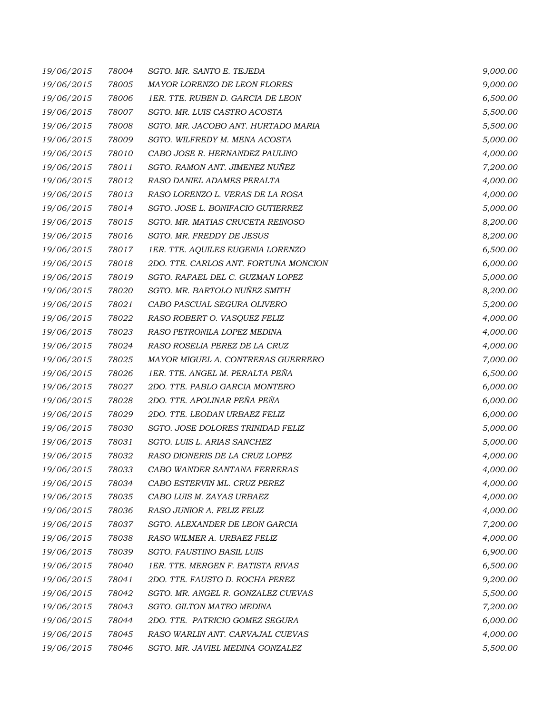| 19/06/2015 | 78004 | SGTO. MR. SANTO E. TEJEDA             | 9,000.00 |
|------------|-------|---------------------------------------|----------|
| 19/06/2015 | 78005 | MAYOR LORENZO DE LEON FLORES          | 9,000.00 |
| 19/06/2015 | 78006 | 1ER. TTE. RUBEN D. GARCIA DE LEON     | 6,500.00 |
| 19/06/2015 | 78007 | SGTO. MR. LUIS CASTRO ACOSTA          | 5,500.00 |
| 19/06/2015 | 78008 | SGTO. MR. JACOBO ANT. HURTADO MARIA   | 5,500.00 |
| 19/06/2015 | 78009 | SGTO. WILFREDY M. MENA ACOSTA         | 5,000.00 |
| 19/06/2015 | 78010 | CABO JOSE R. HERNANDEZ PAULINO        | 4,000.00 |
| 19/06/2015 | 78011 | SGTO. RAMON ANT. JIMENEZ NUÑEZ        | 7,200.00 |
| 19/06/2015 | 78012 | RASO DANIEL ADAMES PERALTA            | 4,000.00 |
| 19/06/2015 | 78013 | RASO LORENZO L. VERAS DE LA ROSA      | 4,000.00 |
| 19/06/2015 | 78014 | SGTO. JOSE L. BONIFACIO GUTIERREZ     | 5,000.00 |
| 19/06/2015 | 78015 | SGTO. MR. MATIAS CRUCETA REINOSO      | 8,200.00 |
| 19/06/2015 | 78016 | SGTO. MR. FREDDY DE JESUS             | 8,200.00 |
| 19/06/2015 | 78017 | 1ER. TTE. AQUILES EUGENIA LORENZO     | 6,500.00 |
| 19/06/2015 | 78018 | 2DO. TTE. CARLOS ANT. FORTUNA MONCION | 6,000.00 |
| 19/06/2015 | 78019 | SGTO. RAFAEL DEL C. GUZMAN LOPEZ      | 5,000.00 |
| 19/06/2015 | 78020 | SGTO. MR. BARTOLO NUÑEZ SMITH         | 8,200.00 |
| 19/06/2015 | 78021 | CABO PASCUAL SEGURA OLIVERO           | 5,200.00 |
| 19/06/2015 | 78022 | RASO ROBERT O. VASQUEZ FELIZ          | 4,000.00 |
| 19/06/2015 | 78023 | RASO PETRONILA LOPEZ MEDINA           | 4,000.00 |
| 19/06/2015 | 78024 | RASO ROSELIA PEREZ DE LA CRUZ         | 4,000.00 |
| 19/06/2015 | 78025 | MAYOR MIGUEL A. CONTRERAS GUERRERO    | 7,000.00 |
| 19/06/2015 | 78026 | 1ER. TTE. ANGEL M. PERALTA PEÑA       | 6,500.00 |
| 19/06/2015 | 78027 | 2DO. TTE. PABLO GARCIA MONTERO        | 6,000.00 |
| 19/06/2015 | 78028 | 2DO. TTE. APOLINAR PEÑA PEÑA          | 6,000.00 |
| 19/06/2015 | 78029 | 2DO. TTE. LEODAN URBAEZ FELIZ         | 6,000.00 |
| 19/06/2015 | 78030 | SGTO. JOSE DOLORES TRINIDAD FELIZ     | 5,000.00 |
| 19/06/2015 | 78031 | SGTO. LUIS L. ARIAS SANCHEZ           | 5,000.00 |
| 19/06/2015 | 78032 | RASO DIONERIS DE LA CRUZ LOPEZ        | 4,000.00 |
| 19/06/2015 | 78033 | CABO WANDER SANTANA FERRERAS          | 4,000.00 |
| 19/06/2015 | 78034 | CABO ESTERVIN ML. CRUZ PEREZ          | 4,000.00 |
| 19/06/2015 | 78035 | CABO LUIS M. ZAYAS URBAEZ             | 4,000.00 |
| 19/06/2015 | 78036 | RASO JUNIOR A. FELIZ FELIZ            | 4,000.00 |
| 19/06/2015 | 78037 | SGTO. ALEXANDER DE LEON GARCIA        | 7,200.00 |
| 19/06/2015 | 78038 | RASO WILMER A. URBAEZ FELIZ           | 4,000.00 |
| 19/06/2015 | 78039 | SGTO. FAUSTINO BASIL LUIS             | 6,900.00 |
| 19/06/2015 | 78040 | 1ER. TTE. MERGEN F. BATISTA RIVAS     | 6,500.00 |
| 19/06/2015 | 78041 | 2DO. TTE. FAUSTO D. ROCHA PEREZ       | 9,200.00 |
| 19/06/2015 | 78042 | SGTO. MR. ANGEL R. GONZALEZ CUEVAS    | 5,500.00 |
| 19/06/2015 | 78043 | SGTO. GILTON MATEO MEDINA             | 7,200.00 |
| 19/06/2015 | 78044 | 2DO. TTE. PATRICIO GOMEZ SEGURA       | 6,000.00 |
| 19/06/2015 | 78045 | RASO WARLIN ANT. CARVAJAL CUEVAS      | 4,000.00 |
| 19/06/2015 | 78046 | SGTO. MR. JAVIEL MEDINA GONZALEZ      | 5,500.00 |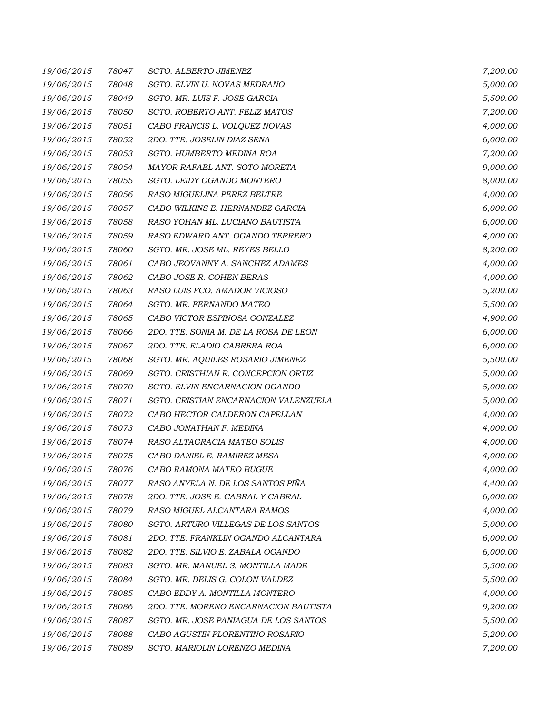| 19/06/2015 | 78047 | SGTO. ALBERTO JIMENEZ                 | 7,200.00 |
|------------|-------|---------------------------------------|----------|
| 19/06/2015 | 78048 | SGTO. ELVIN U. NOVAS MEDRANO          | 5,000.00 |
| 19/06/2015 | 78049 | SGTO. MR. LUIS F. JOSE GARCIA         | 5,500.00 |
| 19/06/2015 | 78050 | SGTO. ROBERTO ANT. FELIZ MATOS        | 7,200.00 |
| 19/06/2015 | 78051 | CABO FRANCIS L. VOLQUEZ NOVAS         | 4,000.00 |
| 19/06/2015 | 78052 | 2DO. TTE. JOSELIN DIAZ SENA           | 6,000.00 |
| 19/06/2015 | 78053 | SGTO. HUMBERTO MEDINA ROA             | 7,200.00 |
| 19/06/2015 | 78054 | MAYOR RAFAEL ANT. SOTO MORETA         | 9,000.00 |
| 19/06/2015 | 78055 | SGTO. LEIDY OGANDO MONTERO            | 8,000.00 |
| 19/06/2015 | 78056 | RASO MIGUELINA PEREZ BELTRE           | 4,000.00 |
| 19/06/2015 | 78057 | CABO WILKINS E. HERNANDEZ GARCIA      | 6,000.00 |
| 19/06/2015 | 78058 | RASO YOHAN ML. LUCIANO BAUTISTA       | 6,000.00 |
| 19/06/2015 | 78059 | RASO EDWARD ANT. OGANDO TERRERO       | 4,000.00 |
| 19/06/2015 | 78060 | SGTO. MR. JOSE ML. REYES BELLO        | 8,200.00 |
| 19/06/2015 | 78061 | CABO JEOVANNY A. SANCHEZ ADAMES       | 4,000.00 |
| 19/06/2015 | 78062 | CABO JOSE R. COHEN BERAS              | 4,000.00 |
| 19/06/2015 | 78063 | RASO LUIS FCO. AMADOR VICIOSO         | 5,200.00 |
| 19/06/2015 | 78064 | SGTO. MR. FERNANDO MATEO              | 5,500.00 |
| 19/06/2015 | 78065 | CABO VICTOR ESPINOSA GONZALEZ         | 4,900.00 |
| 19/06/2015 | 78066 | 2DO. TTE. SONIA M. DE LA ROSA DE LEON | 6,000.00 |
| 19/06/2015 | 78067 | 2DO. TTE. ELADIO CABRERA ROA          | 6,000.00 |
| 19/06/2015 | 78068 | SGTO. MR. AQUILES ROSARIO JIMENEZ     | 5,500.00 |
| 19/06/2015 | 78069 | SGTO. CRISTHIAN R. CONCEPCION ORTIZ   | 5,000.00 |
| 19/06/2015 | 78070 | SGTO. ELVIN ENCARNACION OGANDO        | 5,000.00 |
| 19/06/2015 | 78071 | SGTO. CRISTIAN ENCARNACION VALENZUELA | 5,000.00 |
| 19/06/2015 | 78072 | CABO HECTOR CALDERON CAPELLAN         | 4,000.00 |
| 19/06/2015 | 78073 | CABO JONATHAN F. MEDINA               | 4,000.00 |
| 19/06/2015 | 78074 | RASO ALTAGRACIA MATEO SOLIS           | 4,000.00 |
| 19/06/2015 | 78075 | CABO DANIEL E. RAMIREZ MESA           | 4,000.00 |
| 19/06/2015 | 78076 | CABO RAMONA MATEO BUGUE               | 4,000.00 |
| 19/06/2015 | 78077 | RASO ANYELA N. DE LOS SANTOS PIÑA     | 4,400.00 |
| 19/06/2015 | 78078 | 2DO. TTE. JOSE E. CABRAL Y CABRAL     | 6,000.00 |
| 19/06/2015 | 78079 | RASO MIGUEL ALCANTARA RAMOS           | 4,000.00 |
| 19/06/2015 | 78080 | SGTO. ARTURO VILLEGAS DE LOS SANTOS   | 5,000.00 |
| 19/06/2015 | 78081 | 2DO. TTE. FRANKLIN OGANDO ALCANTARA   | 6,000.00 |
| 19/06/2015 | 78082 | 2DO. TTE. SILVIO E. ZABALA OGANDO     | 6,000.00 |
| 19/06/2015 | 78083 | SGTO. MR. MANUEL S. MONTILLA MADE     | 5,500.00 |
| 19/06/2015 | 78084 | SGTO. MR. DELIS G. COLON VALDEZ       | 5,500.00 |
| 19/06/2015 | 78085 | CABO EDDY A. MONTILLA MONTERO         | 4,000.00 |
| 19/06/2015 | 78086 | 2DO. TTE. MORENO ENCARNACION BAUTISTA | 9,200.00 |
| 19/06/2015 | 78087 | SGTO. MR. JOSE PANIAGUA DE LOS SANTOS | 5,500.00 |
| 19/06/2015 | 78088 | CABO AGUSTIN FLORENTINO ROSARIO       | 5,200.00 |
| 19/06/2015 | 78089 | SGTO. MARIOLIN LORENZO MEDINA         | 7,200.00 |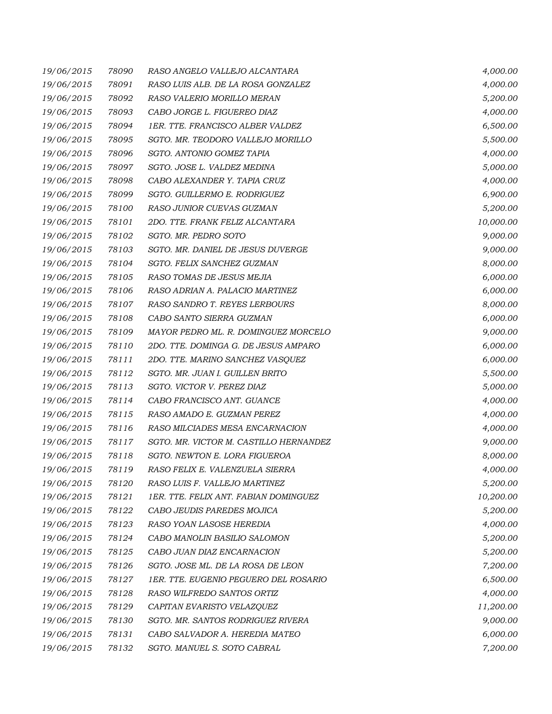| 19/06/2015 | 78090 | RASO ANGELO VALLEJO ALCANTARA          | 4,000.00  |
|------------|-------|----------------------------------------|-----------|
| 19/06/2015 | 78091 | RASO LUIS ALB. DE LA ROSA GONZALEZ     | 4,000.00  |
| 19/06/2015 | 78092 | RASO VALERIO MORILLO MERAN             | 5,200.00  |
| 19/06/2015 | 78093 | CABO JORGE L. FIGUEREO DIAZ            | 4,000.00  |
| 19/06/2015 | 78094 | 1ER. TTE. FRANCISCO ALBER VALDEZ       | 6,500.00  |
| 19/06/2015 | 78095 | SGTO. MR. TEODORO VALLEJO MORILLO      | 5,500.00  |
| 19/06/2015 | 78096 | SGTO. ANTONIO GOMEZ TAPIA              | 4,000.00  |
| 19/06/2015 | 78097 | SGTO. JOSE L. VALDEZ MEDINA            | 5,000.00  |
| 19/06/2015 | 78098 | CABO ALEXANDER Y. TAPIA CRUZ           | 4,000.00  |
| 19/06/2015 | 78099 | SGTO. GUILLERMO E. RODRIGUEZ           | 6,900.00  |
| 19/06/2015 | 78100 | RASO JUNIOR CUEVAS GUZMAN              | 5,200.00  |
| 19/06/2015 | 78101 | 2DO. TTE. FRANK FELIZ ALCANTARA        | 10,000.00 |
| 19/06/2015 | 78102 | SGTO. MR. PEDRO SOTO                   | 9,000.00  |
| 19/06/2015 | 78103 | SGTO. MR. DANIEL DE JESUS DUVERGE      | 9,000.00  |
| 19/06/2015 | 78104 | SGTO. FELIX SANCHEZ GUZMAN             | 8,000.00  |
| 19/06/2015 | 78105 | RASO TOMAS DE JESUS MEJIA              | 6,000.00  |
| 19/06/2015 | 78106 | RASO ADRIAN A. PALACIO MARTINEZ        | 6,000.00  |
| 19/06/2015 | 78107 | RASO SANDRO T. REYES LERBOURS          | 8,000.00  |
| 19/06/2015 | 78108 | CABO SANTO SIERRA GUZMAN               | 6,000.00  |
| 19/06/2015 | 78109 | MAYOR PEDRO ML. R. DOMINGUEZ MORCELO   | 9,000.00  |
| 19/06/2015 | 78110 | 2DO. TTE. DOMINGA G. DE JESUS AMPARO   | 6,000.00  |
| 19/06/2015 | 78111 | 2DO. TTE. MARINO SANCHEZ VASQUEZ       | 6,000.00  |
| 19/06/2015 | 78112 | SGTO. MR. JUAN I. GUILLEN BRITO        | 5,500.00  |
| 19/06/2015 | 78113 | SGTO. VICTOR V. PEREZ DIAZ             | 5,000.00  |
| 19/06/2015 | 78114 | CABO FRANCISCO ANT. GUANCE             | 4,000.00  |
| 19/06/2015 | 78115 | RASO AMADO E. GUZMAN PEREZ             | 4,000.00  |
| 19/06/2015 | 78116 | RASO MILCIADES MESA ENCARNACION        | 4,000.00  |
| 19/06/2015 | 78117 | SGTO. MR. VICTOR M. CASTILLO HERNANDEZ | 9,000.00  |
| 19/06/2015 | 78118 | SGTO. NEWTON E. LORA FIGUEROA          | 8,000.00  |
| 19/06/2015 | 78119 | RASO FELIX E. VALENZUELA SIERRA        | 4,000.00  |
| 19/06/2015 | 78120 | RASO LUIS F. VALLEJO MARTINEZ          | 5,200.00  |
| 19/06/2015 | 78121 | 1ER. TTE. FELIX ANT. FABIAN DOMINGUEZ  | 10,200.00 |
| 19/06/2015 | 78122 | CABO JEUDIS PAREDES MOJICA             | 5,200.00  |
| 19/06/2015 | 78123 | RASO YOAN LASOSE HEREDIA               | 4,000.00  |
| 19/06/2015 | 78124 | CABO MANOLIN BASILIO SALOMON           | 5,200.00  |
| 19/06/2015 | 78125 | CABO JUAN DIAZ ENCARNACION             | 5,200.00  |
| 19/06/2015 | 78126 | SGTO. JOSE ML. DE LA ROSA DE LEON      | 7,200.00  |
| 19/06/2015 | 78127 | 1ER. TTE. EUGENIO PEGUERO DEL ROSARIO  | 6,500.00  |
| 19/06/2015 | 78128 | RASO WILFREDO SANTOS ORTIZ             | 4,000.00  |
| 19/06/2015 | 78129 | CAPITAN EVARISTO VELAZQUEZ             | 11,200.00 |
| 19/06/2015 | 78130 | SGTO. MR. SANTOS RODRIGUEZ RIVERA      | 9,000.00  |
| 19/06/2015 | 78131 | CABO SALVADOR A. HEREDIA MATEO         | 6,000.00  |
| 19/06/2015 | 78132 | SGTO. MANUEL S. SOTO CABRAL            | 7,200.00  |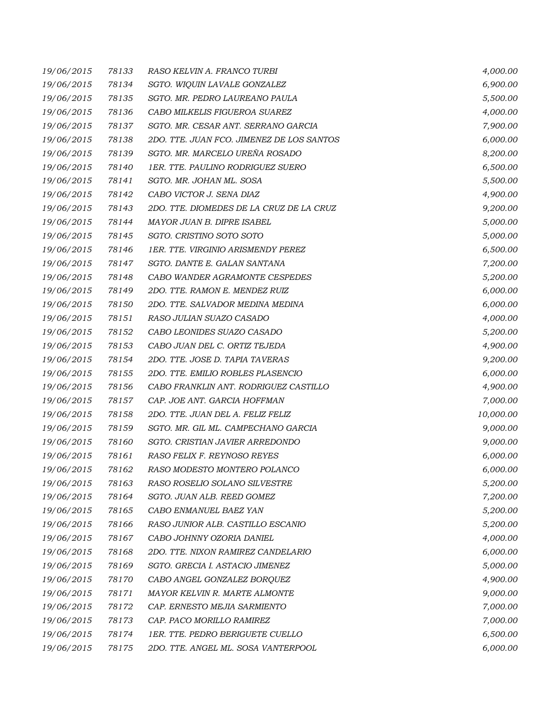| 19/06/2015 | 78133 | RASO KELVIN A. FRANCO TURBI               | 4,000.00  |
|------------|-------|-------------------------------------------|-----------|
| 19/06/2015 | 78134 | SGTO. WIQUIN LAVALE GONZALEZ              | 6,900.00  |
| 19/06/2015 | 78135 | SGTO. MR. PEDRO LAUREANO PAULA            | 5,500.00  |
| 19/06/2015 | 78136 | CABO MILKELIS FIGUEROA SUAREZ             | 4,000.00  |
| 19/06/2015 | 78137 | SGTO. MR. CESAR ANT. SERRANO GARCIA       | 7,900.00  |
| 19/06/2015 | 78138 | 2DO. TTE. JUAN FCO. JIMENEZ DE LOS SANTOS | 6,000.00  |
| 19/06/2015 | 78139 | SGTO. MR. MARCELO UREÑA ROSADO            | 8,200.00  |
| 19/06/2015 | 78140 | 1ER. TTE. PAULINO RODRIGUEZ SUERO         | 6,500.00  |
| 19/06/2015 | 78141 | SGTO. MR. JOHAN ML. SOSA                  | 5,500.00  |
| 19/06/2015 | 78142 | CABO VICTOR J. SENA DIAZ                  | 4,900.00  |
| 19/06/2015 | 78143 | 2DO. TTE. DIOMEDES DE LA CRUZ DE LA CRUZ  | 9,200.00  |
| 19/06/2015 | 78144 | MAYOR JUAN B. DIPRE ISABEL                | 5,000.00  |
| 19/06/2015 | 78145 | SGTO. CRISTINO SOTO SOTO                  | 5,000.00  |
| 19/06/2015 | 78146 | 1ER. TTE. VIRGINIO ARISMENDY PEREZ        | 6,500.00  |
| 19/06/2015 | 78147 | SGTO. DANTE E. GALAN SANTANA              | 7,200.00  |
| 19/06/2015 | 78148 | CABO WANDER AGRAMONTE CESPEDES            | 5,200.00  |
| 19/06/2015 | 78149 | 2DO. TTE. RAMON E. MENDEZ RUIZ            | 6,000.00  |
| 19/06/2015 | 78150 | 2DO. TTE. SALVADOR MEDINA MEDINA          | 6,000.00  |
| 19/06/2015 | 78151 | RASO JULIAN SUAZO CASADO                  | 4,000.00  |
| 19/06/2015 | 78152 | CABO LEONIDES SUAZO CASADO                | 5,200.00  |
| 19/06/2015 | 78153 | CABO JUAN DEL C. ORTIZ TEJEDA             | 4,900.00  |
| 19/06/2015 | 78154 | 2DO. TTE. JOSE D. TAPIA TAVERAS           | 9,200.00  |
| 19/06/2015 | 78155 | 2DO. TTE. EMILIO ROBLES PLASENCIO         | 6,000.00  |
| 19/06/2015 | 78156 | CABO FRANKLIN ANT. RODRIGUEZ CASTILLO     | 4,900.00  |
| 19/06/2015 | 78157 | CAP. JOE ANT. GARCIA HOFFMAN              | 7,000.00  |
| 19/06/2015 | 78158 | 2DO. TTE. JUAN DEL A. FELIZ FELIZ         | 10,000.00 |
| 19/06/2015 | 78159 | SGTO. MR. GIL ML. CAMPECHANO GARCIA       | 9,000.00  |
| 19/06/2015 | 78160 | SGTO. CRISTIAN JAVIER ARREDONDO           | 9,000.00  |
| 19/06/2015 | 78161 | RASO FELIX F. REYNOSO REYES               | 6,000.00  |
| 19/06/2015 | 78162 | RASO MODESTO MONTERO POLANCO              | 6,000.00  |
| 19/06/2015 | 78163 | RASO ROSELIO SOLANO SILVESTRE             | 5,200.00  |
| 19/06/2015 | 78164 | SGTO. JUAN ALB. REED GOMEZ                | 7,200.00  |
| 19/06/2015 | 78165 | CABO ENMANUEL BAEZ YAN                    | 5,200.00  |
| 19/06/2015 | 78166 | RASO JUNIOR ALB. CASTILLO ESCANIO         | 5,200.00  |
| 19/06/2015 | 78167 | CABO JOHNNY OZORIA DANIEL                 | 4,000.00  |
| 19/06/2015 | 78168 | 2DO. TTE. NIXON RAMIREZ CANDELARIO        | 6,000.00  |
| 19/06/2015 | 78169 | SGTO. GRECIA I. ASTACIO JIMENEZ           | 5,000.00  |
| 19/06/2015 | 78170 | CABO ANGEL GONZALEZ BORQUEZ               | 4,900.00  |
| 19/06/2015 | 78171 | MAYOR KELVIN R. MARTE ALMONTE             | 9,000.00  |
| 19/06/2015 | 78172 | CAP. ERNESTO MEJIA SARMIENTO              | 7,000.00  |
| 19/06/2015 | 78173 | CAP. PACO MORILLO RAMIREZ                 | 7,000.00  |
| 19/06/2015 | 78174 | 1ER. TTE. PEDRO BERIGUETE CUELLO          | 6,500.00  |
| 19/06/2015 | 78175 | 2DO. TTE. ANGEL ML. SOSA VANTERPOOL       | 6,000.00  |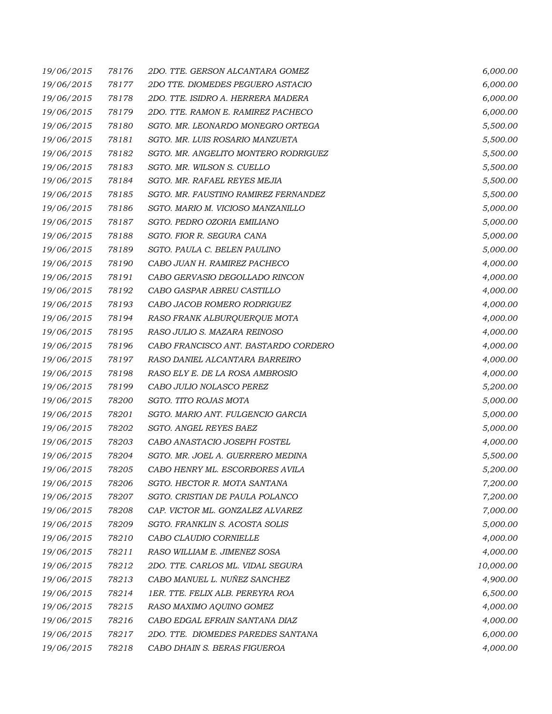| 19/06/2015 | 78176 | 2DO. TTE. GERSON ALCANTARA GOMEZ     | 6,000.00  |
|------------|-------|--------------------------------------|-----------|
| 19/06/2015 | 78177 | 2DO TTE. DIOMEDES PEGUERO ASTACIO    | 6,000.00  |
| 19/06/2015 | 78178 | 2DO. TTE. ISIDRO A. HERRERA MADERA   | 6,000.00  |
| 19/06/2015 | 78179 | 2DO. TTE. RAMON E. RAMIREZ PACHECO   | 6,000.00  |
| 19/06/2015 | 78180 | SGTO. MR. LEONARDO MONEGRO ORTEGA    | 5,500.00  |
| 19/06/2015 | 78181 | SGTO. MR. LUIS ROSARIO MANZUETA      | 5,500.00  |
| 19/06/2015 | 78182 | SGTO. MR. ANGELITO MONTERO RODRIGUEZ | 5,500.00  |
| 19/06/2015 | 78183 | SGTO. MR. WILSON S. CUELLO           | 5,500.00  |
| 19/06/2015 | 78184 | SGTO. MR. RAFAEL REYES MEJIA         | 5,500.00  |
| 19/06/2015 | 78185 | SGTO. MR. FAUSTINO RAMIREZ FERNANDEZ | 5,500.00  |
| 19/06/2015 | 78186 | SGTO. MARIO M. VICIOSO MANZANILLO    | 5,000.00  |
| 19/06/2015 | 78187 | SGTO. PEDRO OZORIA EMILIANO          | 5,000.00  |
| 19/06/2015 | 78188 | SGTO. FIOR R. SEGURA CANA            | 5,000.00  |
| 19/06/2015 | 78189 | SGTO. PAULA C. BELEN PAULINO         | 5,000.00  |
| 19/06/2015 | 78190 | CABO JUAN H. RAMIREZ PACHECO         | 4,000.00  |
| 19/06/2015 | 78191 | CABO GERVASIO DEGOLLADO RINCON       | 4,000.00  |
| 19/06/2015 | 78192 | CABO GASPAR ABREU CASTILLO           | 4,000.00  |
| 19/06/2015 | 78193 | CABO JACOB ROMERO RODRIGUEZ          | 4,000.00  |
| 19/06/2015 | 78194 | RASO FRANK ALBURQUERQUE MOTA         | 4,000.00  |
| 19/06/2015 | 78195 | RASO JULIO S. MAZARA REINOSO         | 4,000.00  |
| 19/06/2015 | 78196 | CABO FRANCISCO ANT. BASTARDO CORDERO | 4,000.00  |
| 19/06/2015 | 78197 | RASO DANIEL ALCANTARA BARREIRO       | 4,000.00  |
| 19/06/2015 | 78198 | RASO ELY E. DE LA ROSA AMBROSIO      | 4,000.00  |
| 19/06/2015 | 78199 | CABO JULIO NOLASCO PEREZ             | 5,200.00  |
| 19/06/2015 | 78200 | SGTO. TITO ROJAS MOTA                | 5,000.00  |
| 19/06/2015 | 78201 | SGTO. MARIO ANT. FULGENCIO GARCIA    | 5,000.00  |
| 19/06/2015 | 78202 | SGTO. ANGEL REYES BAEZ               | 5,000.00  |
| 19/06/2015 | 78203 | CABO ANASTACIO JOSEPH FOSTEL         | 4,000.00  |
| 19/06/2015 | 78204 | SGTO. MR. JOEL A. GUERRERO MEDINA    | 5,500.00  |
| 19/06/2015 | 78205 | CABO HENRY ML. ESCORBORES AVILA      | 5,200.00  |
| 19/06/2015 | 78206 | SGTO. HECTOR R. MOTA SANTANA         | 7,200.00  |
| 19/06/2015 | 78207 | SGTO. CRISTIAN DE PAULA POLANCO      | 7,200.00  |
| 19/06/2015 | 78208 | CAP. VICTOR ML. GONZALEZ ALVAREZ     | 7,000.00  |
| 19/06/2015 | 78209 | SGTO. FRANKLIN S. ACOSTA SOLIS       | 5,000.00  |
| 19/06/2015 | 78210 | CABO CLAUDIO CORNIELLE               | 4,000.00  |
| 19/06/2015 | 78211 | RASO WILLIAM E. JIMENEZ SOSA         | 4,000.00  |
| 19/06/2015 | 78212 | 2DO. TTE. CARLOS ML. VIDAL SEGURA    | 10,000.00 |
| 19/06/2015 | 78213 | CABO MANUEL L. NUÑEZ SANCHEZ         | 4,900.00  |
| 19/06/2015 | 78214 | 1ER. TTE. FELIX ALB. PEREYRA ROA     | 6,500.00  |
| 19/06/2015 | 78215 | RASO MAXIMO AQUINO GOMEZ             | 4,000.00  |
| 19/06/2015 | 78216 | CABO EDGAL EFRAIN SANTANA DIAZ       | 4,000.00  |
| 19/06/2015 | 78217 | 2DO. TTE. DIOMEDES PAREDES SANTANA   | 6,000.00  |
| 19/06/2015 | 78218 | CABO DHAIN S. BERAS FIGUEROA         | 4,000.00  |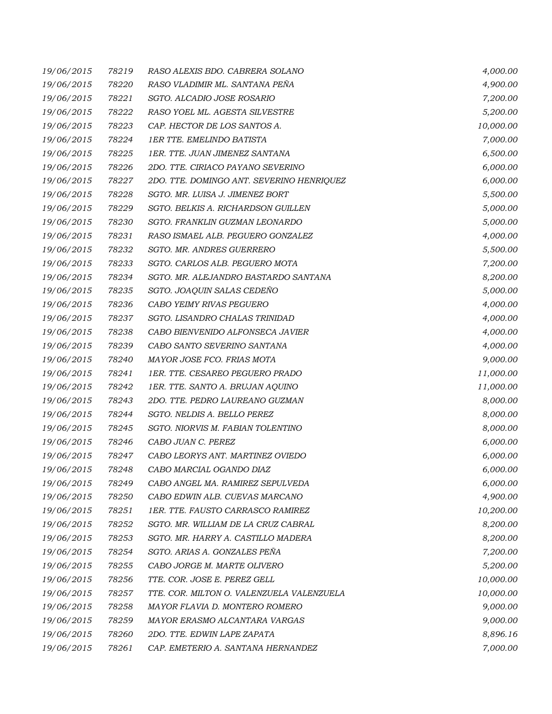| 19/06/2015 | 78219 | RASO ALEXIS BDO. CABRERA SOLANO           | 4,000.00  |
|------------|-------|-------------------------------------------|-----------|
| 19/06/2015 | 78220 | RASO VLADIMIR ML. SANTANA PEÑA            | 4,900.00  |
| 19/06/2015 | 78221 | SGTO. ALCADIO JOSE ROSARIO                | 7,200.00  |
| 19/06/2015 | 78222 | RASO YOEL ML. AGESTA SILVESTRE            | 5,200.00  |
| 19/06/2015 | 78223 | CAP. HECTOR DE LOS SANTOS A.              | 10,000.00 |
| 19/06/2015 | 78224 | <b>1ER TTE. EMELINDO BATISTA</b>          | 7,000.00  |
| 19/06/2015 | 78225 | 1ER. TTE. JUAN JIMENEZ SANTANA            | 6,500.00  |
| 19/06/2015 | 78226 | 2DO. TTE. CIRIACO PAYANO SEVERINO         | 6,000.00  |
| 19/06/2015 | 78227 | 2DO. TTE. DOMINGO ANT. SEVERINO HENRIQUEZ | 6,000.00  |
| 19/06/2015 | 78228 | SGTO. MR. LUISA J. JIMENEZ BORT           | 5,500.00  |
| 19/06/2015 | 78229 | SGTO. BELKIS A. RICHARDSON GUILLEN        | 5,000.00  |
| 19/06/2015 | 78230 | SGTO. FRANKLIN GUZMAN LEONARDO            | 5,000.00  |
| 19/06/2015 | 78231 | RASO ISMAEL ALB. PEGUERO GONZALEZ         | 4,000.00  |
| 19/06/2015 | 78232 | SGTO. MR. ANDRES GUERRERO                 | 5,500.00  |
| 19/06/2015 | 78233 | SGTO. CARLOS ALB. PEGUERO MOTA            | 7,200.00  |
| 19/06/2015 | 78234 | SGTO. MR. ALEJANDRO BASTARDO SANTANA      | 8,200.00  |
| 19/06/2015 | 78235 | SGTO. JOAQUIN SALAS CEDENO                | 5,000.00  |
| 19/06/2015 | 78236 | CABO YEIMY RIVAS PEGUERO                  | 4,000.00  |
| 19/06/2015 | 78237 | SGTO. LISANDRO CHALAS TRINIDAD            | 4,000.00  |
| 19/06/2015 | 78238 | CABO BIENVENIDO ALFONSECA JAVIER          | 4,000.00  |
| 19/06/2015 | 78239 | CABO SANTO SEVERINO SANTANA               | 4,000.00  |
| 19/06/2015 | 78240 | MAYOR JOSE FCO. FRIAS MOTA                | 9,000.00  |
| 19/06/2015 | 78241 | 1ER. TTE. CESAREO PEGUERO PRADO           | 11,000.00 |
| 19/06/2015 | 78242 | 1ER. TTE. SANTO A. BRUJAN AQUINO          | 11,000.00 |
| 19/06/2015 | 78243 | 2DO. TTE. PEDRO LAUREANO GUZMAN           | 8,000.00  |
| 19/06/2015 | 78244 | SGTO. NELDIS A. BELLO PEREZ               | 8,000.00  |
| 19/06/2015 | 78245 | SGTO. NIORVIS M. FABIAN TOLENTINO         | 8,000.00  |
| 19/06/2015 | 78246 | CABO JUAN C. PEREZ                        | 6,000.00  |
| 19/06/2015 | 78247 | CABO LEORYS ANT. MARTINEZ OVIEDO          | 6,000.00  |
| 19/06/2015 | 78248 | CABO MARCIAL OGANDO DIAZ                  | 6,000.00  |
| 19/06/2015 | 78249 | CABO ANGEL MA. RAMIREZ SEPULVEDA          | 6,000.00  |
| 19/06/2015 | 78250 | CABO EDWIN ALB. CUEVAS MARCANO            | 4,900.00  |
| 19/06/2015 | 78251 | 1ER. TTE. FAUSTO CARRASCO RAMIREZ         | 10,200.00 |
| 19/06/2015 | 78252 | SGTO. MR. WILLIAM DE LA CRUZ CABRAL       | 8,200.00  |
| 19/06/2015 | 78253 | SGTO. MR. HARRY A. CASTILLO MADERA        | 8,200.00  |
| 19/06/2015 | 78254 | SGTO. ARIAS A. GONZALES PEÑA              | 7,200.00  |
| 19/06/2015 | 78255 | CABO JORGE M. MARTE OLIVERO               | 5,200.00  |
| 19/06/2015 | 78256 | TTE. COR. JOSE E. PEREZ GELL              | 10,000.00 |
| 19/06/2015 | 78257 | TTE. COR. MILTON O. VALENZUELA VALENZUELA | 10,000.00 |
| 19/06/2015 | 78258 | MAYOR FLAVIA D. MONTERO ROMERO            | 9,000.00  |
| 19/06/2015 | 78259 | MAYOR ERASMO ALCANTARA VARGAS             | 9,000.00  |
| 19/06/2015 | 78260 | 2DO. TTE. EDWIN LAPE ZAPATA               | 8,896.16  |
| 19/06/2015 | 78261 | CAP. EMETERIO A. SANTANA HERNANDEZ        | 7,000.00  |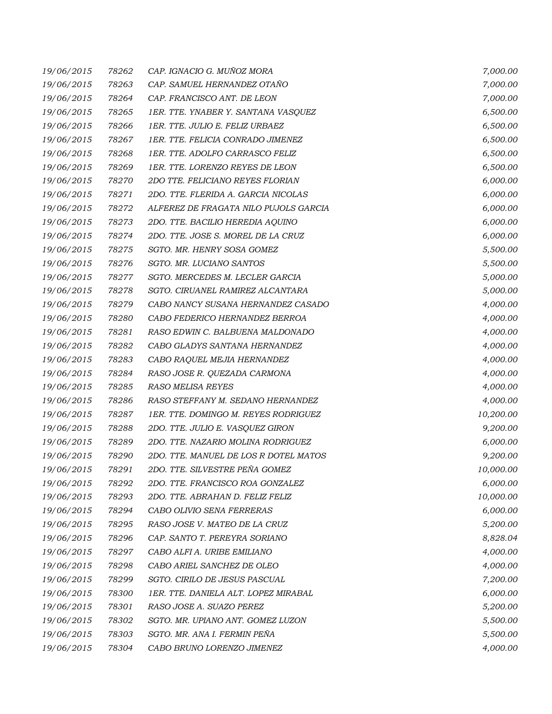| 19/06/2015 | 78262 | CAP. IGNACIO G. MUÑOZ MORA            | 7,000.00  |
|------------|-------|---------------------------------------|-----------|
| 19/06/2015 | 78263 | CAP. SAMUEL HERNANDEZ OTAÑO           | 7,000.00  |
| 19/06/2015 | 78264 | CAP. FRANCISCO ANT. DE LEON           | 7,000.00  |
| 19/06/2015 | 78265 | 1ER. TTE. YNABER Y. SANTANA VASQUEZ   | 6,500.00  |
| 19/06/2015 | 78266 | 1ER. TTE. JULIO E. FELIZ URBAEZ       | 6,500.00  |
| 19/06/2015 | 78267 | 1ER. TTE. FELICIA CONRADO JIMENEZ     | 6,500.00  |
| 19/06/2015 | 78268 | 1ER. TTE. ADOLFO CARRASCO FELIZ       | 6,500.00  |
| 19/06/2015 | 78269 | 1ER. TTE. LORENZO REYES DE LEON       | 6,500.00  |
| 19/06/2015 | 78270 | 2DO TTE. FELICIANO REYES FLORIAN      | 6,000.00  |
| 19/06/2015 | 78271 | 2DO. TTE. FLERIDA A. GARCIA NICOLAS   | 6,000.00  |
| 19/06/2015 | 78272 | ALFEREZ DE FRAGATA NILO PUJOLS GARCIA | 6,000.00  |
| 19/06/2015 | 78273 | 2DO. TTE. BACILIO HEREDIA AQUINO      | 6,000.00  |
| 19/06/2015 | 78274 | 2DO. TTE. JOSE S. MOREL DE LA CRUZ    | 6,000.00  |
| 19/06/2015 | 78275 | SGTO. MR. HENRY SOSA GOMEZ            | 5,500.00  |
| 19/06/2015 | 78276 | SGTO. MR. LUCIANO SANTOS              | 5,500.00  |
| 19/06/2015 | 78277 | SGTO. MERCEDES M. LECLER GARCIA       | 5,000.00  |
| 19/06/2015 | 78278 | SGTO. CIRUANEL RAMIREZ ALCANTARA      | 5,000.00  |
| 19/06/2015 | 78279 | CABO NANCY SUSANA HERNANDEZ CASADO    | 4,000.00  |
| 19/06/2015 | 78280 | CABO FEDERICO HERNANDEZ BERROA        | 4,000.00  |
| 19/06/2015 | 78281 | RASO EDWIN C. BALBUENA MALDONADO      | 4,000.00  |
| 19/06/2015 | 78282 | CABO GLADYS SANTANA HERNANDEZ         | 4,000.00  |
| 19/06/2015 | 78283 | CABO RAQUEL MEJIA HERNANDEZ           | 4,000.00  |
| 19/06/2015 | 78284 | RASO JOSE R. QUEZADA CARMONA          | 4,000.00  |
| 19/06/2015 | 78285 | <b>RASO MELISA REYES</b>              | 4,000.00  |
| 19/06/2015 | 78286 | RASO STEFFANY M. SEDANO HERNANDEZ     | 4,000.00  |
| 19/06/2015 | 78287 | 1ER. TTE. DOMINGO M. REYES RODRIGUEZ  | 10,200.00 |
| 19/06/2015 | 78288 | 2DO. TTE. JULIO E. VASQUEZ GIRON      | 9,200.00  |
| 19/06/2015 | 78289 | 2DO. TTE. NAZARIO MOLINA RODRIGUEZ    | 6,000.00  |
| 19/06/2015 | 78290 | 2DO. TTE. MANUEL DE LOS R DOTEL MATOS | 9,200.00  |
| 19/06/2015 | 78291 | 2DO. TTE. SILVESTRE PEÑA GOMEZ        | 10,000.00 |
| 19/06/2015 | 78292 | 2DO. TTE. FRANCISCO ROA GONZALEZ      | 6,000.00  |
| 19/06/2015 | 78293 | 2DO. TTE. ABRAHAN D. FELIZ FELIZ      | 10,000.00 |
| 19/06/2015 | 78294 | CABO OLIVIO SENA FERRERAS             | 6,000.00  |
| 19/06/2015 | 78295 | RASO JOSE V. MATEO DE LA CRUZ         | 5,200.00  |
| 19/06/2015 | 78296 | CAP. SANTO T. PEREYRA SORIANO         | 8,828.04  |
| 19/06/2015 | 78297 | CABO ALFI A. URIBE EMILIANO           | 4,000.00  |
| 19/06/2015 | 78298 | CABO ARIEL SANCHEZ DE OLEO            | 4,000.00  |
| 19/06/2015 | 78299 | SGTO. CIRILO DE JESUS PASCUAL         | 7,200.00  |
| 19/06/2015 | 78300 | 1ER. TTE. DANIELA ALT. LOPEZ MIRABAL  | 6,000.00  |
| 19/06/2015 | 78301 | RASO JOSE A. SUAZO PEREZ              | 5,200.00  |
| 19/06/2015 | 78302 | SGTO. MR. UPIANO ANT. GOMEZ LUZON     | 5,500.00  |
| 19/06/2015 | 78303 | SGTO. MR. ANA I. FERMIN PEÑA          | 5,500.00  |
| 19/06/2015 | 78304 | CABO BRUNO LORENZO JIMENEZ            | 4,000.00  |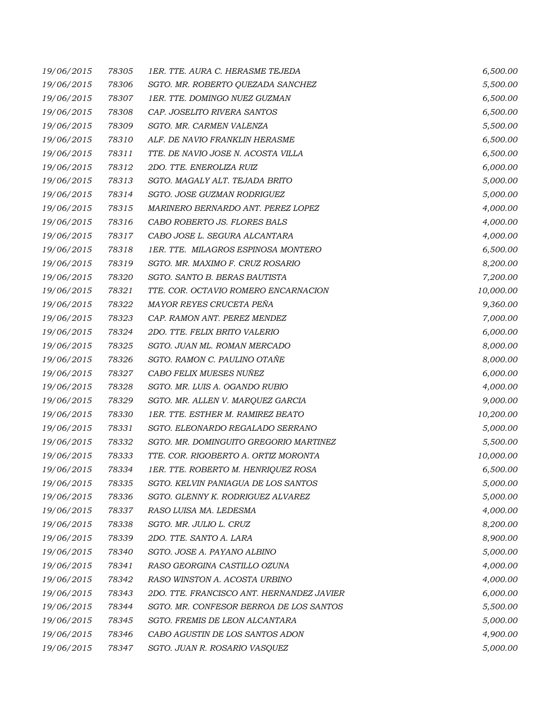| 19/06/2015 | 78305 | 1ER. TTE. AURA C. HERASME TEJEDA          | 6,500.00  |
|------------|-------|-------------------------------------------|-----------|
| 19/06/2015 | 78306 | SGTO. MR. ROBERTO QUEZADA SANCHEZ         | 5,500.00  |
| 19/06/2015 | 78307 | 1ER. TTE. DOMINGO NUEZ GUZMAN             | 6,500.00  |
| 19/06/2015 | 78308 | CAP. JOSELITO RIVERA SANTOS               | 6,500.00  |
| 19/06/2015 | 78309 | SGTO. MR. CARMEN VALENZA                  | 5,500.00  |
| 19/06/2015 | 78310 | ALF. DE NAVIO FRANKLIN HERASME            | 6,500.00  |
| 19/06/2015 | 78311 | TTE. DE NAVIO JOSE N. ACOSTA VILLA        | 6,500.00  |
| 19/06/2015 | 78312 | 2DO. TTE. ENEROLIZA RUIZ                  | 6,000.00  |
| 19/06/2015 | 78313 | SGTO. MAGALY ALT. TEJADA BRITO            | 5,000.00  |
| 19/06/2015 | 78314 | SGTO. JOSE GUZMAN RODRIGUEZ               | 5,000.00  |
| 19/06/2015 | 78315 | MARINERO BERNARDO ANT. PEREZ LOPEZ        | 4,000.00  |
| 19/06/2015 | 78316 | CABO ROBERTO JS. FLORES BALS              | 4,000.00  |
| 19/06/2015 | 78317 | CABO JOSE L. SEGURA ALCANTARA             | 4,000.00  |
| 19/06/2015 | 78318 | 1ER. TTE. MILAGROS ESPINOSA MONTERO       | 6,500.00  |
| 19/06/2015 | 78319 | SGTO. MR. MAXIMO F. CRUZ ROSARIO          | 8,200.00  |
| 19/06/2015 | 78320 | SGTO. SANTO B. BERAS BAUTISTA             | 7,200.00  |
| 19/06/2015 | 78321 | TTE. COR. OCTAVIO ROMERO ENCARNACION      | 10,000.00 |
| 19/06/2015 | 78322 | MAYOR REYES CRUCETA PEÑA                  | 9,360.00  |
| 19/06/2015 | 78323 | CAP. RAMON ANT. PEREZ MENDEZ              | 7,000.00  |
| 19/06/2015 | 78324 | 2DO. TTE. FELIX BRITO VALERIO             | 6,000.00  |
| 19/06/2015 | 78325 | SGTO. JUAN ML. ROMAN MERCADO              | 8,000.00  |
| 19/06/2015 | 78326 | SGTO. RAMON C. PAULINO OTAÑE              | 8,000.00  |
| 19/06/2015 | 78327 | CABO FELIX MUESES NUÑEZ                   | 6,000.00  |
| 19/06/2015 | 78328 | SGTO. MR. LUIS A. OGANDO RUBIO            | 4,000.00  |
| 19/06/2015 | 78329 | SGTO. MR. ALLEN V. MARQUEZ GARCIA         | 9,000.00  |
| 19/06/2015 | 78330 | 1ER. TTE. ESTHER M. RAMIREZ BEATO         | 10,200.00 |
| 19/06/2015 | 78331 | SGTO. ELEONARDO REGALADO SERRANO          | 5,000.00  |
| 19/06/2015 | 78332 | SGTO. MR. DOMINGUITO GREGORIO MARTINEZ    | 5,500.00  |
| 19/06/2015 | 78333 | TTE. COR. RIGOBERTO A. ORTIZ MORONTA      | 10,000.00 |
| 19/06/2015 | 78334 | 1ER. TTE. ROBERTO M. HENRIQUEZ ROSA       | 6,500.00  |
| 19/06/2015 | 78335 | SGTO. KELVIN PANIAGUA DE LOS SANTOS       | 5,000.00  |
| 19/06/2015 | 78336 | SGTO. GLENNY K. RODRIGUEZ ALVAREZ         | 5,000.00  |
| 19/06/2015 | 78337 | RASO LUISA MA. LEDESMA                    | 4,000.00  |
| 19/06/2015 | 78338 | SGTO. MR. JULIO L. CRUZ                   | 8,200.00  |
| 19/06/2015 | 78339 | 2DO. TTE. SANTO A. LARA                   | 8,900.00  |
| 19/06/2015 | 78340 | SGTO. JOSE A. PAYANO ALBINO               | 5,000.00  |
| 19/06/2015 | 78341 | RASO GEORGINA CASTILLO OZUNA              | 4,000.00  |
| 19/06/2015 | 78342 | RASO WINSTON A. ACOSTA URBINO             | 4,000.00  |
| 19/06/2015 | 78343 | 2DO. TTE. FRANCISCO ANT. HERNANDEZ JAVIER | 6,000.00  |
| 19/06/2015 | 78344 | SGTO. MR. CONFESOR BERROA DE LOS SANTOS   | 5,500.00  |
| 19/06/2015 | 78345 | SGTO. FREMIS DE LEON ALCANTARA            | 5,000.00  |
| 19/06/2015 | 78346 | CABO AGUSTIN DE LOS SANTOS ADON           | 4,900.00  |
| 19/06/2015 | 78347 | SGTO. JUAN R. ROSARIO VASQUEZ             | 5,000.00  |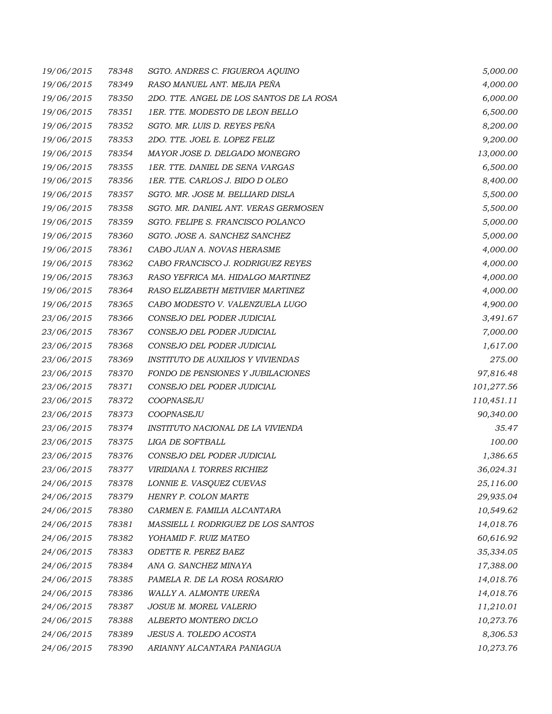| 19/06/2015 | 78348 | SGTO. ANDRES C. FIGUEROA AQUINO          | 5,000.00   |
|------------|-------|------------------------------------------|------------|
| 19/06/2015 | 78349 | RASO MANUEL ANT. MEJIA PEÑA              | 4,000.00   |
| 19/06/2015 | 78350 | 2DO. TTE. ANGEL DE LOS SANTOS DE LA ROSA | 6,000.00   |
| 19/06/2015 | 78351 | 1ER. TTE. MODESTO DE LEON BELLO          | 6,500.00   |
| 19/06/2015 | 78352 | SGTO. MR. LUIS D. REYES PEÑA             | 8,200.00   |
| 19/06/2015 | 78353 | 2DO. TTE. JOEL E. LOPEZ FELIZ            | 9,200.00   |
| 19/06/2015 | 78354 | MAYOR JOSE D. DELGADO MONEGRO            | 13,000.00  |
| 19/06/2015 | 78355 | 1ER. TTE. DANIEL DE SENA VARGAS          | 6,500.00   |
| 19/06/2015 | 78356 | 1ER. TTE. CARLOS J. BIDO D OLEO          | 8,400.00   |
| 19/06/2015 | 78357 | SGTO. MR. JOSE M. BELLIARD DISLA         | 5,500.00   |
| 19/06/2015 | 78358 | SGTO. MR. DANIEL ANT. VERAS GERMOSEN     | 5,500.00   |
| 19/06/2015 | 78359 | SGTO. FELIPE S. FRANCISCO POLANCO        | 5,000.00   |
| 19/06/2015 | 78360 | SGTO. JOSE A. SANCHEZ SANCHEZ            | 5,000.00   |
| 19/06/2015 | 78361 | CABO JUAN A. NOVAS HERASME               | 4,000.00   |
| 19/06/2015 | 78362 | CABO FRANCISCO J. RODRIGUEZ REYES        | 4,000.00   |
| 19/06/2015 | 78363 | RASO YEFRICA MA. HIDALGO MARTINEZ        | 4,000.00   |
| 19/06/2015 | 78364 | RASO ELIZABETH METIVIER MARTINEZ         | 4,000.00   |
| 19/06/2015 | 78365 | CABO MODESTO V. VALENZUELA LUGO          | 4,900.00   |
| 23/06/2015 | 78366 | CONSEJO DEL PODER JUDICIAL               | 3,491.67   |
| 23/06/2015 | 78367 | CONSEJO DEL PODER JUDICIAL               | 7,000.00   |
| 23/06/2015 | 78368 | CONSEJO DEL PODER JUDICIAL               | 1,617.00   |
| 23/06/2015 | 78369 | <b>INSTITUTO DE AUXILIOS Y VIVIENDAS</b> | 275.00     |
| 23/06/2015 | 78370 | FONDO DE PENSIONES Y JUBILACIONES        | 97,816.48  |
| 23/06/2015 | 78371 | CONSEJO DEL PODER JUDICIAL               | 101,277.56 |
| 23/06/2015 | 78372 | COOPNASEJU                               | 110,451.11 |
| 23/06/2015 | 78373 | COOPNASEJU                               | 90,340.00  |
| 23/06/2015 | 78374 | INSTITUTO NACIONAL DE LA VIVIENDA        | 35.47      |
| 23/06/2015 | 78375 | LIGA DE SOFTBALL                         | 100.00     |
| 23/06/2015 | 78376 | CONSEJO DEL PODER JUDICIAL               | 1,386.65   |
| 23/06/2015 | 78377 | VIRIDIANA I. TORRES RICHIEZ              | 36,024.31  |
| 24/06/2015 | 78378 | LONNIE E. VASQUEZ CUEVAS                 | 25,116.00  |
| 24/06/2015 | 78379 | HENRY P. COLON MARTE                     | 29,935.04  |
| 24/06/2015 | 78380 | CARMEN E. FAMILIA ALCANTARA              | 10,549.62  |
| 24/06/2015 | 78381 | MASSIELL I. RODRIGUEZ DE LOS SANTOS      | 14,018.76  |
| 24/06/2015 | 78382 | YOHAMID F. RUIZ MATEO                    | 60,616.92  |
| 24/06/2015 | 78383 | ODETTE R. PEREZ BAEZ                     | 35,334.05  |
| 24/06/2015 | 78384 | ANA G. SANCHEZ MINAYA                    | 17,388.00  |
| 24/06/2015 | 78385 | PAMELA R. DE LA ROSA ROSARIO             | 14,018.76  |
| 24/06/2015 | 78386 | WALLY A. ALMONTE UREÑA                   | 14,018.76  |
| 24/06/2015 | 78387 | JOSUE M. MOREL VALERIO                   | 11,210.01  |
| 24/06/2015 | 78388 | ALBERTO MONTERO DICLO                    | 10,273.76  |
| 24/06/2015 | 78389 | JESUS A. TOLEDO ACOSTA                   | 8,306.53   |
| 24/06/2015 | 78390 | ARIANNY ALCANTARA PANIAGUA               | 10,273.76  |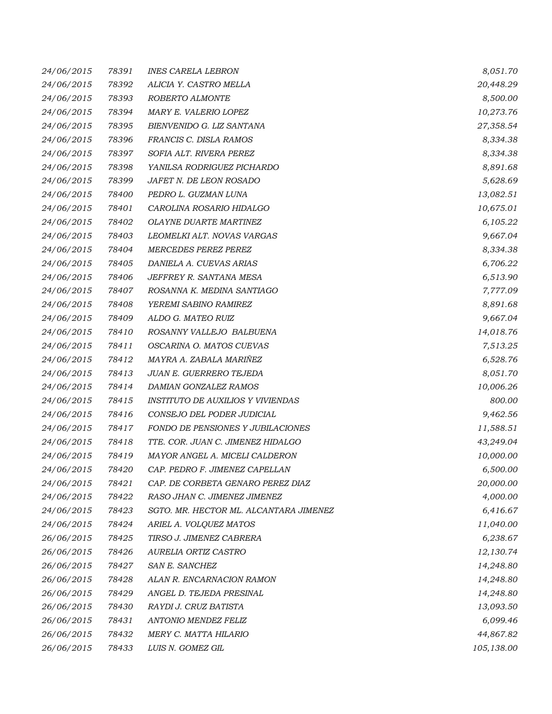| 24/06/2015        | 78391 | <b>INES CARELA LEBRON</b>                | 8,051.70   |
|-------------------|-------|------------------------------------------|------------|
| 24/06/2015        | 78392 | ALICIA Y. CASTRO MELLA                   | 20,448.29  |
| 24/06/2015        | 78393 | ROBERTO ALMONTE                          | 8,500.00   |
| 24/06/2015        | 78394 | MARY E. VALERIO LOPEZ                    | 10,273.76  |
| 24/06/2015        | 78395 | BIENVENIDO G. LIZ SANTANA                | 27,358.54  |
| 24/06/2015        | 78396 | FRANCIS C. DISLA RAMOS                   | 8,334.38   |
| 24/06/2015        | 78397 | SOFIA ALT. RIVERA PEREZ                  | 8,334.38   |
| 24/06/2015        | 78398 | YANILSA RODRIGUEZ PICHARDO               | 8,891.68   |
| 24/06/2015        | 78399 | JAFET N. DE LEON ROSADO                  | 5,628.69   |
| 24/06/2015        | 78400 | PEDRO L. GUZMAN LUNA                     | 13,082.51  |
| 24/06/2015        | 78401 | CAROLINA ROSARIO HIDALGO                 | 10,675.01  |
| 24/06/2015        | 78402 | OLAYNE DUARTE MARTINEZ                   | 6,105.22   |
| 24/06/2015        | 78403 | LEOMELKI ALT. NOVAS VARGAS               | 9,667.04   |
| 24/06/2015        | 78404 | <b>MERCEDES PEREZ PEREZ</b>              | 8,334.38   |
| 24/06/2015        | 78405 | DANIELA A. CUEVAS ARIAS                  | 6,706.22   |
| 24/06/2015        | 78406 | JEFFREY R. SANTANA MESA                  | 6,513.90   |
| 24/06/2015        | 78407 | ROSANNA K. MEDINA SANTIAGO               | 7,777.09   |
| 24/06/2015        | 78408 | YEREMI SABINO RAMIREZ                    | 8,891.68   |
| 24/06/2015        | 78409 | ALDO G. MATEO RUIZ                       | 9,667.04   |
| 24/06/2015        | 78410 | ROSANNY VALLEJO BALBUENA                 | 14,018.76  |
| 24/06/2015        | 78411 | OSCARINA O. MATOS CUEVAS                 | 7,513.25   |
| 24/06/2015        | 78412 | MAYRA A. ZABALA MARIÑEZ                  | 6,528.76   |
| 24/06/2015        | 78413 | JUAN E. GUERRERO TEJEDA                  | 8,051.70   |
| 24/06/2015        | 78414 | DAMIAN GONZALEZ RAMOS                    | 10,006.26  |
| 24/06/2015        | 78415 | <b>INSTITUTO DE AUXILIOS Y VIVIENDAS</b> | 800.00     |
| 24/06/2015        | 78416 | CONSEJO DEL PODER JUDICIAL               | 9,462.56   |
| 24/06/2015        | 78417 | FONDO DE PENSIONES Y JUBILACIONES        | 11,588.51  |
| 24/06/2015        | 78418 | TTE. COR. JUAN C. JIMENEZ HIDALGO        | 43,249.04  |
| 24/06/2015        | 78419 | MAYOR ANGEL A. MICELI CALDERON           | 10,000.00  |
| <i>24/06/2015</i> | 78420 | CAP. PEDRO F. JIMENEZ CAPELLAN           | 6,500.00   |
| 24/06/2015        | 78421 | CAP. DE CORBETA GENARO PEREZ DIAZ        | 20,000.00  |
| 24/06/2015        | 78422 | RASO JHAN C. JIMENEZ JIMENEZ             | 4,000.00   |
| 24/06/2015        | 78423 | SGTO. MR. HECTOR ML. ALCANTARA JIMENEZ   | 6,416.67   |
| 24/06/2015        | 78424 | ARIEL A. VOLQUEZ MATOS                   | 11,040.00  |
| 26/06/2015        | 78425 | TIRSO J. JIMENEZ CABRERA                 | 6,238.67   |
| 26/06/2015        | 78426 | AURELIA ORTIZ CASTRO                     | 12,130.74  |
| 26/06/2015        | 78427 | <b>SAN E. SANCHEZ</b>                    | 14,248.80  |
| 26/06/2015        | 78428 | ALAN R. ENCARNACION RAMON                | 14,248.80  |
| 26/06/2015        | 78429 | ANGEL D. TEJEDA PRESINAL                 | 14,248.80  |
| 26/06/2015        | 78430 | RAYDI J. CRUZ BATISTA                    | 13,093.50  |
| 26/06/2015        | 78431 | ANTONIO MENDEZ FELIZ                     | 6,099.46   |
| 26/06/2015        | 78432 | MERY C. MATTA HILARIO                    | 44,867.82  |
| 26/06/2015        | 78433 | LUIS N. GOMEZ GIL                        | 105,138.00 |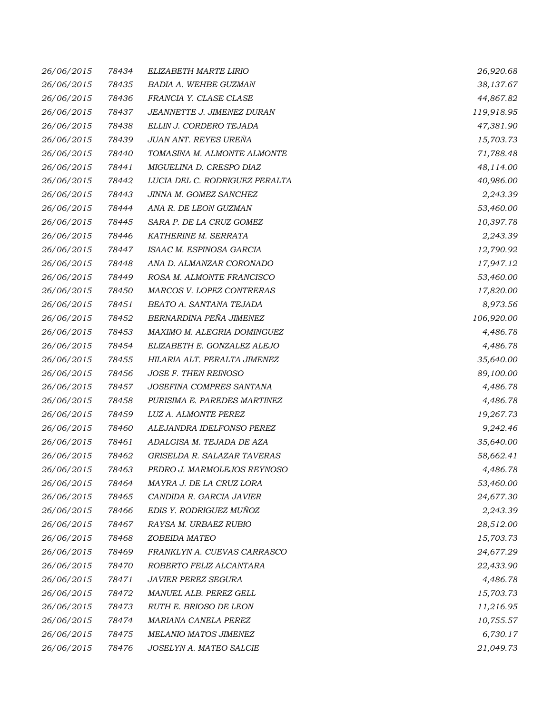| 26/06/2015 | 78434 | ELIZABETH MARTE LIRIO          | 26,920.68  |
|------------|-------|--------------------------------|------------|
| 26/06/2015 | 78435 | BADIA A. WEHBE GUZMAN          | 38,137.67  |
| 26/06/2015 | 78436 | FRANCIA Y. CLASE CLASE         | 44,867.82  |
| 26/06/2015 | 78437 | JEANNETTE J. JIMENEZ DURAN     | 119,918.95 |
| 26/06/2015 | 78438 | ELLIN J. CORDERO TEJADA        | 47,381.90  |
| 26/06/2015 | 78439 | JUAN ANT. REYES UREÑA          | 15,703.73  |
| 26/06/2015 | 78440 | TOMASINA M. ALMONTE ALMONTE    | 71,788.48  |
| 26/06/2015 | 78441 | MIGUELINA D. CRESPO DIAZ       | 48,114.00  |
| 26/06/2015 | 78442 | LUCIA DEL C. RODRIGUEZ PERALTA | 40,986.00  |
| 26/06/2015 | 78443 | JINNA M. GOMEZ SANCHEZ         | 2,243.39   |
| 26/06/2015 | 78444 | ANA R. DE LEON GUZMAN          | 53,460.00  |
| 26/06/2015 | 78445 | SARA P. DE LA CRUZ GOMEZ       | 10,397.78  |
| 26/06/2015 | 78446 | KATHERINE M. SERRATA           | 2,243.39   |
| 26/06/2015 | 78447 | ISAAC M. ESPINOSA GARCIA       | 12,790.92  |
| 26/06/2015 | 78448 | ANA D. ALMANZAR CORONADO       | 17,947.12  |
| 26/06/2015 | 78449 | ROSA M. ALMONTE FRANCISCO      | 53,460.00  |
| 26/06/2015 | 78450 | MARCOS V. LOPEZ CONTRERAS      | 17,820.00  |
| 26/06/2015 | 78451 | BEATO A. SANTANA TEJADA        | 8,973.56   |
| 26/06/2015 | 78452 | BERNARDINA PEÑA JIMENEZ        | 106,920.00 |
| 26/06/2015 | 78453 | MAXIMO M. ALEGRIA DOMINGUEZ    | 4,486.78   |
| 26/06/2015 | 78454 | ELIZABETH E. GONZALEZ ALEJO    | 4,486.78   |
| 26/06/2015 | 78455 | HILARIA ALT. PERALTA JIMENEZ   | 35,640.00  |
| 26/06/2015 | 78456 | JOSE F. THEN REINOSO           | 89,100.00  |
| 26/06/2015 | 78457 | JOSEFINA COMPRES SANTANA       | 4,486.78   |
| 26/06/2015 | 78458 | PURISIMA E. PAREDES MARTINEZ   | 4,486.78   |
| 26/06/2015 | 78459 | LUZ A. ALMONTE PEREZ           | 19,267.73  |
| 26/06/2015 | 78460 | ALEJANDRA IDELFONSO PEREZ      | 9,242.46   |
| 26/06/2015 | 78461 | ADALGISA M. TEJADA DE AZA      | 35,640.00  |
| 26/06/2015 | 78462 | GRISELDA R. SALAZAR TAVERAS    | 58,662.41  |
| 26/06/2015 | 78463 | PEDRO J. MARMOLEJOS REYNOSO    | 4,486.78   |
| 26/06/2015 | 78464 | MAYRA J. DE LA CRUZ LORA       | 53,460.00  |
| 26/06/2015 | 78465 | CANDIDA R. GARCIA JAVIER       | 24,677.30  |
| 26/06/2015 | 78466 | EDIS Y. RODRIGUEZ MUÑOZ        | 2,243.39   |
| 26/06/2015 | 78467 | RAYSA M. URBAEZ RUBIO          | 28,512.00  |
| 26/06/2015 | 78468 | ZOBEIDA MATEO                  | 15,703.73  |
| 26/06/2015 | 78469 | FRANKLYN A. CUEVAS CARRASCO    | 24,677.29  |
| 26/06/2015 | 78470 | ROBERTO FELIZ ALCANTARA        | 22,433.90  |
| 26/06/2015 | 78471 | <b>JAVIER PEREZ SEGURA</b>     | 4,486.78   |
| 26/06/2015 | 78472 | MANUEL ALB. PEREZ GELL         | 15,703.73  |
| 26/06/2015 | 78473 | <i>RUTH E. BRIOSO DE LEON</i>  | 11,216.95  |
| 26/06/2015 | 78474 | MARIANA CANELA PEREZ           | 10,755.57  |
| 26/06/2015 | 78475 | MELANIO MATOS JIMENEZ          | 6,730.17   |
| 26/06/2015 | 78476 | JOSELYN A. MATEO SALCIE        | 21,049.73  |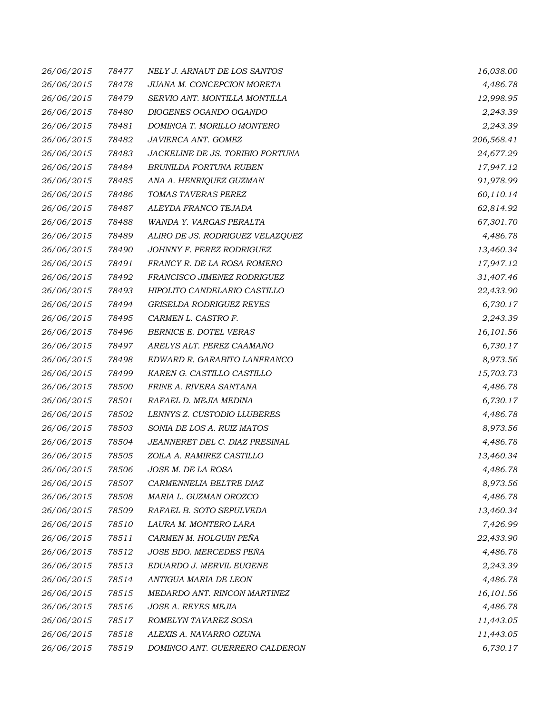| 26/06/2015 | 78477 | NELY J. ARNAUT DE LOS SANTOS     | 16,038.00  |
|------------|-------|----------------------------------|------------|
| 26/06/2015 | 78478 | JUANA M. CONCEPCION MORETA       | 4,486.78   |
| 26/06/2015 | 78479 | SERVIO ANT. MONTILLA MONTILLA    | 12,998.95  |
| 26/06/2015 | 78480 | DIOGENES OGANDO OGANDO           | 2,243.39   |
| 26/06/2015 | 78481 | DOMINGA T. MORILLO MONTERO       | 2,243.39   |
| 26/06/2015 | 78482 | JAVIERCA ANT. GOMEZ              | 206,568.41 |
| 26/06/2015 | 78483 | JACKELINE DE JS. TORIBIO FORTUNA | 24,677.29  |
| 26/06/2015 | 78484 | BRUNILDA FORTUNA RUBEN           | 17,947.12  |
| 26/06/2015 | 78485 | ANA A. HENRIQUEZ GUZMAN          | 91,978.99  |
| 26/06/2015 | 78486 | TOMAS TAVERAS PEREZ              | 60,110.14  |
| 26/06/2015 | 78487 | ALEYDA FRANCO TEJADA             | 62,814.92  |
| 26/06/2015 | 78488 | WANDA Y. VARGAS PERALTA          | 67,301.70  |
| 26/06/2015 | 78489 | ALIRO DE JS. RODRIGUEZ VELAZQUEZ | 4,486.78   |
| 26/06/2015 | 78490 | JOHNNY F. PEREZ RODRIGUEZ        | 13,460.34  |
| 26/06/2015 | 78491 | FRANCY R. DE LA ROSA ROMERO      | 17,947.12  |
| 26/06/2015 | 78492 | FRANCISCO JIMENEZ RODRIGUEZ      | 31,407.46  |
| 26/06/2015 | 78493 | HIPOLITO CANDELARIO CASTILLO     | 22,433.90  |
| 26/06/2015 | 78494 | GRISELDA RODRIGUEZ REYES         | 6,730.17   |
| 26/06/2015 | 78495 | CARMEN L. CASTRO F.              | 2,243.39   |
| 26/06/2015 | 78496 | BERNICE E. DOTEL VERAS           | 16,101.56  |
| 26/06/2015 | 78497 | ARELYS ALT. PEREZ CAAMAÑO        | 6,730.17   |
| 26/06/2015 | 78498 | EDWARD R. GARABITO LANFRANCO     | 8,973.56   |
| 26/06/2015 | 78499 | KAREN G. CASTILLO CASTILLO       | 15,703.73  |
| 26/06/2015 | 78500 | FRINE A. RIVERA SANTANA          | 4,486.78   |
| 26/06/2015 | 78501 | RAFAEL D. MEJIA MEDINA           | 6,730.17   |
| 26/06/2015 | 78502 | LENNYS Z. CUSTODIO LLUBERES      | 4,486.78   |
| 26/06/2015 | 78503 | SONIA DE LOS A. RUIZ MATOS       | 8,973.56   |
| 26/06/2015 | 78504 | JEANNERET DEL C. DIAZ PRESINAL   | 4,486.78   |
| 26/06/2015 | 78505 | ZOILA A. RAMIREZ CASTILLO        | 13,460.34  |
| 26/06/2015 | 78506 | JOSE M. DE LA ROSA               | 4,486.78   |
| 26/06/2015 | 78507 | CARMENNELIA BELTRE DIAZ          | 8,973.56   |
| 26/06/2015 | 78508 | MARIA L. GUZMAN OROZCO           | 4,486.78   |
| 26/06/2015 | 78509 | RAFAEL B. SOTO SEPULVEDA         | 13,460.34  |
| 26/06/2015 | 78510 | LAURA M. MONTERO LARA            | 7,426.99   |
| 26/06/2015 | 78511 | CARMEN M. HOLGUIN PEÑA           | 22,433.90  |
| 26/06/2015 | 78512 | JOSE BDO. MERCEDES PEÑA          | 4,486.78   |
| 26/06/2015 | 78513 | EDUARDO J. MERVIL EUGENE         | 2,243.39   |
| 26/06/2015 | 78514 | ANTIGUA MARIA DE LEON            | 4,486.78   |
| 26/06/2015 | 78515 | MEDARDO ANT. RINCON MARTINEZ     | 16,101.56  |
| 26/06/2015 | 78516 | JOSE A. REYES MEJIA              | 4,486.78   |
| 26/06/2015 | 78517 | ROMELYN TAVAREZ SOSA             | 11,443.05  |
| 26/06/2015 | 78518 | ALEXIS A. NAVARRO OZUNA          | 11,443.05  |
| 26/06/2015 | 78519 | DOMINGO ANT. GUERRERO CALDERON   | 6,730.17   |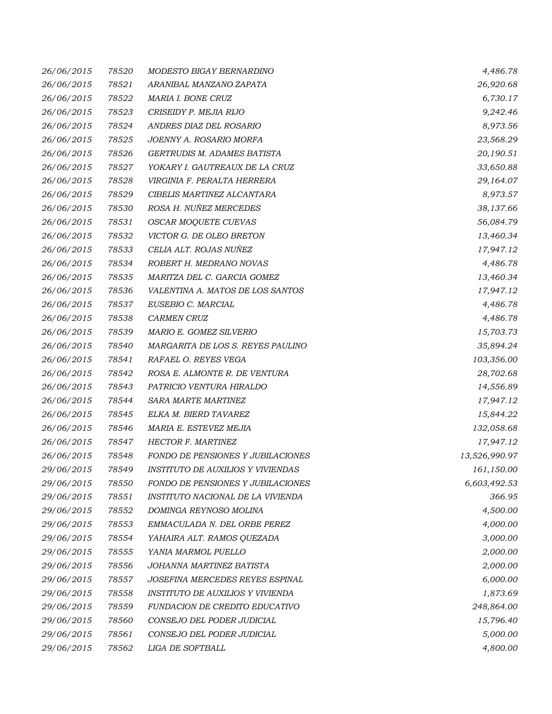| 26/06/2015 | 78520 | MODESTO BIGAY BERNARDINO          | 4,486.78      |
|------------|-------|-----------------------------------|---------------|
| 26/06/2015 | 78521 | ARANIBAL MANZANO ZAPATA           | 26,920.68     |
| 26/06/2015 | 78522 | MARIA I. BONE CRUZ                | 6,730.17      |
| 26/06/2015 | 78523 | CRISEIDY P. MEJIA RIJO            | 9,242.46      |
| 26/06/2015 | 78524 | ANDRES DIAZ DEL ROSARIO           | 8,973.56      |
| 26/06/2015 | 78525 | JOENNY A. ROSARIO MORFA           | 23,568.29     |
| 26/06/2015 | 78526 | GERTRUDIS M. ADAMES BATISTA       | 20,190.51     |
| 26/06/2015 | 78527 | YOKARY I. GAUTREAUX DE LA CRUZ    | 33,650.88     |
| 26/06/2015 | 78528 | VIRGINIA F. PERALTA HERRERA       | 29,164.07     |
| 26/06/2015 | 78529 | CIBELIS MARTINEZ ALCANTARA        | 8,973.57      |
| 26/06/2015 | 78530 | ROSA H. NUÑEZ MERCEDES            | 38,137.66     |
| 26/06/2015 | 78531 | OSCAR MOQUETE CUEVAS              | 56,084.79     |
| 26/06/2015 | 78532 | VICTOR G. DE OLEO BRETON          | 13,460.34     |
| 26/06/2015 | 78533 | CELIA ALT. ROJAS NUÑEZ            | 17,947.12     |
| 26/06/2015 | 78534 | ROBERT H. MEDRANO NOVAS           | 4,486.78      |
| 26/06/2015 | 78535 | MARITZA DEL C. GARCIA GOMEZ       | 13,460.34     |
| 26/06/2015 | 78536 | VALENTINA A. MATOS DE LOS SANTOS  | 17,947.12     |
| 26/06/2015 | 78537 | EUSEBIO C. MARCIAL                | 4,486.78      |
| 26/06/2015 | 78538 | <b>CARMEN CRUZ</b>                | 4,486.78      |
| 26/06/2015 | 78539 | MARIO E. GOMEZ SILVERIO           | 15,703.73     |
| 26/06/2015 | 78540 | MARGARITA DE LOS S. REYES PAULINO | 35,894.24     |
| 26/06/2015 | 78541 | RAFAEL O. REYES VEGA              | 103,356.00    |
| 26/06/2015 | 78542 | ROSA E. ALMONTE R. DE VENTURA     | 28,702.68     |
| 26/06/2015 | 78543 | PATRICIO VENTURA HIRALDO          | 14,556.89     |
| 26/06/2015 | 78544 | SARA MARTE MARTINEZ               | 17,947.12     |
| 26/06/2015 | 78545 | ELKA M. BIERD TAVAREZ             | 15,844.22     |
| 26/06/2015 | 78546 | MARIA E. ESTEVEZ MEJIA            | 132,058.68    |
| 26/06/2015 | 78547 | HECTOR F. MARTINEZ                | 17,947.12     |
| 26/06/2015 | 78548 | FONDO DE PENSIONES Y JUBILACIONES | 13,526,990.97 |
| 29/06/2015 | 78549 | INSTITUTO DE AUXILIOS Y VIVIENDAS | 161,150.00    |
| 29/06/2015 | 78550 | FONDO DE PENSIONES Y JUBILACIONES | 6,603,492.53  |
| 29/06/2015 | 78551 | INSTITUTO NACIONAL DE LA VIVIENDA | 366.95        |
| 29/06/2015 | 78552 | DOMINGA REYNOSO MOLINA            | 4,500.00      |
| 29/06/2015 | 78553 | EMMACULADA N. DEL ORBE PEREZ      | 4,000.00      |
| 29/06/2015 | 78554 | YAHAIRA ALT. RAMOS QUEZADA        | 3,000.00      |
| 29/06/2015 | 78555 | YANIA MARMOL PUELLO               | 2,000.00      |
| 29/06/2015 | 78556 | JOHANNA MARTINEZ BATISTA          | 2,000.00      |
| 29/06/2015 | 78557 | JOSEFINA MERCEDES REYES ESPINAL   | 6,000.00      |
| 29/06/2015 | 78558 | INSTITUTO DE AUXILIOS Y VIVIENDA  | 1,873.69      |
| 29/06/2015 | 78559 | FUNDACION DE CREDITO EDUCATIVO    | 248,864.00    |
| 29/06/2015 | 78560 | CONSEJO DEL PODER JUDICIAL        | 15,796.40     |
| 29/06/2015 | 78561 | CONSEJO DEL PODER JUDICIAL        | 5,000.00      |
| 29/06/2015 | 78562 | LIGA DE SOFTBALL                  | 4,800.00      |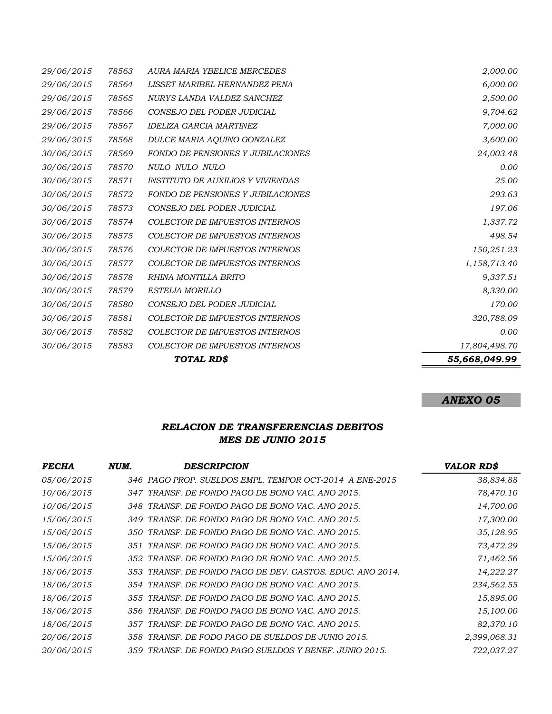|            |       | TOTAL RD\$                               | 55,668,049.99 |
|------------|-------|------------------------------------------|---------------|
| 30/06/2015 | 78583 | COLECTOR DE IMPUESTOS INTERNOS           | 17,804,498.70 |
| 30/06/2015 | 78582 | <b>COLECTOR DE IMPUESTOS INTERNOS</b>    | 0.00          |
| 30/06/2015 | 78581 | <b>COLECTOR DE IMPUESTOS INTERNOS</b>    | 320,788.09    |
| 30/06/2015 | 78580 | CONSEJO DEL PODER JUDICIAL               | 170.00        |
| 30/06/2015 | 78579 | <b>ESTELIA MORILLO</b>                   | 8,330.00      |
| 30/06/2015 | 78578 | RHINA MONTILLA BRITO                     | 9,337.51      |
| 30/06/2015 | 78577 | <b>COLECTOR DE IMPUESTOS INTERNOS</b>    | 1,158,713.40  |
| 30/06/2015 | 78576 | <b>COLECTOR DE IMPUESTOS INTERNOS</b>    | 150,251.23    |
| 30/06/2015 | 78575 | COLECTOR DE IMPUESTOS INTERNOS           | 498.54        |
| 30/06/2015 | 78574 | <b>COLECTOR DE IMPUESTOS INTERNOS</b>    | 1,337.72      |
| 30/06/2015 | 78573 | CONSEJO DEL PODER JUDICIAL               | 197.06        |
| 30/06/2015 | 78572 | <b>FONDO DE PENSIONES Y JUBILACIONES</b> | 293.63        |
| 30/06/2015 | 78571 | <b>INSTITUTO DE AUXILIOS Y VIVIENDAS</b> | 25.00         |
| 30/06/2015 | 78570 | NULO NULO NULO                           | 0.00          |
| 30/06/2015 | 78569 | <b>FONDO DE PENSIONES Y JUBILACIONES</b> | 24,003.48     |
| 29/06/2015 | 78568 | DULCE MARIA AQUINO GONZALEZ              | 3,600.00      |
| 29/06/2015 | 78567 | <b>IDELIZA GARCIA MARTINEZ</b>           | 7,000.00      |
| 29/06/2015 | 78566 | CONSEJO DEL PODER JUDICIAL               | 9,704.62      |
| 29/06/2015 | 78565 | NURYS LANDA VALDEZ SANCHEZ               | 2,500.00      |
| 29/06/2015 | 78564 | LISSET MARIBEL HERNANDEZ PENA            | 6,000.00      |
| 29/06/2015 | 78563 | AURA MARIA YBELICE MERCEDES              | 2,000.00      |

## *ANEXO 05*

## *RELACION DE TRANSFERENCIAS DEBITOS MES DE JUNIO 2015*

| <i>FECHA</i> | NUM. | DESCRIPCION                                               | <b>VALOR RD\$</b> |
|--------------|------|-----------------------------------------------------------|-------------------|
| 05/06/2015   |      | 346 PAGO PROP. SUELDOS EMPL. TEMPOR OCT-2014 A ENE-2015   | 38,834.88         |
| 10/06/2015   |      | 347 TRANSF. DE FONDO PAGO DE BONO VAC. ANO 2015.          | 78,470.10         |
| 10/06/2015   |      | 348 TRANSF. DE FONDO PAGO DE BONO VAC. ANO 2015.          | 14,700.00         |
| 15/06/2015   |      | 349 TRANSF. DE FONDO PAGO DE BONO VAC. ANO 2015.          | 17,300.00         |
| 15/06/2015   |      | 350 TRANSF. DE FONDO PAGO DE BONO VAC. ANO 2015.          | 35,128.95         |
| 15/06/2015   |      | 351 TRANSF. DE FONDO PAGO DE BONO VAC. ANO 2015.          | 73,472.29         |
| 15/06/2015   |      | 352 TRANSF. DE FONDO PAGO DE BONO VAC. ANO 2015.          | 71,462.56         |
| 18/06/2015   |      | 353 TRANSF. DE FONDO PAGO DE DEV. GASTOS. EDUC. ANO 2014. | 14,222.27         |
| 18/06/2015   |      | 354 TRANSF. DE FONDO PAGO DE BONO VAC. ANO 2015.          | 234,562.55        |
| 18/06/2015   |      | 355 TRANSF. DE FONDO PAGO DE BONO VAC. ANO 2015.          | 15,895.00         |
| 18/06/2015   |      | 356 TRANSF. DE FONDO PAGO DE BONO VAC. ANO 2015.          | 15,100.00         |
| 18/06/2015   |      | 357 TRANSF. DE FONDO PAGO DE BONO VAC. ANO 2015.          | 82,370.10         |
| 20/06/2015   |      | 358 TRANSF. DE FODO PAGO DE SUELDOS DE JUNIO 2015.        | 2,399,068.31      |
| 20/06/2015   |      | 359 TRANSF. DE FONDO PAGO SUELDOS Y BENEF. JUNIO 2015.    | 722,037.27        |